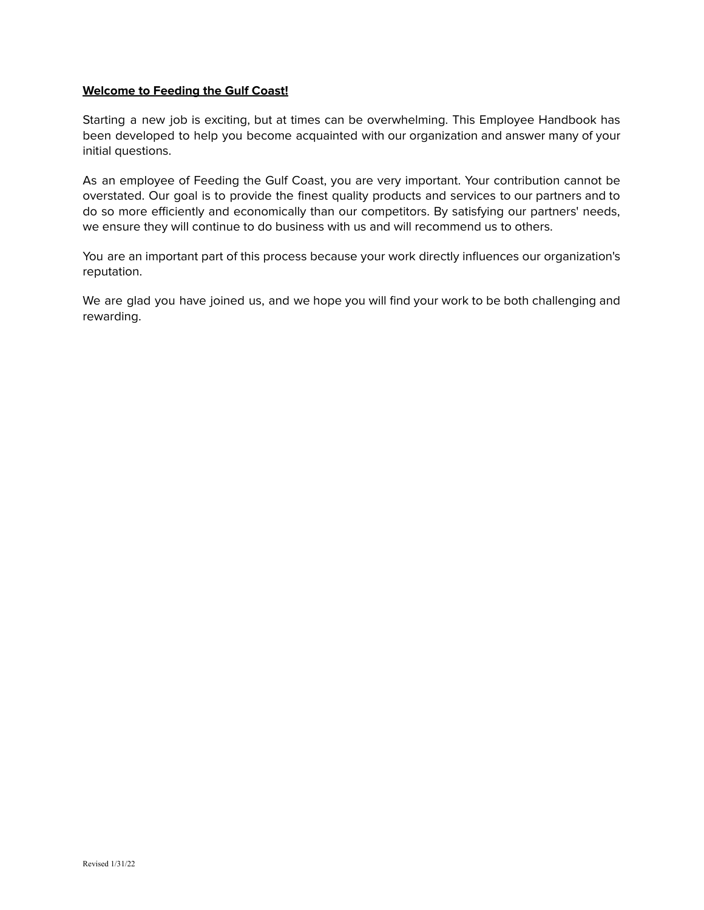## **Welcome to Feeding the Gulf Coast!**

Starting a new job is exciting, but at times can be overwhelming. This Employee Handbook has been developed to help you become acquainted with our organization and answer many of your initial questions.

As an employee of Feeding the Gulf Coast, you are very important. Your contribution cannot be overstated. Our goal is to provide the finest quality products and services to our partners and to do so more efficiently and economically than our competitors. By satisfying our partners' needs, we ensure they will continue to do business with us and will recommend us to others.

You are an important part of this process because your work directly influences our organization's reputation.

We are glad you have joined us, and we hope you will find your work to be both challenging and rewarding.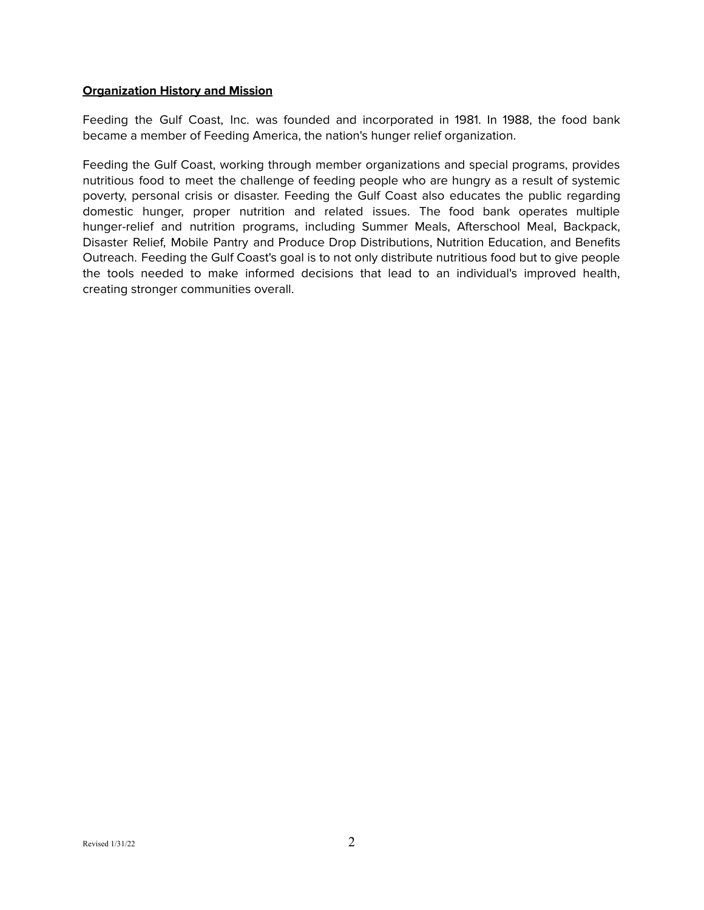#### **Organization History and Mission**

Feeding the Gulf Coast, Inc. was founded and incorporated in 1981. In 1988, the food bank became a member of Feeding America, the nation's hunger relief organization.

Feeding the Gulf Coast, working through member organizations and special programs, provides nutritious food to meet the challenge of feeding people who are hungry as a result of systemic poverty, personal crisis or disaster. Feeding the Gulf Coast also educates the public regarding domestic hunger, proper nutrition and related issues. The food bank operates multiple hunger-relief and nutrition programs, including Summer Meals, Afterschool Meal, Backpack, Disaster Relief, Mobile Pantry and Produce Drop Distributions, Nutrition Education, and Benefits Outreach. Feeding the Gulf Coast's goal is to not only distribute nutritious food but to give people the tools needed to make informed decisions that lead to an individual's improved health, creating stronger communities overall.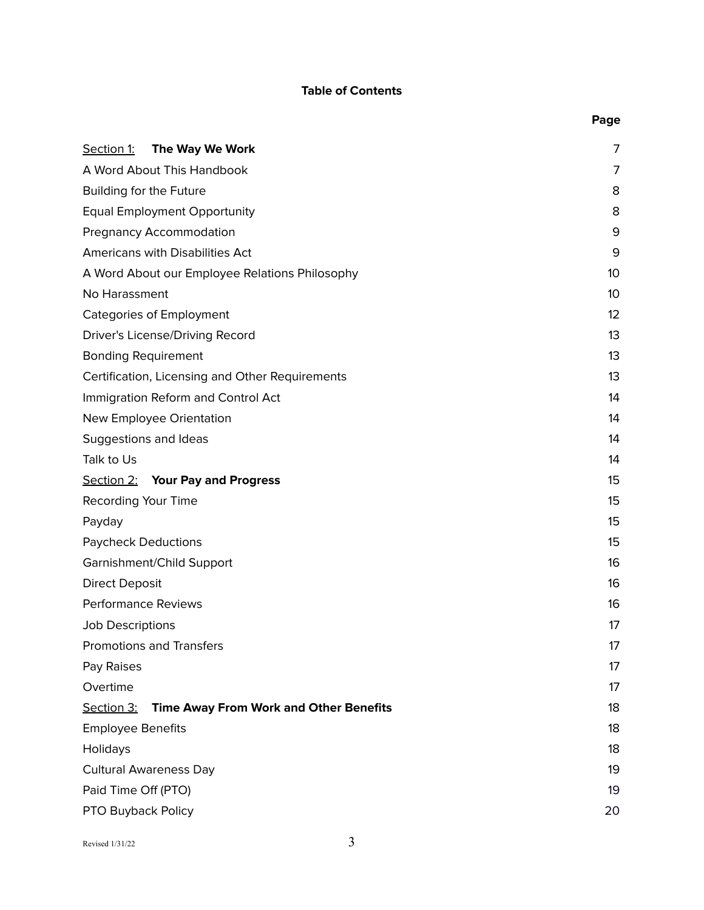# **Table of Contents**

|                                                             | Page |
|-------------------------------------------------------------|------|
| The Way We Work<br>Section 1:                               | 7    |
| A Word About This Handbook                                  | 7    |
| Building for the Future                                     | 8    |
| <b>Equal Employment Opportunity</b>                         | 8    |
| <b>Pregnancy Accommodation</b>                              | 9    |
| Americans with Disabilities Act                             | 9    |
| A Word About our Employee Relations Philosophy              | 10   |
| No Harassment                                               | 10   |
| <b>Categories of Employment</b>                             | 12   |
| Driver's License/Driving Record                             | 13   |
| <b>Bonding Requirement</b>                                  | 13   |
| Certification, Licensing and Other Requirements             | 13   |
| Immigration Reform and Control Act                          | 14   |
| New Employee Orientation                                    | 14   |
| Suggestions and Ideas                                       | 14   |
| Talk to Us                                                  | 14   |
| <b>Section 2: Your Pay and Progress</b>                     | 15   |
| Recording Your Time                                         | 15   |
| Payday                                                      | 15   |
| <b>Paycheck Deductions</b>                                  | 15   |
| Garnishment/Child Support                                   | 16   |
| <b>Direct Deposit</b>                                       | 16   |
| <b>Performance Reviews</b>                                  | 16   |
| Job Descriptions                                            | 17   |
| <b>Promotions and Transfers</b>                             | 17   |
| Pay Raises                                                  | 17   |
| Overtime                                                    | 17   |
| <b>Time Away From Work and Other Benefits</b><br>Section 3: | 18   |
| <b>Employee Benefits</b>                                    | 18   |
| Holidays                                                    | 18   |
| <b>Cultural Awareness Day</b>                               | 19   |
| Paid Time Off (PTO)                                         | 19   |
| PTO Buyback Policy                                          | 20   |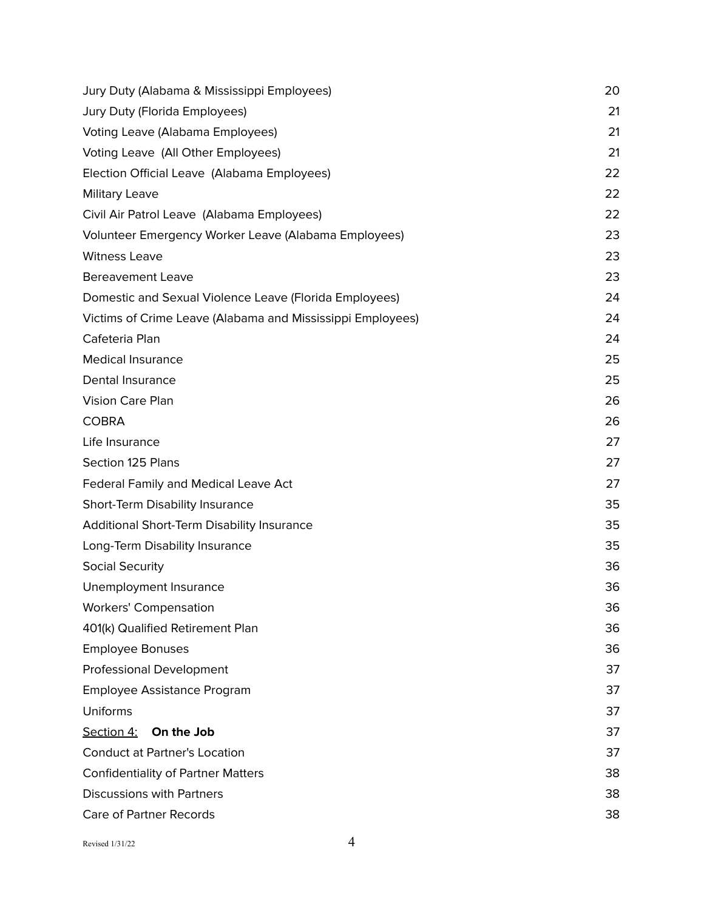| Jury Duty (Alabama & Mississippi Employees)                | 20 |
|------------------------------------------------------------|----|
| Jury Duty (Florida Employees)                              | 21 |
| Voting Leave (Alabama Employees)                           | 21 |
| Voting Leave (All Other Employees)                         | 21 |
| Election Official Leave (Alabama Employees)                | 22 |
| <b>Military Leave</b>                                      | 22 |
| Civil Air Patrol Leave (Alabama Employees)                 | 22 |
| Volunteer Emergency Worker Leave (Alabama Employees)       | 23 |
| <b>Witness Leave</b>                                       | 23 |
| <b>Bereavement Leave</b>                                   | 23 |
| Domestic and Sexual Violence Leave (Florida Employees)     | 24 |
| Victims of Crime Leave (Alabama and Mississippi Employees) | 24 |
| Cafeteria Plan                                             | 24 |
| <b>Medical Insurance</b>                                   | 25 |
| Dental Insurance                                           | 25 |
| Vision Care Plan                                           | 26 |
| <b>COBRA</b>                                               | 26 |
| Life Insurance                                             | 27 |
| Section 125 Plans                                          | 27 |
| <b>Federal Family and Medical Leave Act</b>                | 27 |
| Short-Term Disability Insurance                            | 35 |
| Additional Short-Term Disability Insurance                 | 35 |
| Long-Term Disability Insurance                             | 35 |
| <b>Social Security</b>                                     | 36 |
| Unemployment Insurance                                     | 36 |
| <b>Workers' Compensation</b>                               | 36 |
| 401(k) Qualified Retirement Plan                           | 36 |
| <b>Employee Bonuses</b>                                    | 36 |
| <b>Professional Development</b>                            | 37 |
| Employee Assistance Program                                | 37 |
| Uniforms                                                   | 37 |
| On the Job<br>Section 4:                                   | 37 |
| <b>Conduct at Partner's Location</b>                       | 37 |
| <b>Confidentiality of Partner Matters</b>                  | 38 |
| <b>Discussions with Partners</b>                           | 38 |
| <b>Care of Partner Records</b>                             | 38 |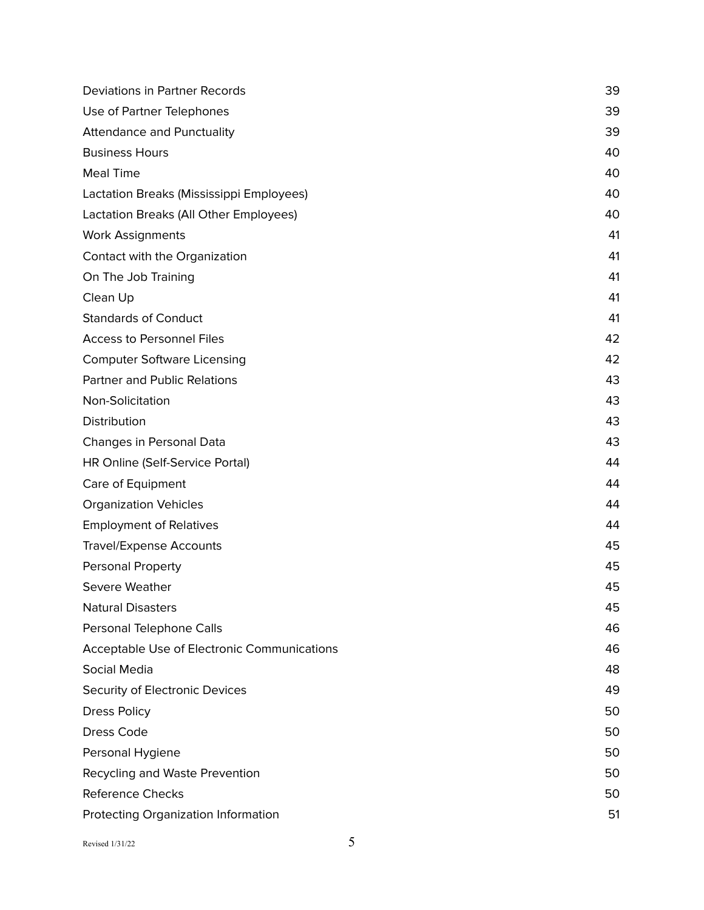| Deviations in Partner Records               | 39 |
|---------------------------------------------|----|
| Use of Partner Telephones                   | 39 |
| <b>Attendance and Punctuality</b>           | 39 |
| <b>Business Hours</b>                       | 40 |
| <b>Meal Time</b>                            | 40 |
| Lactation Breaks (Mississippi Employees)    | 40 |
| Lactation Breaks (All Other Employees)      | 40 |
| <b>Work Assignments</b>                     | 41 |
| Contact with the Organization               | 41 |
| On The Job Training                         | 41 |
| Clean Up                                    | 41 |
| <b>Standards of Conduct</b>                 | 41 |
| <b>Access to Personnel Files</b>            | 42 |
| <b>Computer Software Licensing</b>          | 42 |
| <b>Partner and Public Relations</b>         | 43 |
| Non-Solicitation                            | 43 |
| Distribution                                | 43 |
| Changes in Personal Data                    | 43 |
| HR Online (Self-Service Portal)             | 44 |
| Care of Equipment                           | 44 |
| <b>Organization Vehicles</b>                | 44 |
| <b>Employment of Relatives</b>              | 44 |
| <b>Travel/Expense Accounts</b>              | 45 |
| Personal Property                           | 45 |
| Severe Weather                              | 45 |
| <b>Natural Disasters</b>                    | 45 |
| Personal Telephone Calls                    | 46 |
| Acceptable Use of Electronic Communications | 46 |
| Social Media                                | 48 |
| Security of Electronic Devices              | 49 |
| <b>Dress Policy</b>                         | 50 |
| Dress Code                                  | 50 |
| Personal Hygiene                            | 50 |
| Recycling and Waste Prevention              | 50 |
| <b>Reference Checks</b>                     | 50 |
| Protecting Organization Information         | 51 |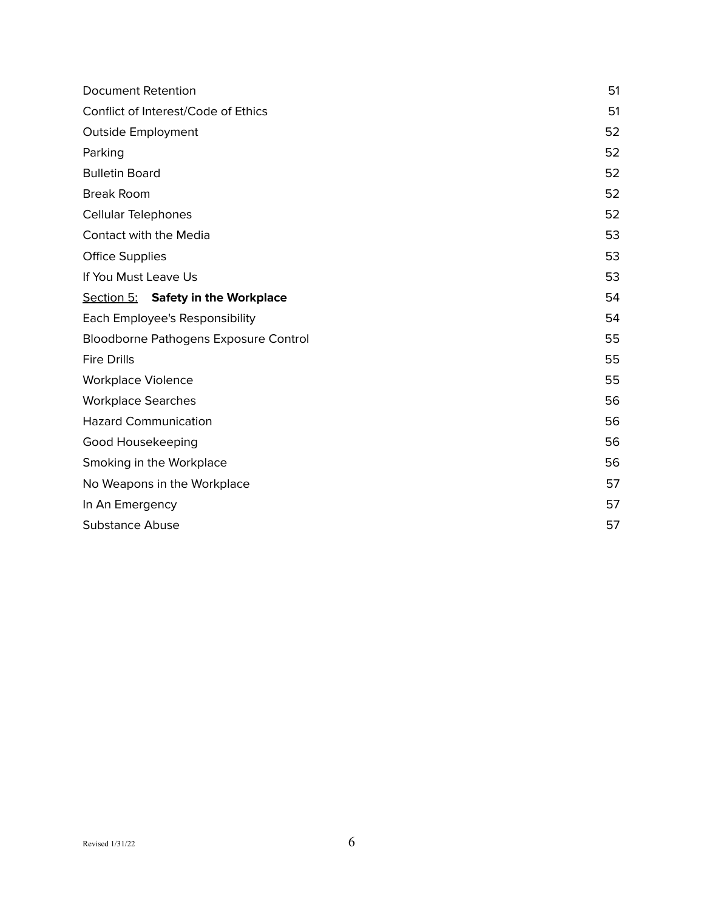| <b>Document Retention</b>             | 51 |
|---------------------------------------|----|
| Conflict of Interest/Code of Ethics   | 51 |
| Outside Employment                    | 52 |
| Parking                               | 52 |
| <b>Bulletin Board</b>                 | 52 |
| <b>Break Room</b>                     | 52 |
| <b>Cellular Telephones</b>            | 52 |
| Contact with the Media                | 53 |
| <b>Office Supplies</b>                | 53 |
| If You Must Leave Us                  | 53 |
| Section 5: Safety in the Workplace    | 54 |
| Each Employee's Responsibility        | 54 |
| Bloodborne Pathogens Exposure Control | 55 |
| <b>Fire Drills</b>                    | 55 |
| <b>Workplace Violence</b>             | 55 |
| <b>Workplace Searches</b>             | 56 |
| <b>Hazard Communication</b>           | 56 |
| Good Housekeeping                     | 56 |
| Smoking in the Workplace              | 56 |
| No Weapons in the Workplace           | 57 |
| In An Emergency                       | 57 |
| <b>Substance Abuse</b>                | 57 |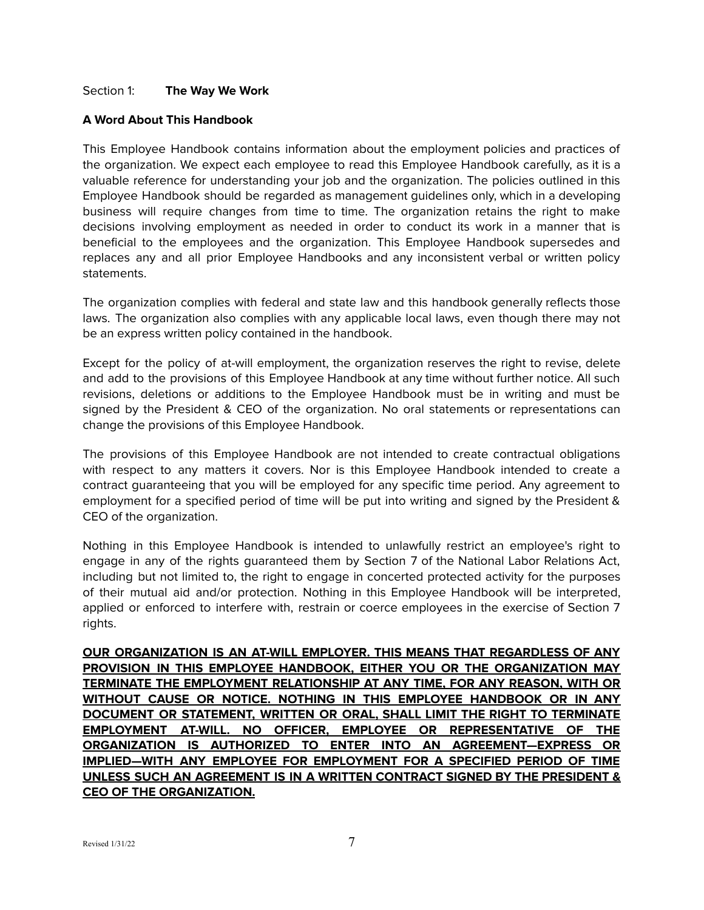## <span id="page-6-0"></span>Section 1: **The Way We Work**

#### <span id="page-6-1"></span>**A Word About This Handbook**

This Employee Handbook contains information about the employment policies and practices of the organization. We expect each employee to read this Employee Handbook carefully, as it is a valuable reference for understanding your job and the organization. The policies outlined in this Employee Handbook should be regarded as management guidelines only, which in a developing business will require changes from time to time. The organization retains the right to make decisions involving employment as needed in order to conduct its work in a manner that is beneficial to the employees and the organization. This Employee Handbook supersedes and replaces any and all prior Employee Handbooks and any inconsistent verbal or written policy statements.

The organization complies with federal and state law and this handbook generally reflects those laws. The organization also complies with any applicable local laws, even though there may not be an express written policy contained in the handbook.

Except for the policy of at-will employment, the organization reserves the right to revise, delete and add to the provisions of this Employee Handbook at any time without further notice. All such revisions, deletions or additions to the Employee Handbook must be in writing and must be signed by the President & CEO of the organization. No oral statements or representations can change the provisions of this Employee Handbook.

The provisions of this Employee Handbook are not intended to create contractual obligations with respect to any matters it covers. Nor is this Employee Handbook intended to create a contract guaranteeing that you will be employed for any specific time period. Any agreement to employment for a specified period of time will be put into writing and signed by the President & CEO of the organization.

Nothing in this Employee Handbook is intended to unlawfully restrict an employee's right to engage in any of the rights guaranteed them by Section 7 of the National Labor Relations Act, including but not limited to, the right to engage in concerted protected activity for the purposes of their mutual aid and/or protection. Nothing in this Employee Handbook will be interpreted, applied or enforced to interfere with, restrain or coerce employees in the exercise of Section 7 rights.

**OUR ORGANIZATION IS AN AT-WILL EMPLOYER. THIS MEANS THAT REGARDLESS OF ANY PROVISION IN THIS EMPLOYEE HANDBOOK, EITHER YOU OR THE ORGANIZATION MAY TERMINATE THE EMPLOYMENT RELATIONSHIP AT ANY TIME, FOR ANY REASON, WITH OR WITHOUT CAUSE OR NOTICE. NOTHING IN THIS EMPLOYEE HANDBOOK OR IN ANY DOCUMENT OR STATEMENT, WRITTEN OR ORAL, SHALL LIMIT THE RIGHT TO TERMINATE EMPLOYMENT AT-WILL. NO OFFICER, EMPLOYEE OR REPRESENTATIVE OF THE ORGANIZATION IS AUTHORIZED TO ENTER INTO AN AGREEMENT—EXPRESS OR IMPLIED—WITH ANY EMPLOYEE FOR EMPLOYMENT FOR A SPECIFIED PERIOD OF TIME UNLESS SUCH AN AGREEMENT IS IN A WRITTEN CONTRACT SIGNED BY THE PRESIDENT & CEO OF THE ORGANIZATION.**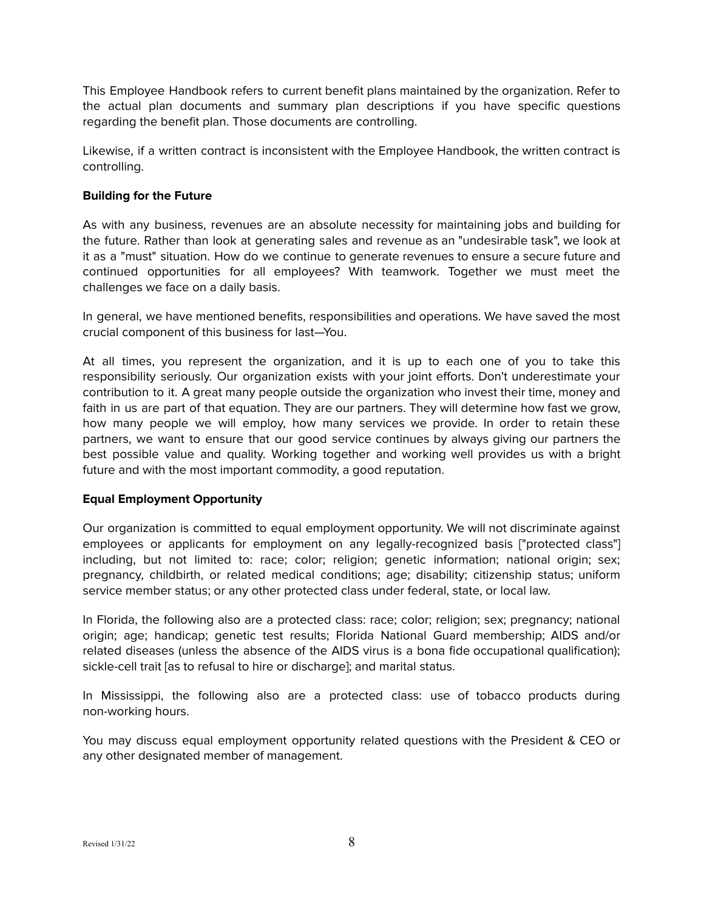This Employee Handbook refers to current benefit plans maintained by the organization. Refer to the actual plan documents and summary plan descriptions if you have specific questions regarding the benefit plan. Those documents are controlling.

Likewise, if a written contract is inconsistent with the Employee Handbook, the written contract is controlling.

## <span id="page-7-0"></span>**Building for the Future**

As with any business, revenues are an absolute necessity for maintaining jobs and building for the future. Rather than look at generating sales and revenue as an "undesirable task", we look at it as a "must" situation. How do we continue to generate revenues to ensure a secure future and continued opportunities for all employees? With teamwork. Together we must meet the challenges we face on a daily basis.

In general, we have mentioned benefits, responsibilities and operations. We have saved the most crucial component of this business for last—You.

At all times, you represent the organization, and it is up to each one of you to take this responsibility seriously. Our organization exists with your joint efforts. Don't underestimate your contribution to it. A great many people outside the organization who invest their time, money and faith in us are part of that equation. They are our partners. They will determine how fast we grow, how many people we will employ, how many services we provide. In order to retain these partners, we want to ensure that our good service continues by always giving our partners the best possible value and quality. Working together and working well provides us with a bright future and with the most important commodity, a good reputation.

## <span id="page-7-1"></span>**Equal Employment Opportunity**

Our organization is committed to equal employment opportunity. We will not discriminate against employees or applicants for employment on any legally-recognized basis ["protected class"] including, but not limited to: race; color; religion; genetic information; national origin; sex; pregnancy, childbirth, or related medical conditions; age; disability; citizenship status; uniform service member status; or any other protected class under federal, state, or local law.

In Florida, the following also are a protected class: race; color; religion; sex; pregnancy; national origin; age; handicap; genetic test results; Florida National Guard membership; AIDS and/or related diseases (unless the absence of the AIDS virus is a bona fide occupational qualification); sickle-cell trait [as to refusal to hire or discharge]; and marital status.

In Mississippi, the following also are a protected class: use of tobacco products during non-working hours.

You may discuss equal employment opportunity related questions with the President & CEO or any other designated member of management.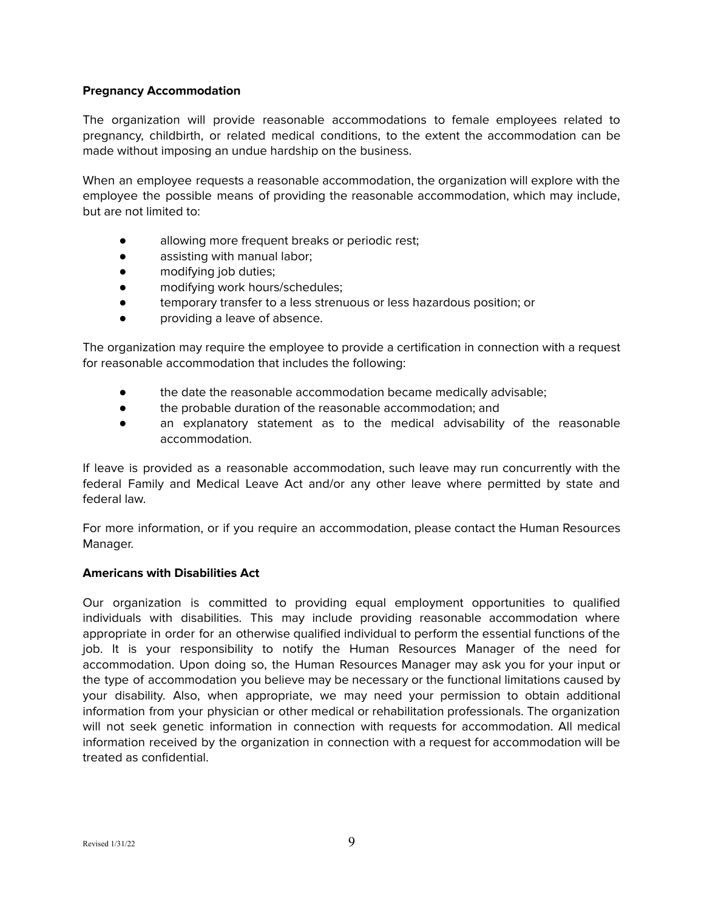## <span id="page-8-0"></span>**Pregnancy Accommodation**

The organization will provide reasonable accommodations to female employees related to pregnancy, childbirth, or related medical conditions, to the extent the accommodation can be made without imposing an undue hardship on the business.

When an employee requests a reasonable accommodation, the organization will explore with the employee the possible means of providing the reasonable accommodation, which may include, but are not limited to:

- allowing more frequent breaks or periodic rest;
- assisting with manual labor;
- modifying job duties;
- modifying work hours/schedules;
- temporary transfer to a less strenuous or less hazardous position; or
- providing a leave of absence.

The organization may require the employee to provide a certification in connection with a request for reasonable accommodation that includes the following:

- the date the reasonable accommodation became medically advisable;
- the probable duration of the reasonable accommodation; and
- an explanatory statement as to the medical advisability of the reasonable accommodation.

If leave is provided as a reasonable accommodation, such leave may run concurrently with the federal Family and Medical Leave Act and/or any other leave where permitted by state and federal law.

For more information, or if you require an accommodation, please contact the Human Resources Manager.

## <span id="page-8-1"></span>**Americans with Disabilities Act**

Our organization is committed to providing equal employment opportunities to qualified individuals with disabilities. This may include providing reasonable accommodation where appropriate in order for an otherwise qualified individual to perform the essential functions of the job. It is your responsibility to notify the Human Resources Manager of the need for accommodation. Upon doing so, the Human Resources Manager may ask you for your input or the type of accommodation you believe may be necessary or the functional limitations caused by your disability. Also, when appropriate, we may need your permission to obtain additional information from your physician or other medical or rehabilitation professionals. The organization will not seek genetic information in connection with requests for accommodation. All medical information received by the organization in connection with a request for accommodation will be treated as confidential.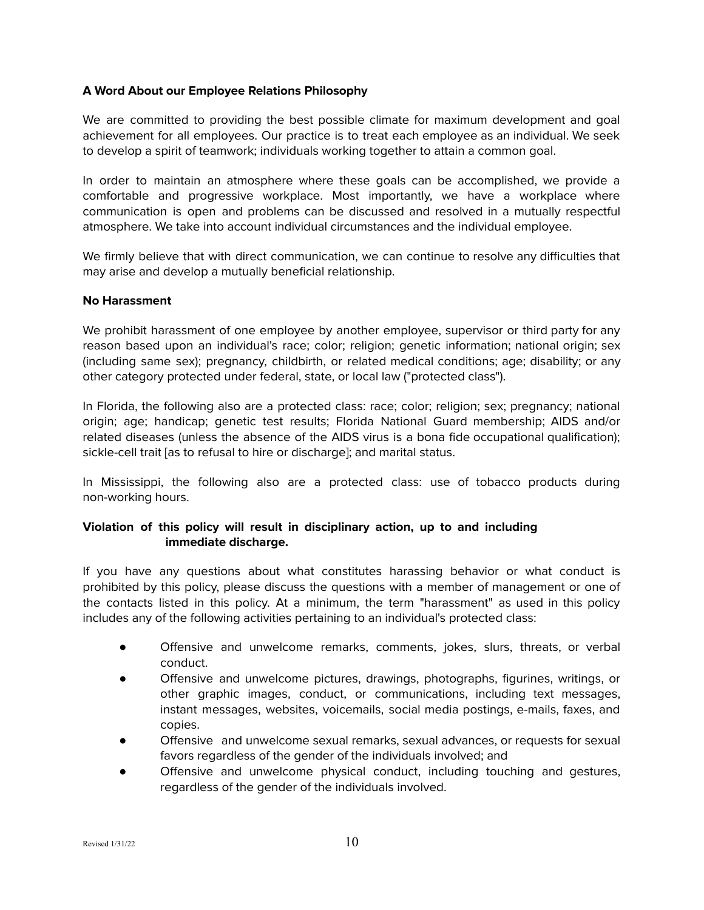## <span id="page-9-0"></span>**A Word About our Employee Relations Philosophy**

We are committed to providing the best possible climate for maximum development and goal achievement for all employees. Our practice is to treat each employee as an individual. We seek to develop a spirit of teamwork; individuals working together to attain a common goal.

In order to maintain an atmosphere where these goals can be accomplished, we provide a comfortable and progressive workplace. Most importantly, we have a workplace where communication is open and problems can be discussed and resolved in a mutually respectful atmosphere. We take into account individual circumstances and the individual employee.

We firmly believe that with direct communication, we can continue to resolve any difficulties that may arise and develop a mutually beneficial relationship.

#### <span id="page-9-1"></span>**No Harassment**

We prohibit harassment of one employee by another employee, supervisor or third party for any reason based upon an individual's race; color; religion; genetic information; national origin; sex (including same sex); pregnancy, childbirth, or related medical conditions; age; disability; or any other category protected under federal, state, or local law ("protected class").

In Florida, the following also are a protected class: race; color; religion; sex; pregnancy; national origin; age; handicap; genetic test results; Florida National Guard membership; AIDS and/or related diseases (unless the absence of the AIDS virus is a bona fide occupational qualification); sickle-cell trait [as to refusal to hire or discharge]; and marital status.

In Mississippi, the following also are a protected class: use of tobacco products during non-working hours.

## **Violation of this policy will result in disciplinary action, up to and including immediate discharge.**

If you have any questions about what constitutes harassing behavior or what conduct is prohibited by this policy, please discuss the questions with a member of management or one of the contacts listed in this policy. At a minimum, the term "harassment" as used in this policy includes any of the following activities pertaining to an individual's protected class:

- Offensive and unwelcome remarks, comments, jokes, slurs, threats, or verbal conduct.
- Offensive and unwelcome pictures, drawings, photographs, figurines, writings, or other graphic images, conduct, or communications, including text messages, instant messages, websites, voicemails, social media postings, e-mails, faxes, and copies.
- Offensive and unwelcome sexual remarks, sexual advances, or requests for sexual favors regardless of the gender of the individuals involved; and
- Offensive and unwelcome physical conduct, including touching and gestures, regardless of the gender of the individuals involved.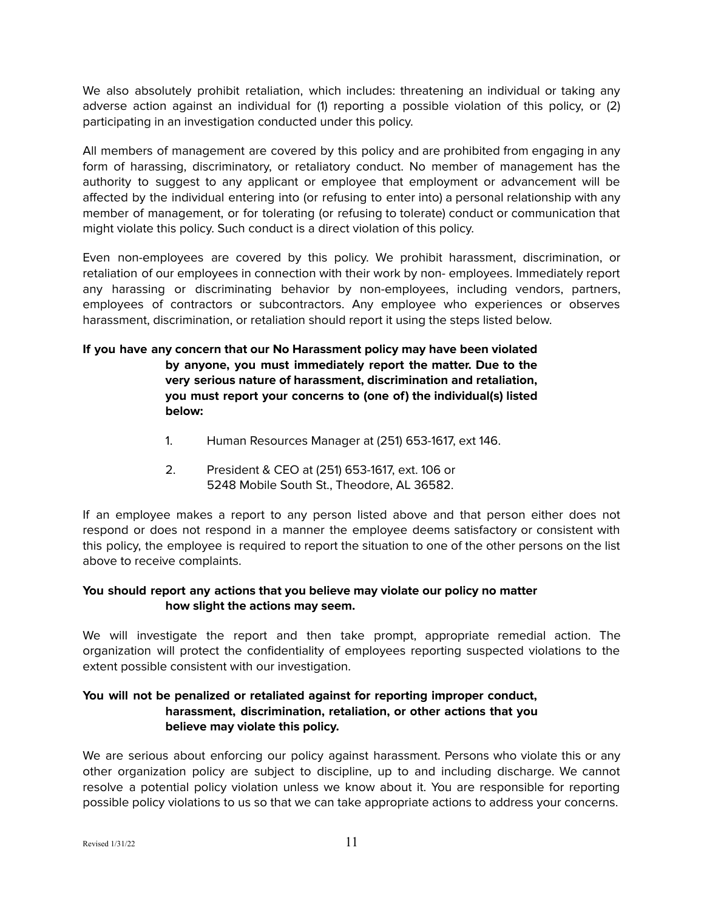We also absolutely prohibit retaliation, which includes: threatening an individual or taking any adverse action against an individual for (1) reporting a possible violation of this policy, or (2) participating in an investigation conducted under this policy.

All members of management are covered by this policy and are prohibited from engaging in any form of harassing, discriminatory, or retaliatory conduct. No member of management has the authority to suggest to any applicant or employee that employment or advancement will be affected by the individual entering into (or refusing to enter into) a personal relationship with any member of management, or for tolerating (or refusing to tolerate) conduct or communication that might violate this policy. Such conduct is a direct violation of this policy.

Even non-employees are covered by this policy. We prohibit harassment, discrimination, or retaliation of our employees in connection with their work by non- employees. Immediately report any harassing or discriminating behavior by non-employees, including vendors, partners, employees of contractors or subcontractors. Any employee who experiences or observes harassment, discrimination, or retaliation should report it using the steps listed below.

# **If you have any concern that our No Harassment policy may have been violated by anyone, you must immediately report the matter. Due to the very serious nature of harassment, discrimination and retaliation, you must report your concerns to (one of) the individual(s) listed below:**

- 1. Human Resources Manager at (251) 653-1617, ext 146.
- 2. President & CEO at (251) 653-1617, ext. 106 or 5248 Mobile South St., Theodore, AL 36582.

If an employee makes a report to any person listed above and that person either does not respond or does not respond in a manner the employee deems satisfactory or consistent with this policy, the employee is required to report the situation to one of the other persons on the list above to receive complaints.

# **You should report any actions that you believe may violate our policy no matter how slight the actions may seem.**

We will investigate the report and then take prompt, appropriate remedial action. The organization will protect the confidentiality of employees reporting suspected violations to the extent possible consistent with our investigation.

# **You will not be penalized or retaliated against for reporting improper conduct, harassment, discrimination, retaliation, or other actions that you believe may violate this policy.**

We are serious about enforcing our policy against harassment. Persons who violate this or any other organization policy are subject to discipline, up to and including discharge. We cannot resolve a potential policy violation unless we know about it. You are responsible for reporting possible policy violations to us so that we can take appropriate actions to address your concerns.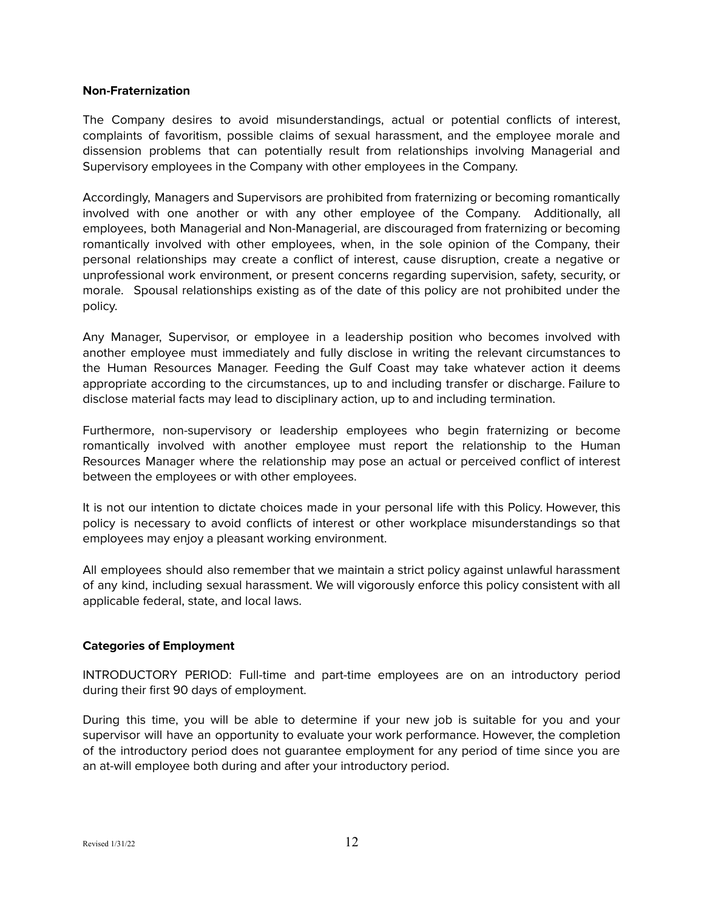#### <span id="page-11-0"></span>**Non-Fraternization**

The Company desires to avoid misunderstandings, actual or potential conflicts of interest, complaints of favoritism, possible claims of sexual harassment, and the employee morale and dissension problems that can potentially result from relationships involving Managerial and Supervisory employees in the Company with other employees in the Company.

Accordingly, Managers and Supervisors are prohibited from fraternizing or becoming romantically involved with one another or with any other employee of the Company. Additionally, all employees, both Managerial and Non-Managerial, are discouraged from fraternizing or becoming romantically involved with other employees, when, in the sole opinion of the Company, their personal relationships may create a conflict of interest, cause disruption, create a negative or unprofessional work environment, or present concerns regarding supervision, safety, security, or morale. Spousal relationships existing as of the date of this policy are not prohibited under the policy.

Any Manager, Supervisor, or employee in a leadership position who becomes involved with another employee must immediately and fully disclose in writing the relevant circumstances to the Human Resources Manager. Feeding the Gulf Coast may take whatever action it deems appropriate according to the circumstances, up to and including transfer or discharge. Failure to disclose material facts may lead to disciplinary action, up to and including termination.

Furthermore, non-supervisory or leadership employees who begin fraternizing or become romantically involved with another employee must report the relationship to the Human Resources Manager where the relationship may pose an actual or perceived conflict of interest between the employees or with other employees.

It is not our intention to dictate choices made in your personal life with this Policy. However, this policy is necessary to avoid conflicts of interest or other workplace misunderstandings so that employees may enjoy a pleasant working environment.

All employees should also remember that we maintain a strict policy against unlawful harassment of any kind, including sexual harassment. We will vigorously enforce this policy consistent with all applicable federal, state, and local laws.

## **Categories of Employment**

INTRODUCTORY PERIOD: Full-time and part-time employees are on an introductory period during their first 90 days of employment.

During this time, you will be able to determine if your new job is suitable for you and your supervisor will have an opportunity to evaluate your work performance. However, the completion of the introductory period does not guarantee employment for any period of time since you are an at-will employee both during and after your introductory period.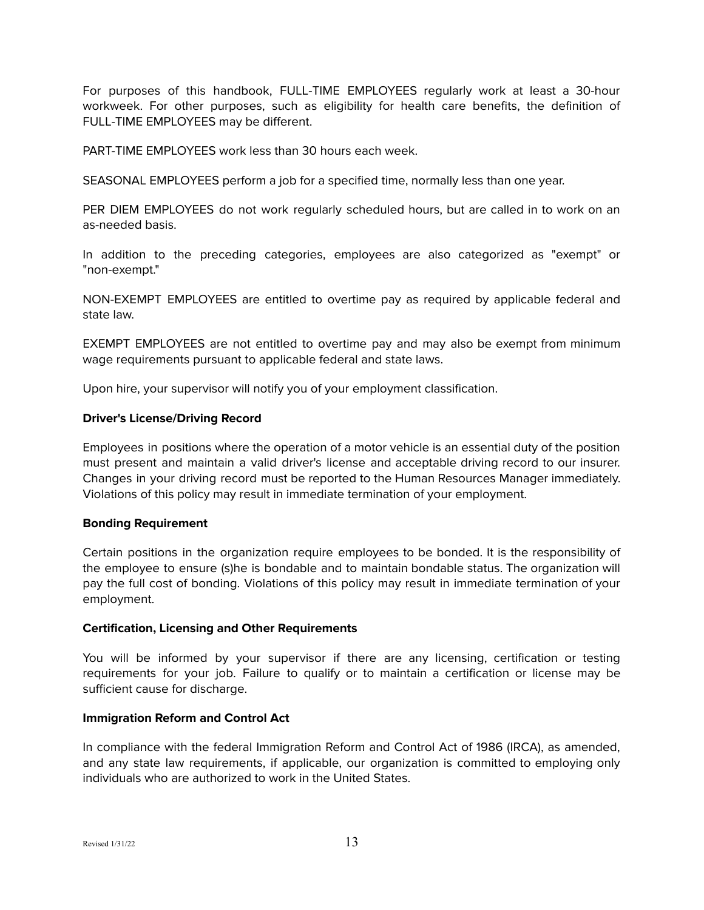For purposes of this handbook, FULL-TIME EMPLOYEES regularly work at least a 30-hour workweek. For other purposes, such as eligibility for health care benefits, the definition of FULL-TIME EMPLOYEES may be different.

PART-TIME EMPLOYEES work less than 30 hours each week.

SEASONAL EMPLOYEES perform a job for a specified time, normally less than one year.

PER DIEM EMPLOYEES do not work regularly scheduled hours, but are called in to work on an as-needed basis.

In addition to the preceding categories, employees are also categorized as "exempt" or "non-exempt."

NON-EXEMPT EMPLOYEES are entitled to overtime pay as required by applicable federal and state law.

EXEMPT EMPLOYEES are not entitled to overtime pay and may also be exempt from minimum wage requirements pursuant to applicable federal and state laws.

Upon hire, your supervisor will notify you of your employment classification.

#### <span id="page-12-0"></span>**Driver's License/Driving Record**

Employees in positions where the operation of a motor vehicle is an essential duty of the position must present and maintain a valid driver's license and acceptable driving record to our insurer. Changes in your driving record must be reported to the Human Resources Manager immediately. Violations of this policy may result in immediate termination of your employment.

#### <span id="page-12-1"></span>**Bonding Requirement**

Certain positions in the organization require employees to be bonded. It is the responsibility of the employee to ensure (s)he is bondable and to maintain bondable status. The organization will pay the full cost of bonding. Violations of this policy may result in immediate termination of your employment.

#### <span id="page-12-2"></span>**Certification, Licensing and Other Requirements**

You will be informed by your supervisor if there are any licensing, certification or testing requirements for your job. Failure to qualify or to maintain a certification or license may be sufficient cause for discharge.

## <span id="page-12-3"></span>**Immigration Reform and Control Act**

In compliance with the federal Immigration Reform and Control Act of 1986 (IRCA), as amended, and any state law requirements, if applicable, our organization is committed to employing only individuals who are authorized to work in the United States.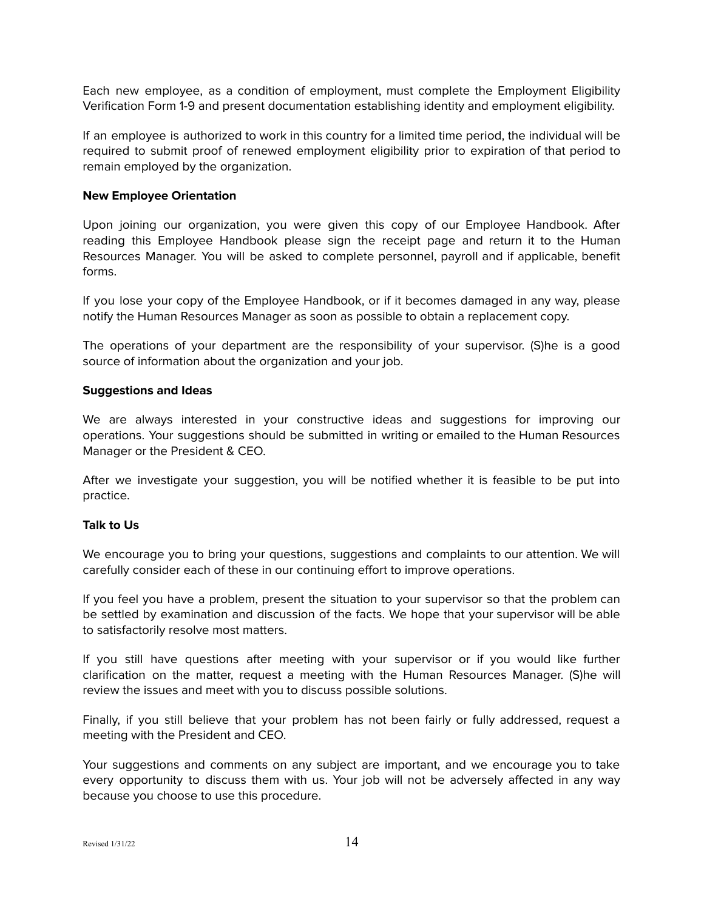Each new employee, as a condition of employment, must complete the Employment Eligibility Verification Form 1-9 and present documentation establishing identity and employment eligibility.

If an employee is authorized to work in this country for a limited time period, the individual will be required to submit proof of renewed employment eligibility prior to expiration of that period to remain employed by the organization.

#### <span id="page-13-0"></span>**New Employee Orientation**

Upon joining our organization, you were given this copy of our Employee Handbook. After reading this Employee Handbook please sign the receipt page and return it to the Human Resources Manager. You will be asked to complete personnel, payroll and if applicable, benefit forms.

If you lose your copy of the Employee Handbook, or if it becomes damaged in any way, please notify the Human Resources Manager as soon as possible to obtain a replacement copy.

The operations of your department are the responsibility of your supervisor. (S)he is a good source of information about the organization and your job.

#### <span id="page-13-1"></span>**Suggestions and Ideas**

We are always interested in your constructive ideas and suggestions for improving our operations. Your suggestions should be submitted in writing or emailed to the Human Resources Manager or the President & CEO.

After we investigate your suggestion, you will be notified whether it is feasible to be put into practice.

## <span id="page-13-2"></span>**Talk to Us**

We encourage you to bring your questions, suggestions and complaints to our attention. We will carefully consider each of these in our continuing effort to improve operations.

If you feel you have a problem, present the situation to your supervisor so that the problem can be settled by examination and discussion of the facts. We hope that your supervisor will be able to satisfactorily resolve most matters.

If you still have questions after meeting with your supervisor or if you would like further clarification on the matter, request a meeting with the Human Resources Manager. (S)he will review the issues and meet with you to discuss possible solutions.

Finally, if you still believe that your problem has not been fairly or fully addressed, request a meeting with the President and CEO.

Your suggestions and comments on any subject are important, and we encourage you to take every opportunity to discuss them with us. Your job will not be adversely affected in any way because you choose to use this procedure.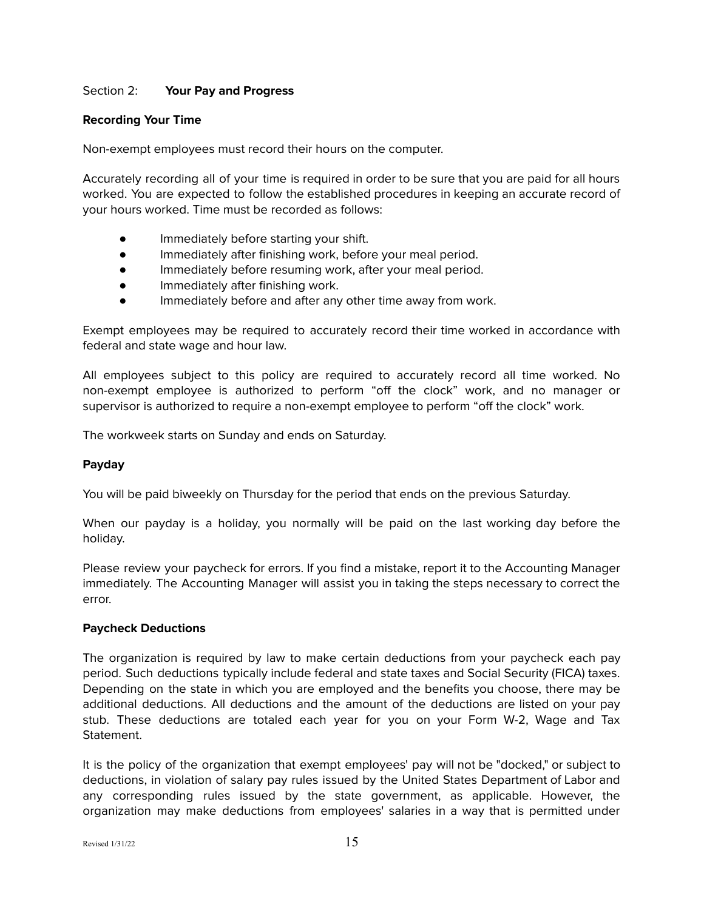## <span id="page-14-0"></span>Section 2: **Your Pay and Progress**

## <span id="page-14-1"></span>**Recording Your Time**

Non-exempt employees must record their hours on the computer.

Accurately recording all of your time is required in order to be sure that you are paid for all hours worked. You are expected to follow the established procedures in keeping an accurate record of your hours worked. Time must be recorded as follows:

- Immediately before starting your shift.
- Immediately after finishing work, before your meal period.
- Immediately before resuming work, after your meal period.
- Immediately after finishing work.
- Immediately before and after any other time away from work.

Exempt employees may be required to accurately record their time worked in accordance with federal and state wage and hour law.

All employees subject to this policy are required to accurately record all time worked. No non-exempt employee is authorized to perform "off the clock" work, and no manager or supervisor is authorized to require a non-exempt employee to perform "off the clock" work.

The workweek starts on Sunday and ends on Saturday.

## <span id="page-14-2"></span>**Payday**

You will be paid biweekly on Thursday for the period that ends on the previous Saturday.

When our payday is a holiday, you normally will be paid on the last working day before the holiday.

Please review your paycheck for errors. If you find a mistake, report it to the Accounting Manager immediately. The Accounting Manager will assist you in taking the steps necessary to correct the error.

## <span id="page-14-3"></span>**Paycheck Deductions**

The organization is required by law to make certain deductions from your paycheck each pay period. Such deductions typically include federal and state taxes and Social Security (FICA) taxes. Depending on the state in which you are employed and the benefits you choose, there may be additional deductions. All deductions and the amount of the deductions are listed on your pay stub. These deductions are totaled each year for you on your Form W-2, Wage and Tax Statement.

It is the policy of the organization that exempt employees' pay will not be "docked," or subject to deductions, in violation of salary pay rules issued by the United States Department of Labor and any corresponding rules issued by the state government, as applicable. However, the organization may make deductions from employees' salaries in a way that is permitted under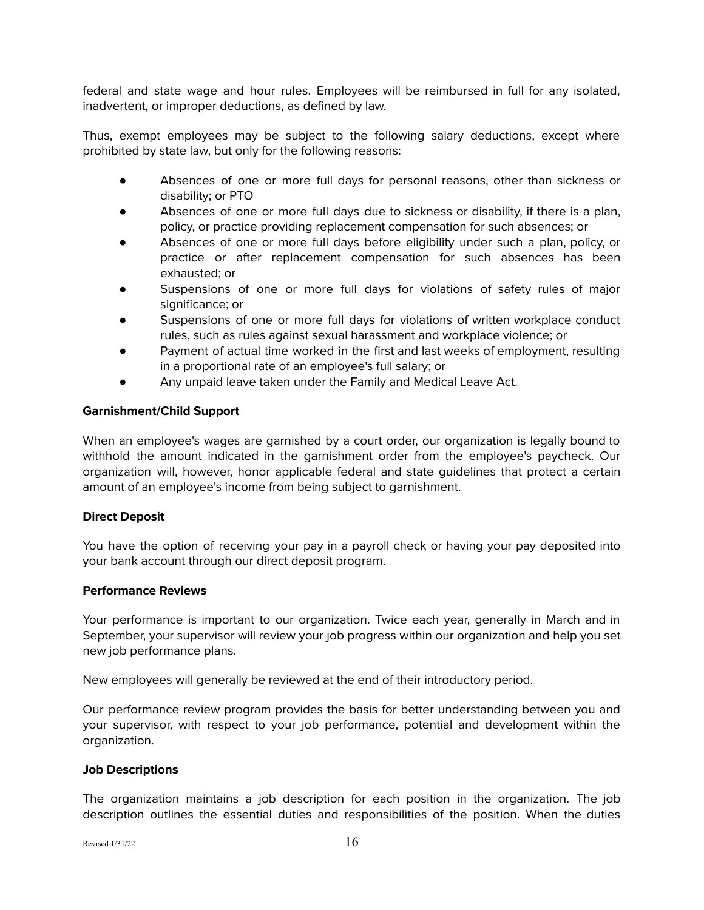federal and state wage and hour rules. Employees will be reimbursed in full for any isolated, inadvertent, or improper deductions, as defined by law.

Thus, exempt employees may be subject to the following salary deductions, except where prohibited by state law, but only for the following reasons:

- Absences of one or more full days for personal reasons, other than sickness or disability; or PTO
- Absences of one or more full days due to sickness or disability, if there is a plan, policy, or practice providing replacement compensation for such absences; or
- Absences of one or more full days before eligibility under such a plan, policy, or practice or after replacement compensation for such absences has been exhausted; or
- Suspensions of one or more full days for violations of safety rules of major significance; or
- Suspensions of one or more full days for violations of written workplace conduct rules, such as rules against sexual harassment and workplace violence; or
- Payment of actual time worked in the first and last weeks of employment, resulting in a proportional rate of an employee's full salary; or
- Any unpaid leave taken under the Family and Medical Leave Act.

## <span id="page-15-0"></span>**Garnishment/Child Support**

When an employee's wages are garnished by a court order, our organization is legally bound to withhold the amount indicated in the garnishment order from the employee's paycheck. Our organization will, however, honor applicable federal and state guidelines that protect a certain amount of an employee's income from being subject to garnishment.

## <span id="page-15-1"></span>**Direct Deposit**

You have the option of receiving your pay in a payroll check or having your pay deposited into your bank account through our direct deposit program.

## <span id="page-15-2"></span>**Performance Reviews**

Your performance is important to our organization. Twice each year, generally in March and in September, your supervisor will review your job progress within our organization and help you set new job performance plans.

New employees will generally be reviewed at the end of their introductory period.

Our performance review program provides the basis for better understanding between you and your supervisor, with respect to your job performance, potential and development within the organization.

## <span id="page-15-3"></span>**Job Descriptions**

The organization maintains a job description for each position in the organization. The job description outlines the essential duties and responsibilities of the position. When the duties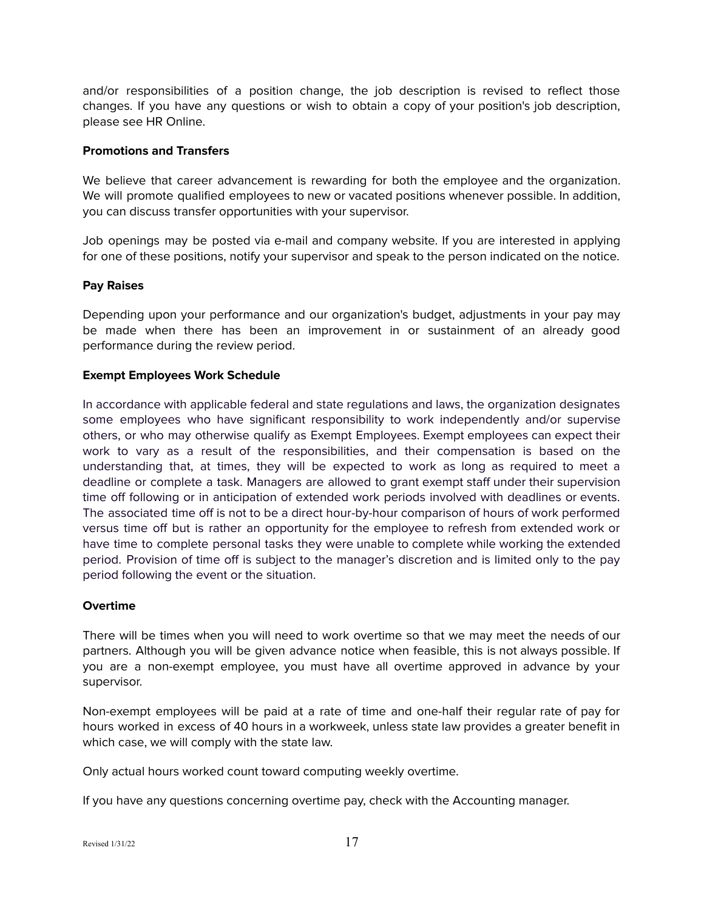and/or responsibilities of a position change, the job description is revised to reflect those changes. If you have any questions or wish to obtain a copy of your position's job description, please see HR Online.

#### <span id="page-16-0"></span>**Promotions and Transfers**

We believe that career advancement is rewarding for both the employee and the organization. We will promote qualified employees to new or vacated positions whenever possible. In addition, you can discuss transfer opportunities with your supervisor.

Job openings may be posted via e-mail and company website. If you are interested in applying for one of these positions, notify your supervisor and speak to the person indicated on the notice.

#### <span id="page-16-1"></span>**Pay Raises**

Depending upon your performance and our organization's budget, adjustments in your pay may be made when there has been an improvement in or sustainment of an already good performance during the review period.

#### **Exempt Employees Work Schedule**

In accordance with applicable federal and state regulations and laws, the organization designates some employees who have significant responsibility to work independently and/or supervise others, or who may otherwise qualify as Exempt Employees. Exempt employees can expect their work to vary as a result of the responsibilities, and their compensation is based on the understanding that, at times, they will be expected to work as long as required to meet a deadline or complete a task. Managers are allowed to grant exempt staff under their supervision time off following or in anticipation of extended work periods involved with deadlines or events. The associated time off is not to be a direct hour-by-hour comparison of hours of work performed versus time off but is rather an opportunity for the employee to refresh from extended work or have time to complete personal tasks they were unable to complete while working the extended period. Provision of time off is subject to the manager's discretion and is limited only to the pay period following the event or the situation.

## <span id="page-16-2"></span>**Overtime**

There will be times when you will need to work overtime so that we may meet the needs of our partners. Although you will be given advance notice when feasible, this is not always possible. If you are a non-exempt employee, you must have all overtime approved in advance by your supervisor.

Non-exempt employees will be paid at a rate of time and one-half their regular rate of pay for hours worked in excess of 40 hours in a workweek, unless state law provides a greater benefit in which case, we will comply with the state law.

Only actual hours worked count toward computing weekly overtime.

If you have any questions concerning overtime pay, check with the Accounting manager.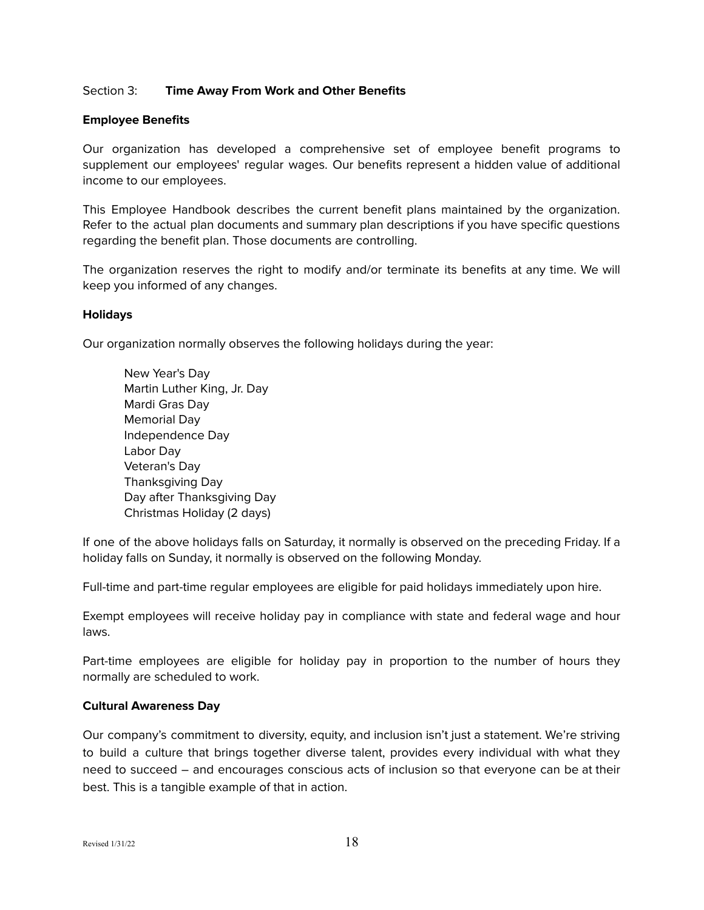#### <span id="page-17-0"></span>Section 3: **Time Away From Work and Other Benefits**

#### <span id="page-17-1"></span>**Employee Benefits**

Our organization has developed a comprehensive set of employee benefit programs to supplement our employees' regular wages. Our benefits represent a hidden value of additional income to our employees.

This Employee Handbook describes the current benefit plans maintained by the organization. Refer to the actual plan documents and summary plan descriptions if you have specific questions regarding the benefit plan. Those documents are controlling.

The organization reserves the right to modify and/or terminate its benefits at any time. We will keep you informed of any changes.

#### <span id="page-17-2"></span>**Holidays**

Our organization normally observes the following holidays during the year:

New Year's Day Martin Luther King, Jr. Day Mardi Gras Day Memorial Day Independence Day Labor Day Veteran's Day Thanksgiving Day Day after Thanksgiving Day Christmas Holiday (2 days)

If one of the above holidays falls on Saturday, it normally is observed on the preceding Friday. If a holiday falls on Sunday, it normally is observed on the following Monday.

Full-time and part-time regular employees are eligible for paid holidays immediately upon hire.

Exempt employees will receive holiday pay in compliance with state and federal wage and hour laws.

Part-time employees are eligible for holiday pay in proportion to the number of hours they normally are scheduled to work.

#### <span id="page-17-3"></span>**Cultural Awareness Day**

Our company's commitment to diversity, equity, and inclusion isn't just a statement. We're striving to build a culture that brings together diverse talent, provides every individual with what they need to succeed – and encourages conscious acts of inclusion so that everyone can be at their best. This is a tangible example of that in action.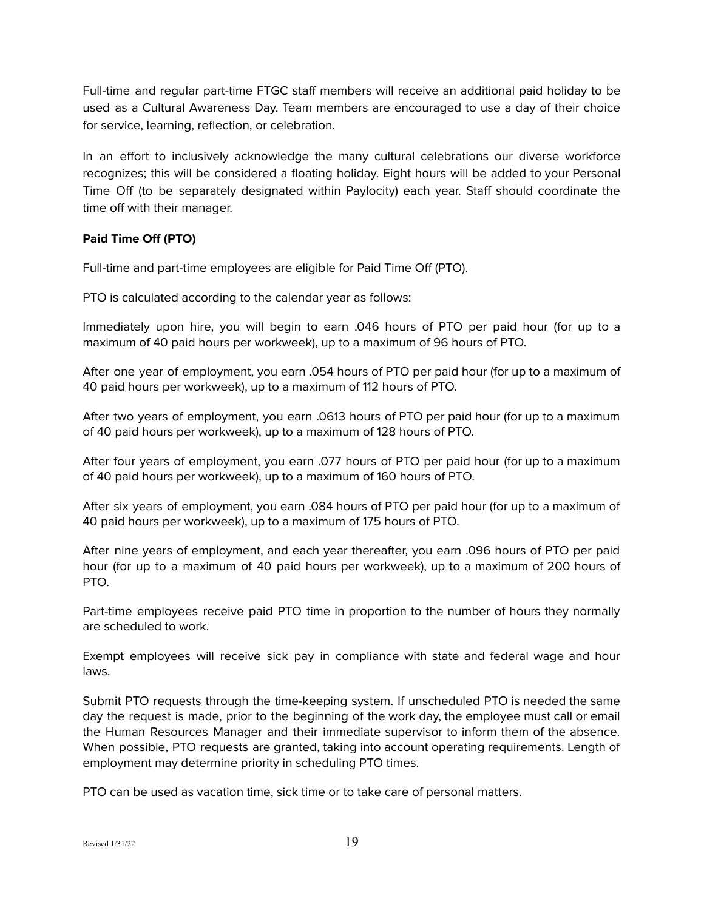Full-time and regular part-time FTGC staff members will receive an additional paid holiday to be used as a Cultural Awareness Day. Team members are encouraged to use a day of their choice for service, learning, reflection, or celebration.

In an effort to inclusively acknowledge the many cultural celebrations our diverse workforce recognizes; this will be considered a floating holiday. Eight hours will be added to your Personal Time Off (to be separately designated within Paylocity) each year. Staff should coordinate the time off with their manager.

## <span id="page-18-0"></span>**Paid Time Off (PTO)**

Full-time and part-time employees are eligible for Paid Time Off (PTO).

PTO is calculated according to the calendar year as follows:

Immediately upon hire, you will begin to earn .046 hours of PTO per paid hour (for up to a maximum of 40 paid hours per workweek), up to a maximum of 96 hours of PTO.

After one year of employment, you earn .054 hours of PTO per paid hour (for up to a maximum of 40 paid hours per workweek), up to a maximum of 112 hours of PTO.

After two years of employment, you earn .0613 hours of PTO per paid hour (for up to a maximum of 40 paid hours per workweek), up to a maximum of 128 hours of PTO.

After four years of employment, you earn .077 hours of PTO per paid hour (for up to a maximum of 40 paid hours per workweek), up to a maximum of 160 hours of PTO.

After six years of employment, you earn .084 hours of PTO per paid hour (for up to a maximum of 40 paid hours per workweek), up to a maximum of 175 hours of PTO.

After nine years of employment, and each year thereafter, you earn .096 hours of PTO per paid hour (for up to a maximum of 40 paid hours per workweek), up to a maximum of 200 hours of PTO.

Part-time employees receive paid PTO time in proportion to the number of hours they normally are scheduled to work.

Exempt employees will receive sick pay in compliance with state and federal wage and hour laws.

Submit PTO requests through the time-keeping system. If unscheduled PTO is needed the same day the request is made, prior to the beginning of the work day, the employee must call or email the Human Resources Manager and their immediate supervisor to inform them of the absence. When possible, PTO requests are granted, taking into account operating requirements. Length of employment may determine priority in scheduling PTO times.

PTO can be used as vacation time, sick time or to take care of personal matters.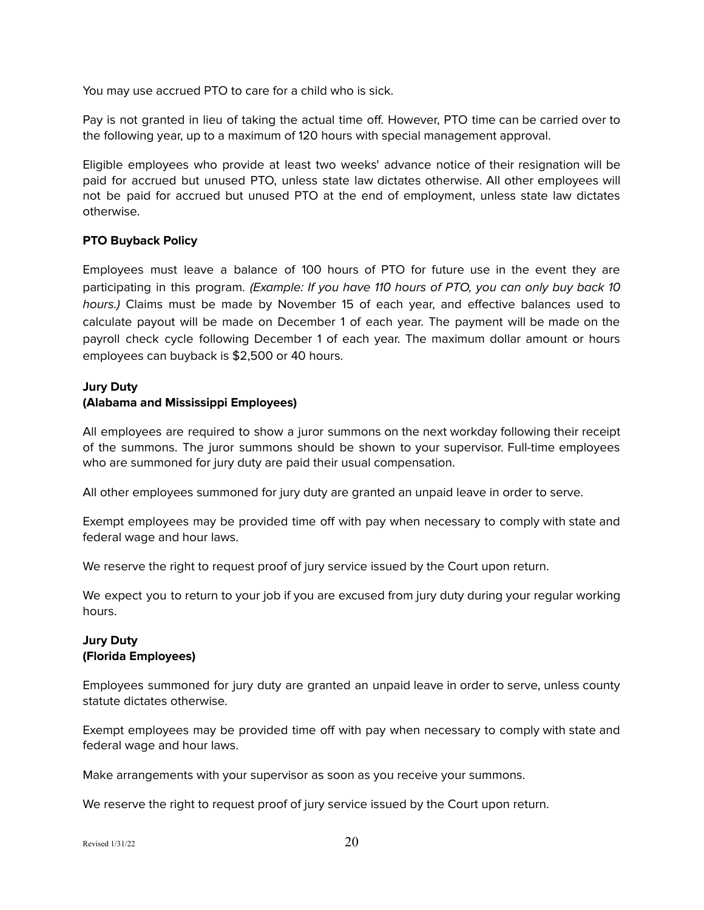You may use accrued PTO to care for a child who is sick.

Pay is not granted in lieu of taking the actual time off. However, PTO time can be carried over to the following year, up to a maximum of 120 hours with special management approval.

Eligible employees who provide at least two weeks' advance notice of their resignation will be paid for accrued but unused PTO, unless state law dictates otherwise. All other employees will not be paid for accrued but unused PTO at the end of employment, unless state law dictates otherwise.

## <span id="page-19-0"></span>**PTO Buyback Policy**

Employees must leave a balance of 100 hours of PTO for future use in the event they are participating in this program. (Example: If you have 110 hours of PTO, you can only buy back 10 hours.) Claims must be made by November 15 of each year, and effective balances used to calculate payout will be made on December 1 of each year. The payment will be made on the payroll check cycle following December 1 of each year. The maximum dollar amount or hours employees can buyback is \$2,500 or 40 hours.

# **Jury Duty**

# <span id="page-19-1"></span>**(Alabama and Mississippi Employees)**

All employees are required to show a juror summons on the next workday following their receipt of the summons. The juror summons should be shown to your supervisor. Full-time employees who are summoned for jury duty are paid their usual compensation.

All other employees summoned for jury duty are granted an unpaid leave in order to serve.

Exempt employees may be provided time off with pay when necessary to comply with state and federal wage and hour laws.

We reserve the right to request proof of jury service issued by the Court upon return.

We expect you to return to your job if you are excused from jury duty during your regular working hours.

## <span id="page-19-2"></span>**Jury Duty (Florida Employees)**

Employees summoned for jury duty are granted an unpaid leave in order to serve, unless county statute dictates otherwise.

Exempt employees may be provided time off with pay when necessary to comply with state and federal wage and hour laws.

Make arrangements with your supervisor as soon as you receive your summons.

We reserve the right to request proof of jury service issued by the Court upon return.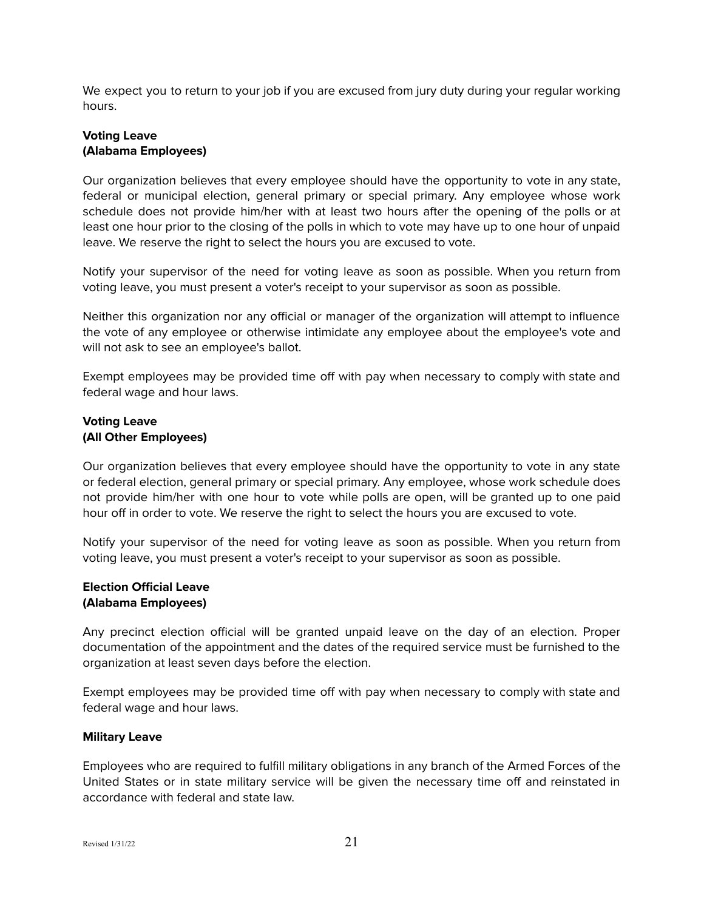We expect you to return to your job if you are excused from jury duty during your regular working hours.

## <span id="page-20-0"></span>**Voting Leave (Alabama Employees)**

Our organization believes that every employee should have the opportunity to vote in any state, federal or municipal election, general primary or special primary. Any employee whose work schedule does not provide him/her with at least two hours after the opening of the polls or at least one hour prior to the closing of the polls in which to vote may have up to one hour of unpaid leave. We reserve the right to select the hours you are excused to vote.

Notify your supervisor of the need for voting leave as soon as possible. When you return from voting leave, you must present a voter's receipt to your supervisor as soon as possible.

Neither this organization nor any official or manager of the organization will attempt to influence the vote of any employee or otherwise intimidate any employee about the employee's vote and will not ask to see an employee's ballot.

Exempt employees may be provided time off with pay when necessary to comply with state and federal wage and hour laws.

# <span id="page-20-1"></span>**Voting Leave (All Other Employees)**

Our organization believes that every employee should have the opportunity to vote in any state or federal election, general primary or special primary. Any employee, whose work schedule does not provide him/her with one hour to vote while polls are open, will be granted up to one paid hour off in order to vote. We reserve the right to select the hours you are excused to vote.

Notify your supervisor of the need for voting leave as soon as possible. When you return from voting leave, you must present a voter's receipt to your supervisor as soon as possible.

## <span id="page-20-2"></span>**Election Official Leave (Alabama Employees)**

Any precinct election official will be granted unpaid leave on the day of an election. Proper documentation of the appointment and the dates of the required service must be furnished to the organization at least seven days before the election.

Exempt employees may be provided time off with pay when necessary to comply with state and federal wage and hour laws.

## <span id="page-20-3"></span>**Military Leave**

Employees who are required to fulfill military obligations in any branch of the Armed Forces of the United States or in state military service will be given the necessary time off and reinstated in accordance with federal and state law.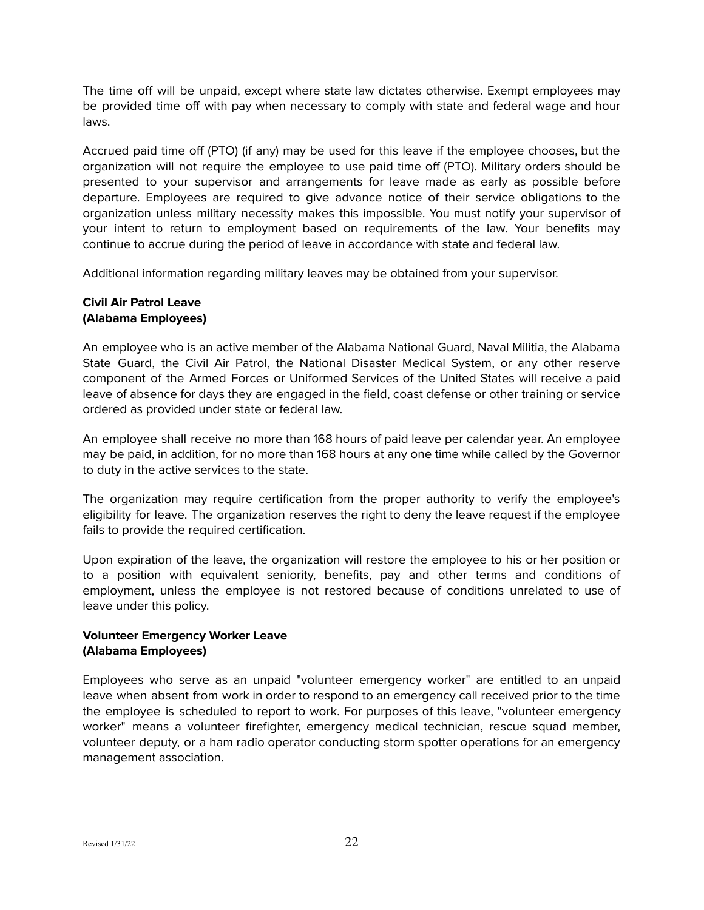The time off will be unpaid, except where state law dictates otherwise. Exempt employees may be provided time off with pay when necessary to comply with state and federal wage and hour laws.

Accrued paid time off (PTO) (if any) may be used for this leave if the employee chooses, but the organization will not require the employee to use paid time off (PTO). Military orders should be presented to your supervisor and arrangements for leave made as early as possible before departure. Employees are required to give advance notice of their service obligations to the organization unless military necessity makes this impossible. You must notify your supervisor of your intent to return to employment based on requirements of the law. Your benefits may continue to accrue during the period of leave in accordance with state and federal law.

Additional information regarding military leaves may be obtained from your supervisor.

## <span id="page-21-0"></span>**Civil Air Patrol Leave (Alabama Employees)**

An employee who is an active member of the Alabama National Guard, Naval Militia, the Alabama State Guard, the Civil Air Patrol, the National Disaster Medical System, or any other reserve component of the Armed Forces or Uniformed Services of the United States will receive a paid leave of absence for days they are engaged in the field, coast defense or other training or service ordered as provided under state or federal law.

An employee shall receive no more than 168 hours of paid leave per calendar year. An employee may be paid, in addition, for no more than 168 hours at any one time while called by the Governor to duty in the active services to the state.

The organization may require certification from the proper authority to verify the employee's eligibility for leave. The organization reserves the right to deny the leave request if the employee fails to provide the required certification.

Upon expiration of the leave, the organization will restore the employee to his or her position or to a position with equivalent seniority, benefits, pay and other terms and conditions of employment, unless the employee is not restored because of conditions unrelated to use of leave under this policy.

# <span id="page-21-1"></span>**Volunteer Emergency Worker Leave (Alabama Employees)**

Employees who serve as an unpaid "volunteer emergency worker" are entitled to an unpaid leave when absent from work in order to respond to an emergency call received prior to the time the employee is scheduled to report to work. For purposes of this leave, "volunteer emergency worker" means a volunteer firefighter, emergency medical technician, rescue squad member, volunteer deputy, or a ham radio operator conducting storm spotter operations for an emergency management association.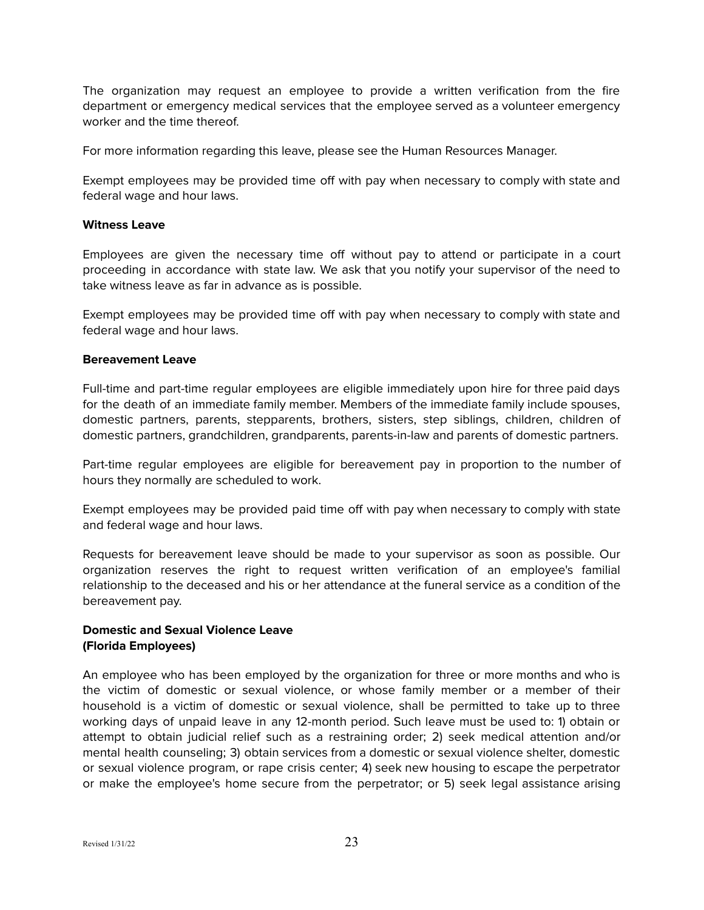The organization may request an employee to provide a written verification from the fire department or emergency medical services that the employee served as a volunteer emergency worker and the time thereof.

For more information regarding this leave, please see the Human Resources Manager.

Exempt employees may be provided time off with pay when necessary to comply with state and federal wage and hour laws.

#### <span id="page-22-0"></span>**Witness Leave**

Employees are given the necessary time off without pay to attend or participate in a court proceeding in accordance with state law. We ask that you notify your supervisor of the need to take witness leave as far in advance as is possible.

Exempt employees may be provided time off with pay when necessary to comply with state and federal wage and hour laws.

#### <span id="page-22-1"></span>**Bereavement Leave**

Full-time and part-time regular employees are eligible immediately upon hire for three paid days for the death of an immediate family member. Members of the immediate family include spouses, domestic partners, parents, stepparents, brothers, sisters, step siblings, children, children of domestic partners, grandchildren, grandparents, parents-in-law and parents of domestic partners.

Part-time regular employees are eligible for bereavement pay in proportion to the number of hours they normally are scheduled to work.

Exempt employees may be provided paid time off with pay when necessary to comply with state and federal wage and hour laws.

Requests for bereavement leave should be made to your supervisor as soon as possible. Our organization reserves the right to request written verification of an employee's familial relationship to the deceased and his or her attendance at the funeral service as a condition of the bereavement pay.

## <span id="page-22-2"></span>**Domestic and Sexual Violence Leave (Florida Employees)**

An employee who has been employed by the organization for three or more months and who is the victim of domestic or sexual violence, or whose family member or a member of their household is a victim of domestic or sexual violence, shall be permitted to take up to three working days of unpaid leave in any 12-month period. Such leave must be used to: 1) obtain or attempt to obtain judicial relief such as a restraining order; 2) seek medical attention and/or mental health counseling; 3) obtain services from a domestic or sexual violence shelter, domestic or sexual violence program, or rape crisis center; 4) seek new housing to escape the perpetrator or make the employee's home secure from the perpetrator; or 5) seek legal assistance arising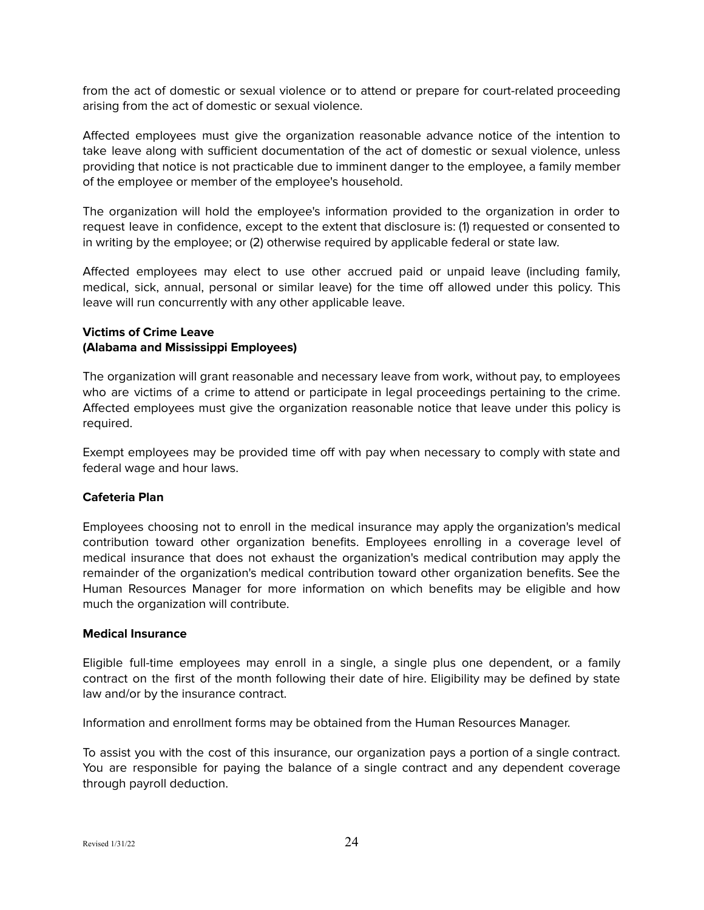from the act of domestic or sexual violence or to attend or prepare for court-related proceeding arising from the act of domestic or sexual violence.

Affected employees must give the organization reasonable advance notice of the intention to take leave along with sufficient documentation of the act of domestic or sexual violence, unless providing that notice is not practicable due to imminent danger to the employee, a family member of the employee or member of the employee's household.

The organization will hold the employee's information provided to the organization in order to request leave in confidence, except to the extent that disclosure is: (1) requested or consented to in writing by the employee; or (2) otherwise required by applicable federal or state law.

Affected employees may elect to use other accrued paid or unpaid leave (including family, medical, sick, annual, personal or similar leave) for the time off allowed under this policy. This leave will run concurrently with any other applicable leave.

## <span id="page-23-0"></span>**Victims of Crime Leave (Alabama and Mississippi Employees)**

The organization will grant reasonable and necessary leave from work, without pay, to employees who are victims of a crime to attend or participate in legal proceedings pertaining to the crime. Affected employees must give the organization reasonable notice that leave under this policy is required.

Exempt employees may be provided time off with pay when necessary to comply with state and federal wage and hour laws.

## <span id="page-23-1"></span>**Cafeteria Plan**

Employees choosing not to enroll in the medical insurance may apply the organization's medical contribution toward other organization benefits. Employees enrolling in a coverage level of medical insurance that does not exhaust the organization's medical contribution may apply the remainder of the organization's medical contribution toward other organization benefits. See the Human Resources Manager for more information on which benefits may be eligible and how much the organization will contribute.

## <span id="page-23-2"></span>**Medical Insurance**

Eligible full-time employees may enroll in a single, a single plus one dependent, or a family contract on the first of the month following their date of hire. Eligibility may be defined by state law and/or by the insurance contract.

Information and enrollment forms may be obtained from the Human Resources Manager.

To assist you with the cost of this insurance, our organization pays a portion of a single contract. You are responsible for paying the balance of a single contract and any dependent coverage through payroll deduction.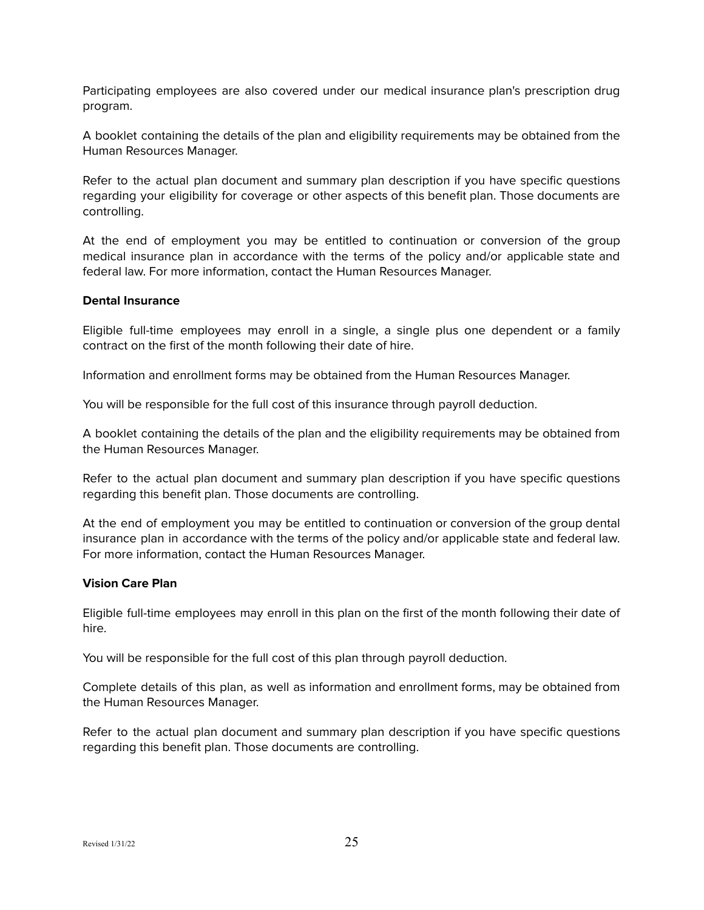Participating employees are also covered under our medical insurance plan's prescription drug program.

A booklet containing the details of the plan and eligibility requirements may be obtained from the Human Resources Manager.

Refer to the actual plan document and summary plan description if you have specific questions regarding your eligibility for coverage or other aspects of this benefit plan. Those documents are controlling.

At the end of employment you may be entitled to continuation or conversion of the group medical insurance plan in accordance with the terms of the policy and/or applicable state and federal law. For more information, contact the Human Resources Manager.

#### <span id="page-24-0"></span>**Dental Insurance**

Eligible full-time employees may enroll in a single, a single plus one dependent or a family contract on the first of the month following their date of hire.

Information and enrollment forms may be obtained from the Human Resources Manager.

You will be responsible for the full cost of this insurance through payroll deduction.

A booklet containing the details of the plan and the eligibility requirements may be obtained from the Human Resources Manager.

Refer to the actual plan document and summary plan description if you have specific questions regarding this benefit plan. Those documents are controlling.

At the end of employment you may be entitled to continuation or conversion of the group dental insurance plan in accordance with the terms of the policy and/or applicable state and federal law. For more information, contact the Human Resources Manager.

#### <span id="page-24-1"></span>**Vision Care Plan**

Eligible full-time employees may enroll in this plan on the first of the month following their date of hire.

You will be responsible for the full cost of this plan through payroll deduction.

Complete details of this plan, as well as information and enrollment forms, may be obtained from the Human Resources Manager.

Refer to the actual plan document and summary plan description if you have specific questions regarding this benefit plan. Those documents are controlling.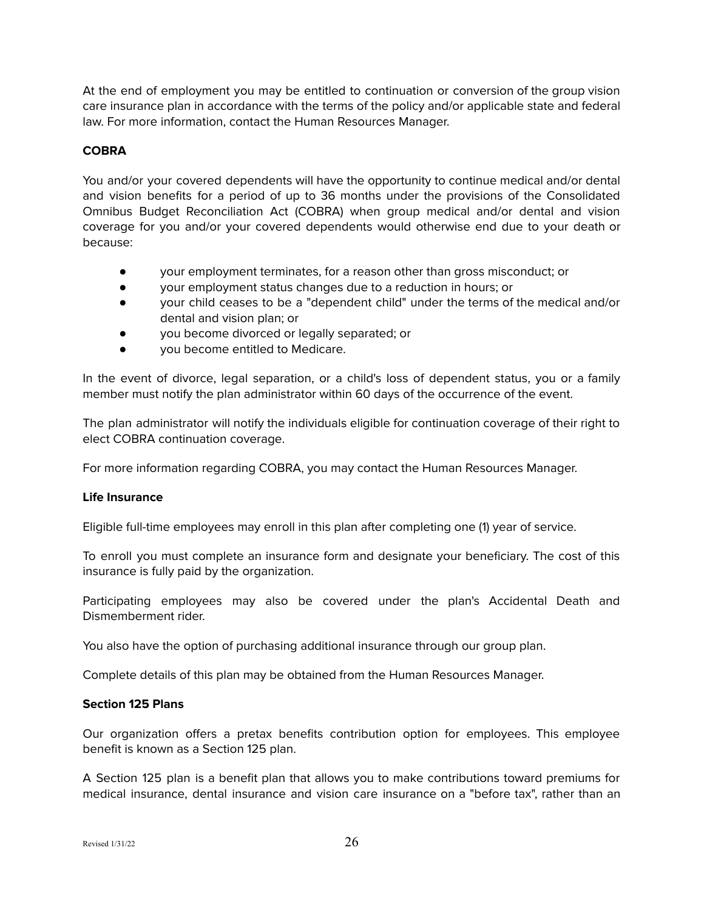At the end of employment you may be entitled to continuation or conversion of the group vision care insurance plan in accordance with the terms of the policy and/or applicable state and federal law. For more information, contact the Human Resources Manager.

## <span id="page-25-0"></span>**COBRA**

You and/or your covered dependents will have the opportunity to continue medical and/or dental and vision benefits for a period of up to 36 months under the provisions of the Consolidated Omnibus Budget Reconciliation Act (COBRA) when group medical and/or dental and vision coverage for you and/or your covered dependents would otherwise end due to your death or because:

- your employment terminates, for a reason other than gross misconduct; or
- your employment status changes due to a reduction in hours; or
- your child ceases to be a "dependent child" under the terms of the medical and/or dental and vision plan; or
- you become divorced or legally separated; or
- you become entitled to Medicare.

In the event of divorce, legal separation, or a child's loss of dependent status, you or a family member must notify the plan administrator within 60 days of the occurrence of the event.

The plan administrator will notify the individuals eligible for continuation coverage of their right to elect COBRA continuation coverage.

For more information regarding COBRA, you may contact the Human Resources Manager.

#### <span id="page-25-1"></span>**Life Insurance**

Eligible full-time employees may enroll in this plan after completing one (1) year of service.

To enroll you must complete an insurance form and designate your beneficiary. The cost of this insurance is fully paid by the organization.

Participating employees may also be covered under the plan's Accidental Death and Dismemberment rider.

You also have the option of purchasing additional insurance through our group plan.

Complete details of this plan may be obtained from the Human Resources Manager.

## <span id="page-25-2"></span>**Section 125 Plans**

Our organization offers a pretax benefits contribution option for employees. This employee benefit is known as a Section 125 plan.

A Section 125 plan is a benefit plan that allows you to make contributions toward premiums for medical insurance, dental insurance and vision care insurance on a "before tax", rather than an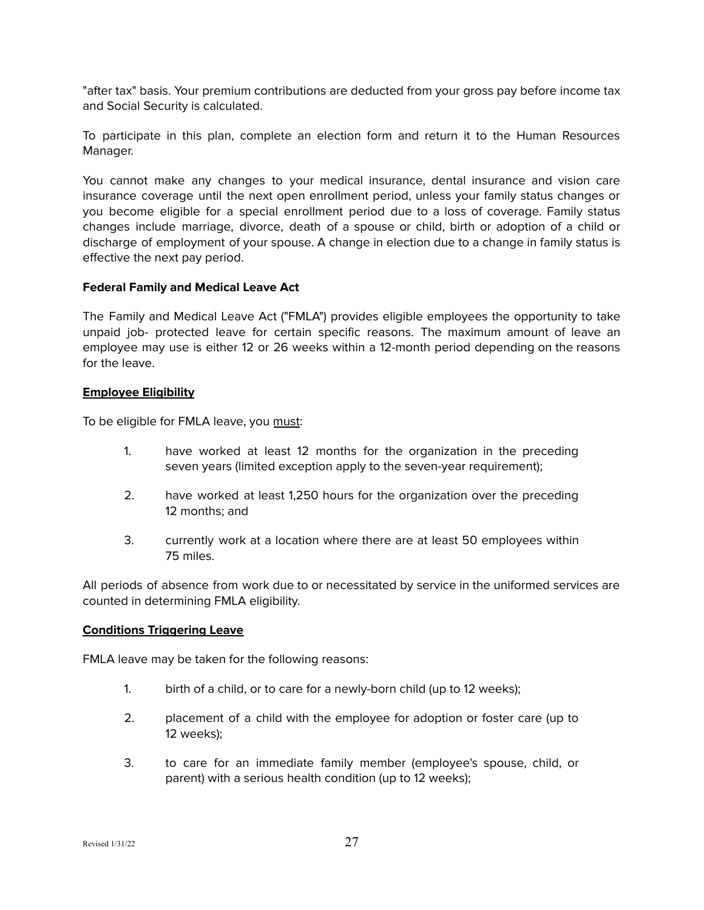"after tax" basis. Your premium contributions are deducted from your gross pay before income tax and Social Security is calculated.

To participate in this plan, complete an election form and return it to the Human Resources Manager.

You cannot make any changes to your medical insurance, dental insurance and vision care insurance coverage until the next open enrollment period, unless your family status changes or you become eligible for a special enrollment period due to a loss of coverage. Family status changes include marriage, divorce, death of a spouse or child, birth or adoption of a child or discharge of employment of your spouse. A change in election due to a change in family status is effective the next pay period.

## **Federal Family and Medical Leave Act**

The Family and Medical Leave Act ("FMLA") provides eligible employees the opportunity to take unpaid job- protected leave for certain specific reasons. The maximum amount of leave an employee may use is either 12 or 26 weeks within a 12-month period depending on the reasons for the leave.

## **Employee Eligibility**

To be eligible for FMLA leave, you must:

- 1. have worked at least 12 months for the organization in the preceding seven years (limited exception apply to the seven-year requirement);
- 2. have worked at least 1,250 hours for the organization over the preceding 12 months; and
- 3. currently work at a location where there are at least 50 employees within 75 miles.

All periods of absence from work due to or necessitated by service in the uniformed services are counted in determining FMLA eligibility.

## **Conditions Triggering Leave**

FMLA leave may be taken for the following reasons:

- 1. birth of a child, or to care for a newly-born child (up to 12 weeks);
- 2. placement of a child with the employee for adoption or foster care (up to 12 weeks);
- 3. to care for an immediate family member (employee's spouse, child, or parent) with a serious health condition (up to 12 weeks);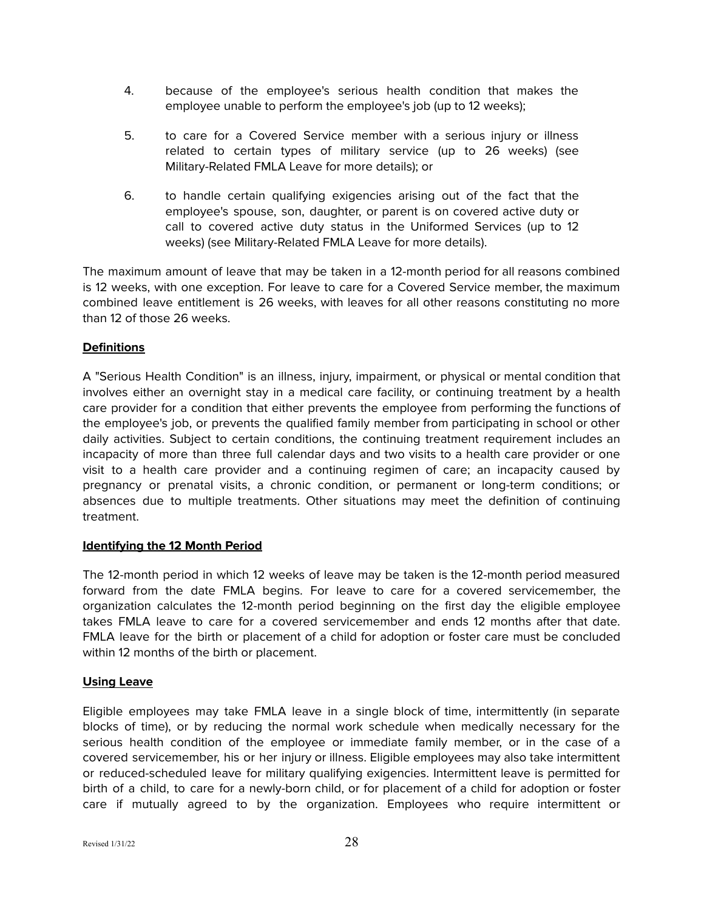- 4. because of the employee's serious health condition that makes the employee unable to perform the employee's job (up to 12 weeks);
- 5. to care for a Covered Service member with a serious injury or illness related to certain types of military service (up to 26 weeks) (see Military-Related FMLA Leave for more details); or
- 6. to handle certain qualifying exigencies arising out of the fact that the employee's spouse, son, daughter, or parent is on covered active duty or call to covered active duty status in the Uniformed Services (up to 12 weeks) (see Military-Related FMLA Leave for more details).

The maximum amount of leave that may be taken in a 12-month period for all reasons combined is 12 weeks, with one exception. For leave to care for a Covered Service member, the maximum combined leave entitlement is 26 weeks, with leaves for all other reasons constituting no more than 12 of those 26 weeks.

# **Definitions**

A "Serious Health Condition" is an illness, injury, impairment, or physical or mental condition that involves either an overnight stay in a medical care facility, or continuing treatment by a health care provider for a condition that either prevents the employee from performing the functions of the employee's job, or prevents the qualified family member from participating in school or other daily activities. Subject to certain conditions, the continuing treatment requirement includes an incapacity of more than three full calendar days and two visits to a health care provider or one visit to a health care provider and a continuing regimen of care; an incapacity caused by pregnancy or prenatal visits, a chronic condition, or permanent or long-term conditions; or absences due to multiple treatments. Other situations may meet the definition of continuing treatment.

## **Identifying the 12 Month Period**

The 12-month period in which 12 weeks of leave may be taken is the 12-month period measured forward from the date FMLA begins. For leave to care for a covered servicemember, the organization calculates the 12-month period beginning on the first day the eligible employee takes FMLA leave to care for a covered servicemember and ends 12 months after that date. FMLA leave for the birth or placement of a child for adoption or foster care must be concluded within 12 months of the birth or placement.

## **Using Leave**

Eligible employees may take FMLA leave in a single block of time, intermittently (in separate blocks of time), or by reducing the normal work schedule when medically necessary for the serious health condition of the employee or immediate family member, or in the case of a covered servicemember, his or her injury or illness. Eligible employees may also take intermittent or reduced-scheduled leave for military qualifying exigencies. Intermittent leave is permitted for birth of a child, to care for a newly-born child, or for placement of a child for adoption or foster care if mutually agreed to by the organization. Employees who require intermittent or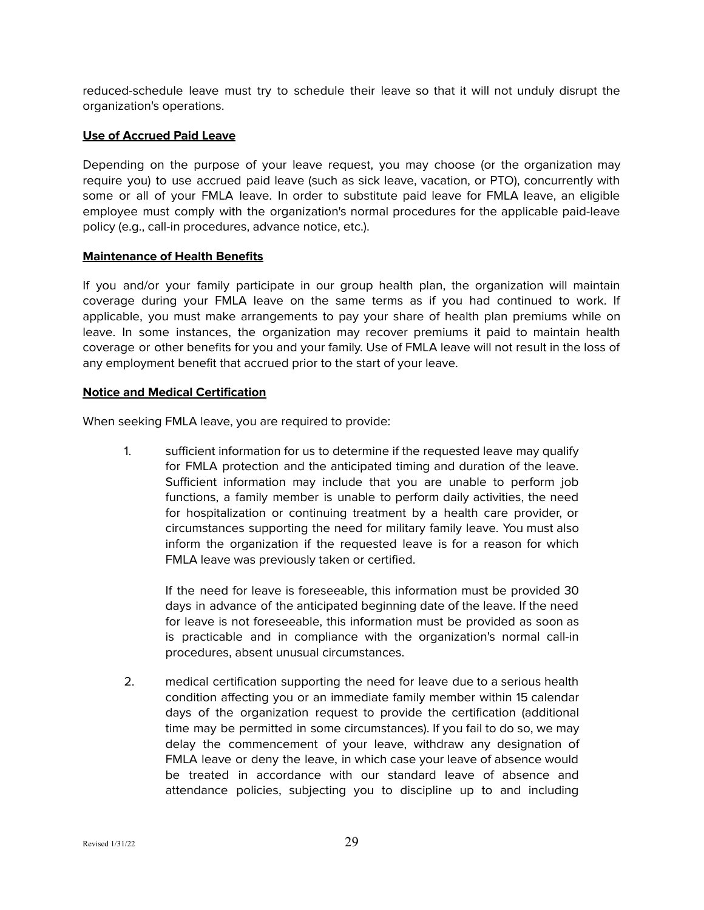reduced-schedule leave must try to schedule their leave so that it will not unduly disrupt the organization's operations.

## **Use of Accrued Paid Leave**

Depending on the purpose of your leave request, you may choose (or the organization may require you) to use accrued paid leave (such as sick leave, vacation, or PTO), concurrently with some or all of your FMLA leave. In order to substitute paid leave for FMLA leave, an eligible employee must comply with the organization's normal procedures for the applicable paid-leave policy (e.g., call-in procedures, advance notice, etc.).

## **Maintenance of Health Benefits**

If you and/or your family participate in our group health plan, the organization will maintain coverage during your FMLA leave on the same terms as if you had continued to work. If applicable, you must make arrangements to pay your share of health plan premiums while on leave. In some instances, the organization may recover premiums it paid to maintain health coverage or other benefits for you and your family. Use of FMLA leave will not result in the loss of any employment benefit that accrued prior to the start of your leave.

## **Notice and Medical Certification**

When seeking FMLA leave, you are required to provide:

1. sufficient information for us to determine if the requested leave may qualify for FMLA protection and the anticipated timing and duration of the leave. Sufficient information may include that you are unable to perform job functions, a family member is unable to perform daily activities, the need for hospitalization or continuing treatment by a health care provider, or circumstances supporting the need for military family leave. You must also inform the organization if the requested leave is for a reason for which FMLA leave was previously taken or certified.

If the need for leave is foreseeable, this information must be provided 30 days in advance of the anticipated beginning date of the leave. If the need for leave is not foreseeable, this information must be provided as soon as is practicable and in compliance with the organization's normal call-in procedures, absent unusual circumstances.

2. medical certification supporting the need for leave due to a serious health condition affecting you or an immediate family member within 15 calendar days of the organization request to provide the certification (additional time may be permitted in some circumstances). If you fail to do so, we may delay the commencement of your leave, withdraw any designation of FMLA leave or deny the leave, in which case your leave of absence would be treated in accordance with our standard leave of absence and attendance policies, subjecting you to discipline up to and including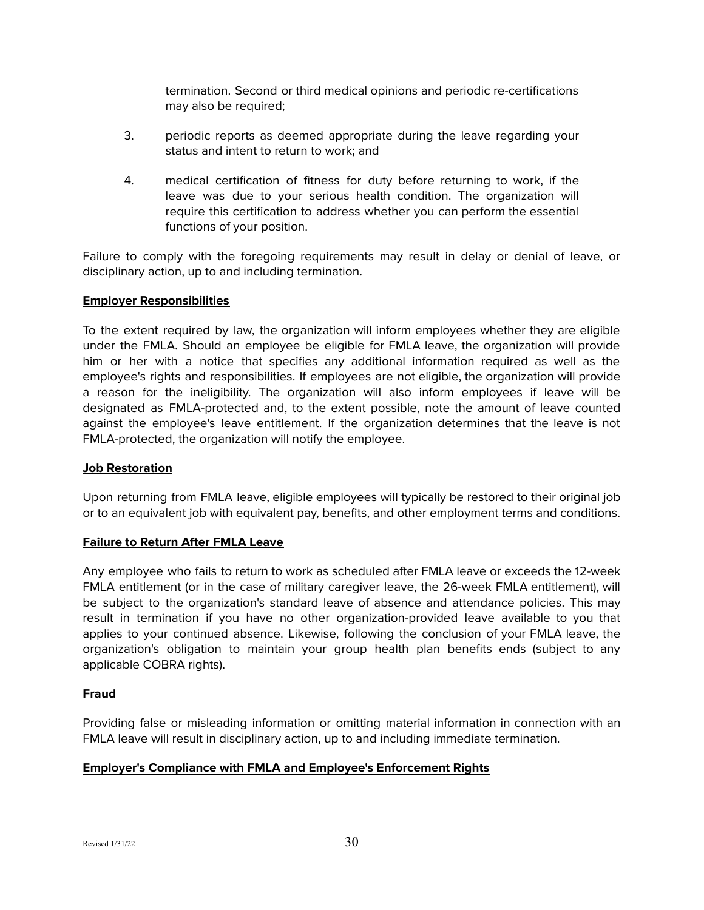termination. Second or third medical opinions and periodic re-certifications may also be required;

- 3. periodic reports as deemed appropriate during the leave regarding your status and intent to return to work; and
- 4. medical certification of fitness for duty before returning to work, if the leave was due to your serious health condition. The organization will require this certification to address whether you can perform the essential functions of your position.

Failure to comply with the foregoing requirements may result in delay or denial of leave, or disciplinary action, up to and including termination.

## **Employer Responsibilities**

To the extent required by law, the organization will inform employees whether they are eligible under the FMLA. Should an employee be eligible for FMLA leave, the organization will provide him or her with a notice that specifies any additional information required as well as the employee's rights and responsibilities. If employees are not eligible, the organization will provide a reason for the ineligibility. The organization will also inform employees if leave will be designated as FMLA-protected and, to the extent possible, note the amount of leave counted against the employee's leave entitlement. If the organization determines that the leave is not FMLA-protected, the organization will notify the employee.

## **Job Restoration**

Upon returning from FMLA leave, eligible employees will typically be restored to their original job or to an equivalent job with equivalent pay, benefits, and other employment terms and conditions.

## **Failure to Return After FMLA Leave**

Any employee who fails to return to work as scheduled after FMLA leave or exceeds the 12-week FMLA entitlement (or in the case of military caregiver leave, the 26-week FMLA entitlement), will be subject to the organization's standard leave of absence and attendance policies. This may result in termination if you have no other organization-provided leave available to you that applies to your continued absence. Likewise, following the conclusion of your FMLA leave, the organization's obligation to maintain your group health plan benefits ends (subject to any applicable COBRA rights).

# **Fraud**

Providing false or misleading information or omitting material information in connection with an FMLA leave will result in disciplinary action, up to and including immediate termination.

# **Employer's Compliance with FMLA and Employee's Enforcement Rights**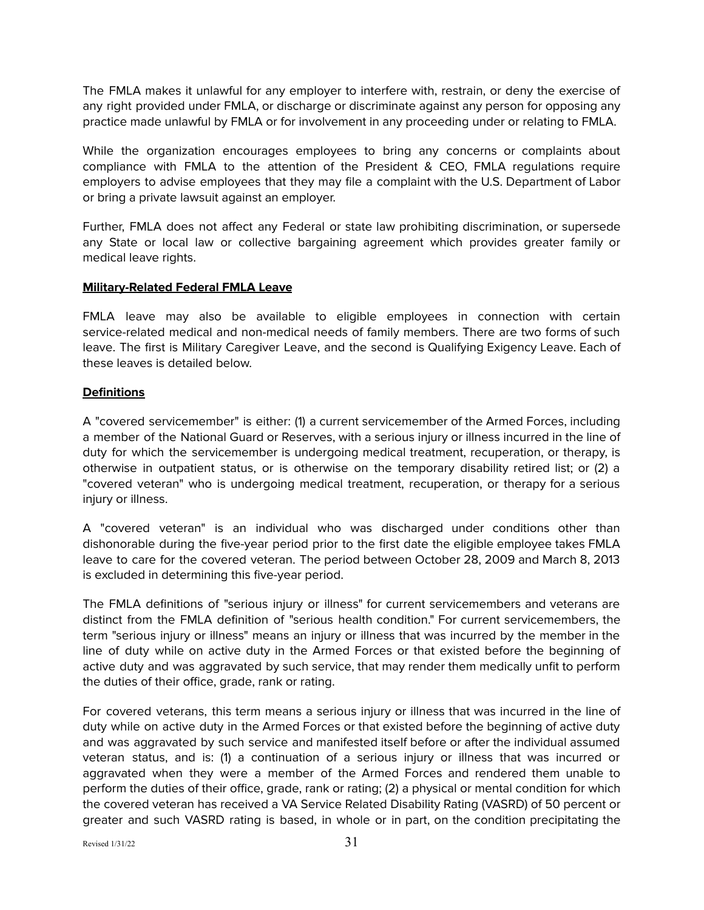The FMLA makes it unlawful for any employer to interfere with, restrain, or deny the exercise of any right provided under FMLA, or discharge or discriminate against any person for opposing any practice made unlawful by FMLA or for involvement in any proceeding under or relating to FMLA.

While the organization encourages employees to bring any concerns or complaints about compliance with FMLA to the attention of the President & CEO, FMLA regulations require employers to advise employees that they may file a complaint with the U.S. Department of Labor or bring a private lawsuit against an employer.

Further, FMLA does not affect any Federal or state law prohibiting discrimination, or supersede any State or local law or collective bargaining agreement which provides greater family or medical leave rights.

## **Military-Related Federal FMLA Leave**

FMLA leave may also be available to eligible employees in connection with certain service-related medical and non-medical needs of family members. There are two forms of such leave. The first is Military Caregiver Leave, and the second is Qualifying Exigency Leave. Each of these leaves is detailed below.

## **Definitions**

A "covered servicemember" is either: (1) a current servicemember of the Armed Forces, including a member of the National Guard or Reserves, with a serious injury or illness incurred in the line of duty for which the servicemember is undergoing medical treatment, recuperation, or therapy, is otherwise in outpatient status, or is otherwise on the temporary disability retired list; or (2) a "covered veteran" who is undergoing medical treatment, recuperation, or therapy for a serious injury or illness.

A "covered veteran" is an individual who was discharged under conditions other than dishonorable during the five-year period prior to the first date the eligible employee takes FMLA leave to care for the covered veteran. The period between October 28, 2009 and March 8, 2013 is excluded in determining this five-year period.

The FMLA definitions of "serious injury or illness" for current servicemembers and veterans are distinct from the FMLA definition of "serious health condition." For current servicemembers, the term "serious injury or illness" means an injury or illness that was incurred by the member in the line of duty while on active duty in the Armed Forces or that existed before the beginning of active duty and was aggravated by such service, that may render them medically unfit to perform the duties of their office, grade, rank or rating.

For covered veterans, this term means a serious injury or illness that was incurred in the line of duty while on active duty in the Armed Forces or that existed before the beginning of active duty and was aggravated by such service and manifested itself before or after the individual assumed veteran status, and is: (1) a continuation of a serious injury or illness that was incurred or aggravated when they were a member of the Armed Forces and rendered them unable to perform the duties of their office, grade, rank or rating; (2) a physical or mental condition for which the covered veteran has received a VA Service Related Disability Rating (VASRD) of 50 percent or greater and such VASRD rating is based, in whole or in part, on the condition precipitating the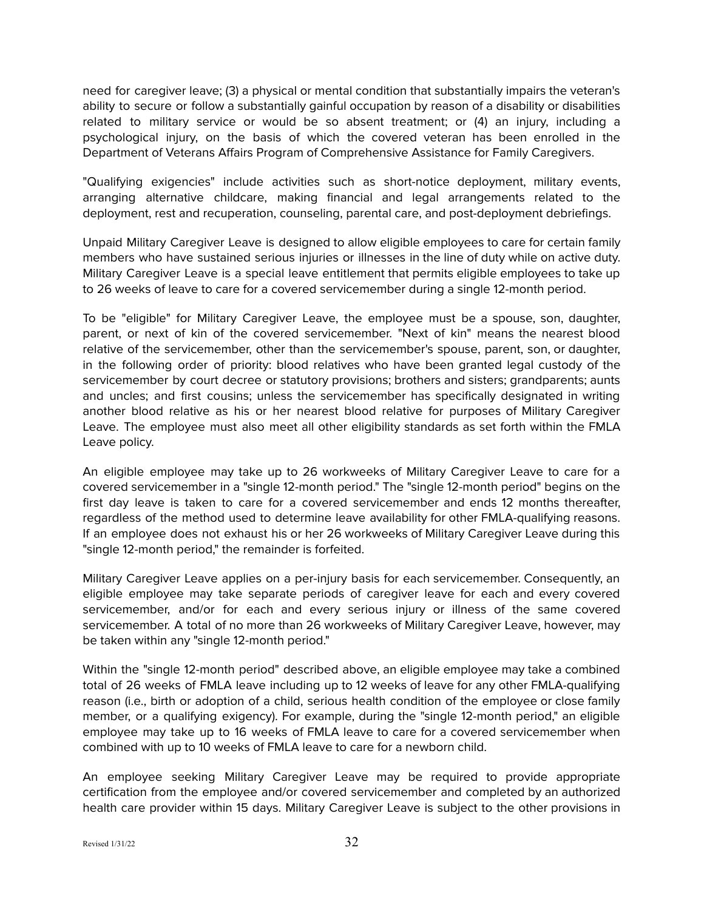need for caregiver leave; (3) a physical or mental condition that substantially impairs the veteran's ability to secure or follow a substantially gainful occupation by reason of a disability or disabilities related to military service or would be so absent treatment; or (4) an injury, including a psychological injury, on the basis of which the covered veteran has been enrolled in the Department of Veterans Affairs Program of Comprehensive Assistance for Family Caregivers.

"Qualifying exigencies" include activities such as short-notice deployment, military events, arranging alternative childcare, making financial and legal arrangements related to the deployment, rest and recuperation, counseling, parental care, and post-deployment debriefings.

Unpaid Military Caregiver Leave is designed to allow eligible employees to care for certain family members who have sustained serious injuries or illnesses in the line of duty while on active duty. Military Caregiver Leave is a special leave entitlement that permits eligible employees to take up to 26 weeks of leave to care for a covered servicemember during a single 12-month period.

To be "eligible" for Military Caregiver Leave, the employee must be a spouse, son, daughter, parent, or next of kin of the covered servicemember. "Next of kin" means the nearest blood relative of the servicemember, other than the servicemember's spouse, parent, son, or daughter, in the following order of priority: blood relatives who have been granted legal custody of the servicemember by court decree or statutory provisions; brothers and sisters; grandparents; aunts and uncles; and first cousins; unless the servicemember has specifically designated in writing another blood relative as his or her nearest blood relative for purposes of Military Caregiver Leave. The employee must also meet all other eligibility standards as set forth within the FMLA Leave policy.

An eligible employee may take up to 26 workweeks of Military Caregiver Leave to care for a covered servicemember in a "single 12-month period." The "single 12-month period" begins on the first day leave is taken to care for a covered servicemember and ends 12 months thereafter, regardless of the method used to determine leave availability for other FMLA-qualifying reasons. If an employee does not exhaust his or her 26 workweeks of Military Caregiver Leave during this "single 12-month period," the remainder is forfeited.

Military Caregiver Leave applies on a per-injury basis for each servicemember. Consequently, an eligible employee may take separate periods of caregiver leave for each and every covered servicemember, and/or for each and every serious injury or illness of the same covered servicemember. A total of no more than 26 workweeks of Military Caregiver Leave, however, may be taken within any "single 12-month period."

Within the "single 12-month period" described above, an eligible employee may take a combined total of 26 weeks of FMLA leave including up to 12 weeks of leave for any other FMLA-qualifying reason (i.e., birth or adoption of a child, serious health condition of the employee or close family member, or a qualifying exigency). For example, during the "single 12-month period," an eligible employee may take up to 16 weeks of FMLA leave to care for a covered servicemember when combined with up to 10 weeks of FMLA leave to care for a newborn child.

An employee seeking Military Caregiver Leave may be required to provide appropriate certification from the employee and/or covered servicemember and completed by an authorized health care provider within 15 days. Military Caregiver Leave is subject to the other provisions in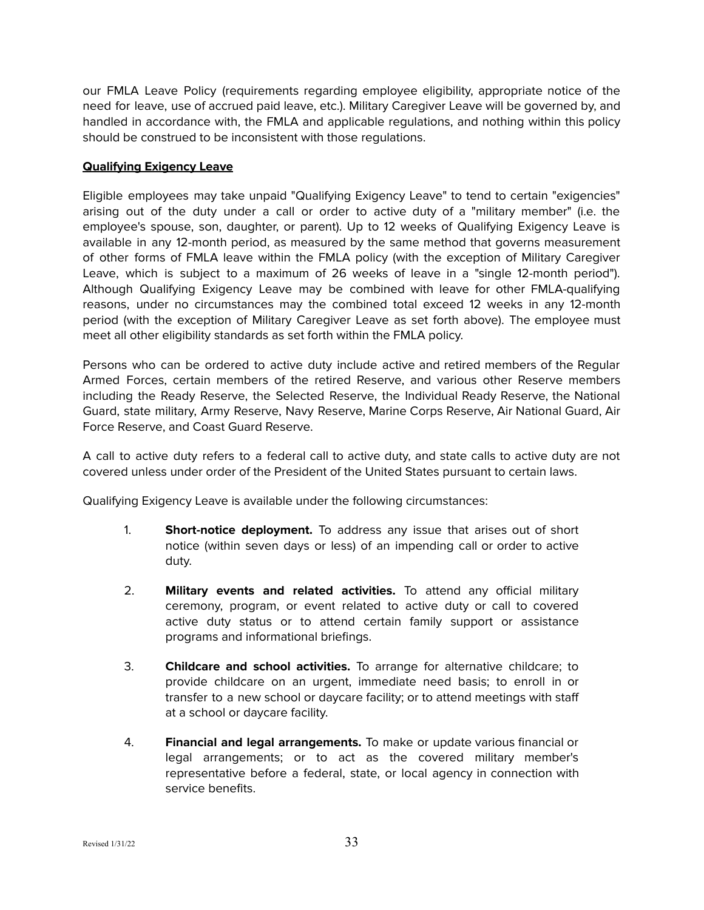our FMLA Leave Policy (requirements regarding employee eligibility, appropriate notice of the need for leave, use of accrued paid leave, etc.). Military Caregiver Leave will be governed by, and handled in accordance with, the FMLA and applicable regulations, and nothing within this policy should be construed to be inconsistent with those regulations.

## **Qualifying Exigency Leave**

Eligible employees may take unpaid "Qualifying Exigency Leave" to tend to certain "exigencies" arising out of the duty under a call or order to active duty of a "military member" (i.e. the employee's spouse, son, daughter, or parent). Up to 12 weeks of Qualifying Exigency Leave is available in any 12-month period, as measured by the same method that governs measurement of other forms of FMLA leave within the FMLA policy (with the exception of Military Caregiver Leave, which is subject to a maximum of 26 weeks of leave in a "single 12-month period"). Although Qualifying Exigency Leave may be combined with leave for other FMLA-qualifying reasons, under no circumstances may the combined total exceed 12 weeks in any 12-month period (with the exception of Military Caregiver Leave as set forth above). The employee must meet all other eligibility standards as set forth within the FMLA policy.

Persons who can be ordered to active duty include active and retired members of the Regular Armed Forces, certain members of the retired Reserve, and various other Reserve members including the Ready Reserve, the Selected Reserve, the Individual Ready Reserve, the National Guard, state military, Army Reserve, Navy Reserve, Marine Corps Reserve, Air National Guard, Air Force Reserve, and Coast Guard Reserve.

A call to active duty refers to a federal call to active duty, and state calls to active duty are not covered unless under order of the President of the United States pursuant to certain laws.

Qualifying Exigency Leave is available under the following circumstances:

- 1. **Short-notice deployment.** To address any issue that arises out of short notice (within seven days or less) of an impending call or order to active duty.
- 2. **Military events and related activities.** To attend any official military ceremony, program, or event related to active duty or call to covered active duty status or to attend certain family support or assistance programs and informational briefings.
- 3. **Childcare and school activities.** To arrange for alternative childcare; to provide childcare on an urgent, immediate need basis; to enroll in or transfer to a new school or daycare facility; or to attend meetings with staff at a school or daycare facility.
- 4. **Financial and legal arrangements.** To make or update various financial or legal arrangements; or to act as the covered military member's representative before a federal, state, or local agency in connection with service benefits.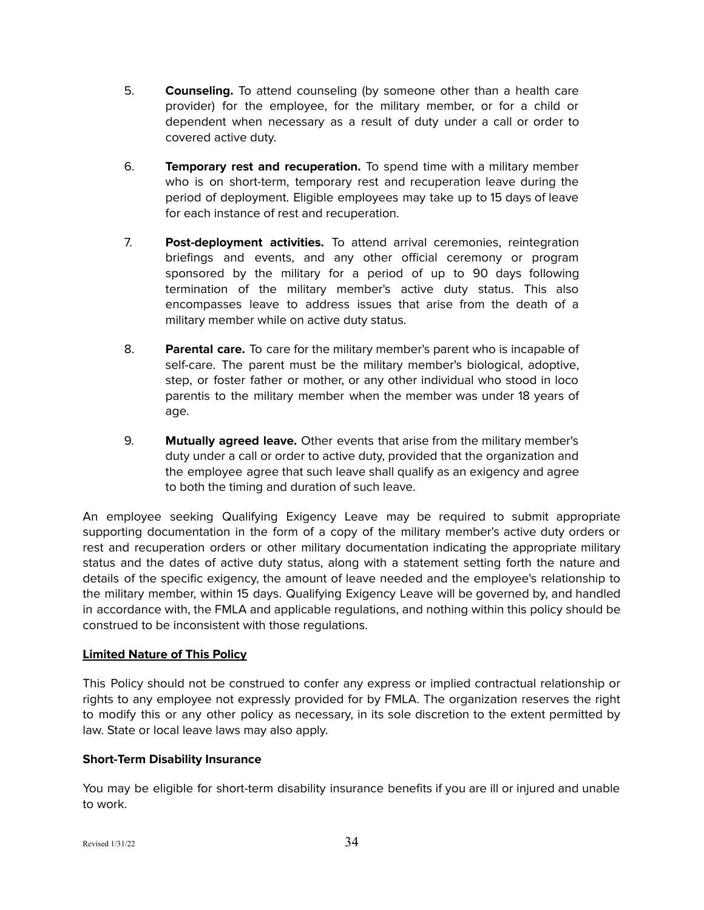- 5. **Counseling.** To attend counseling (by someone other than a health care provider) for the employee, for the military member, or for a child or dependent when necessary as a result of duty under a call or order to covered active duty.
- 6. **Temporary rest and recuperation.** To spend time with a military member who is on short-term, temporary rest and recuperation leave during the period of deployment. Eligible employees may take up to 15 days of leave for each instance of rest and recuperation.
- 7. **Post-deployment activities.** To attend arrival ceremonies, reintegration briefings and events, and any other official ceremony or program sponsored by the military for a period of up to 90 days following termination of the military member's active duty status. This also encompasses leave to address issues that arise from the death of a military member while on active duty status.
- 8. **Parental care.** To care for the military member's parent who is incapable of self-care. The parent must be the military member's biological, adoptive, step, or foster father or mother, or any other individual who stood in loco parentis to the military member when the member was under 18 years of age.
- 9. **Mutually agreed leave.** Other events that arise from the military member's duty under a call or order to active duty, provided that the organization and the employee agree that such leave shall qualify as an exigency and agree to both the timing and duration of such leave.

An employee seeking Qualifying Exigency Leave may be required to submit appropriate supporting documentation in the form of a copy of the military member's active duty orders or rest and recuperation orders or other military documentation indicating the appropriate military status and the dates of active duty status, along with a statement setting forth the nature and details of the specific exigency, the amount of leave needed and the employee's relationship to the military member, within 15 days. Qualifying Exigency Leave will be governed by, and handled in accordance with, the FMLA and applicable regulations, and nothing within this policy should be construed to be inconsistent with those regulations.

# **Limited Nature of This Policy**

This Policy should not be construed to confer any express or implied contractual relationship or rights to any employee not expressly provided for by FMLA. The organization reserves the right to modify this or any other policy as necessary, in its sole discretion to the extent permitted by law. State or local leave laws may also apply.

# <span id="page-33-0"></span>**Short-Term Disability Insurance**

You may be eligible for short-term disability insurance benefits if you are ill or injured and unable to work.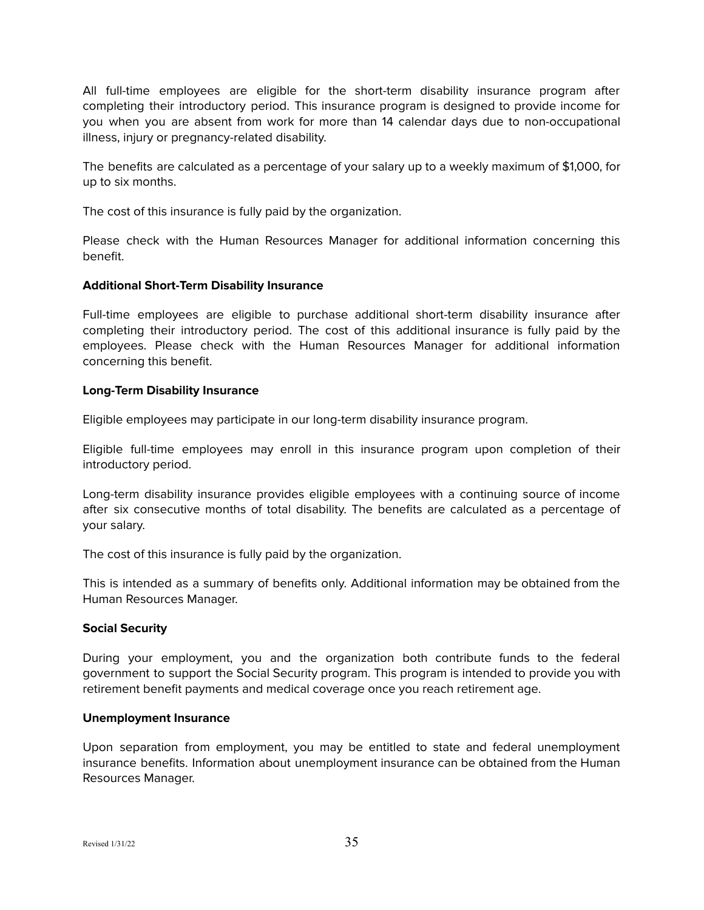All full-time employees are eligible for the short-term disability insurance program after completing their introductory period. This insurance program is designed to provide income for you when you are absent from work for more than 14 calendar days due to non-occupational illness, injury or pregnancy-related disability.

The benefits are calculated as a percentage of your salary up to a weekly maximum of \$1,000, for up to six months.

The cost of this insurance is fully paid by the organization.

Please check with the Human Resources Manager for additional information concerning this benefit.

## <span id="page-34-0"></span>**Additional Short-Term Disability Insurance**

Full-time employees are eligible to purchase additional short-term disability insurance after completing their introductory period. The cost of this additional insurance is fully paid by the employees. Please check with the Human Resources Manager for additional information concerning this benefit.

## <span id="page-34-1"></span>**Long-Term Disability Insurance**

Eligible employees may participate in our long-term disability insurance program.

Eligible full-time employees may enroll in this insurance program upon completion of their introductory period.

Long-term disability insurance provides eligible employees with a continuing source of income after six consecutive months of total disability. The benefits are calculated as a percentage of your salary.

The cost of this insurance is fully paid by the organization.

This is intended as a summary of benefits only. Additional information may be obtained from the Human Resources Manager.

## <span id="page-34-2"></span>**Social Security**

During your employment, you and the organization both contribute funds to the federal government to support the Social Security program. This program is intended to provide you with retirement benefit payments and medical coverage once you reach retirement age.

## <span id="page-34-3"></span>**Unemployment Insurance**

Upon separation from employment, you may be entitled to state and federal unemployment insurance benefits. Information about unemployment insurance can be obtained from the Human Resources Manager.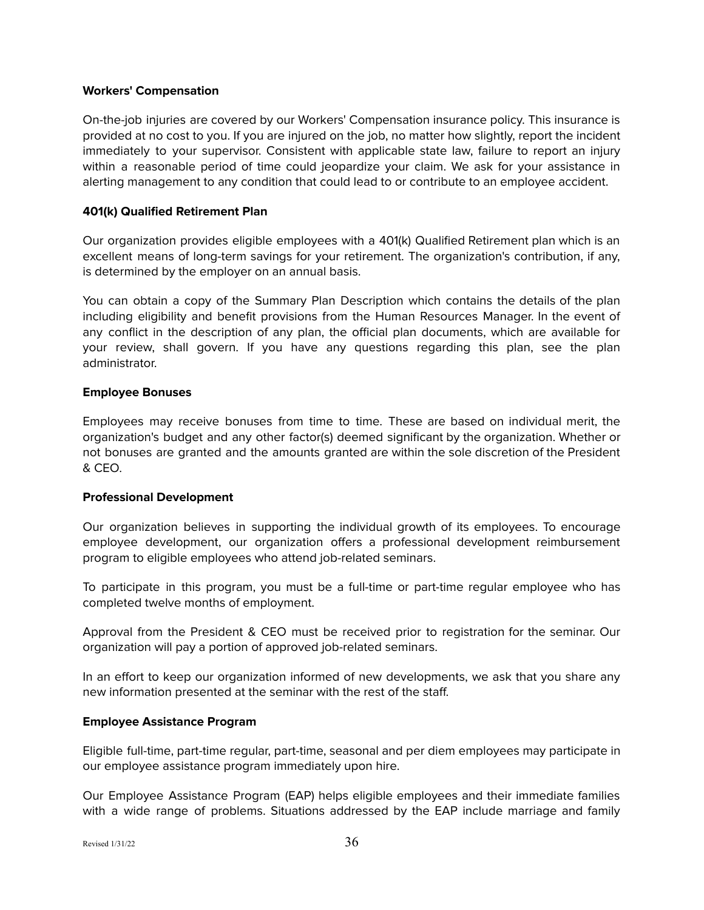#### <span id="page-35-0"></span>**Workers' Compensation**

On-the-job injuries are covered by our Workers' Compensation insurance policy. This insurance is provided at no cost to you. If you are injured on the job, no matter how slightly, report the incident immediately to your supervisor. Consistent with applicable state law, failure to report an injury within a reasonable period of time could jeopardize your claim. We ask for your assistance in alerting management to any condition that could lead to or contribute to an employee accident.

## <span id="page-35-1"></span>**401(k) Qualified Retirement Plan**

Our organization provides eligible employees with a 401(k) Qualified Retirement plan which is an excellent means of long-term savings for your retirement. The organization's contribution, if any, is determined by the employer on an annual basis.

You can obtain a copy of the Summary Plan Description which contains the details of the plan including eligibility and benefit provisions from the Human Resources Manager. In the event of any conflict in the description of any plan, the official plan documents, which are available for your review, shall govern. If you have any questions regarding this plan, see the plan administrator.

## <span id="page-35-2"></span>**Employee Bonuses**

Employees may receive bonuses from time to time. These are based on individual merit, the organization's budget and any other factor(s) deemed significant by the organization. Whether or not bonuses are granted and the amounts granted are within the sole discretion of the President & CEO.

## <span id="page-35-3"></span>**Professional Development**

Our organization believes in supporting the individual growth of its employees. To encourage employee development, our organization offers a professional development reimbursement program to eligible employees who attend job-related seminars.

To participate in this program, you must be a full-time or part-time regular employee who has completed twelve months of employment.

Approval from the President & CEO must be received prior to registration for the seminar. Our organization will pay a portion of approved job-related seminars.

In an effort to keep our organization informed of new developments, we ask that you share any new information presented at the seminar with the rest of the staff.

## <span id="page-35-4"></span>**Employee Assistance Program**

Eligible full-time, part-time regular, part-time, seasonal and per diem employees may participate in our employee assistance program immediately upon hire.

Our Employee Assistance Program (EAP) helps eligible employees and their immediate families with a wide range of problems. Situations addressed by the EAP include marriage and family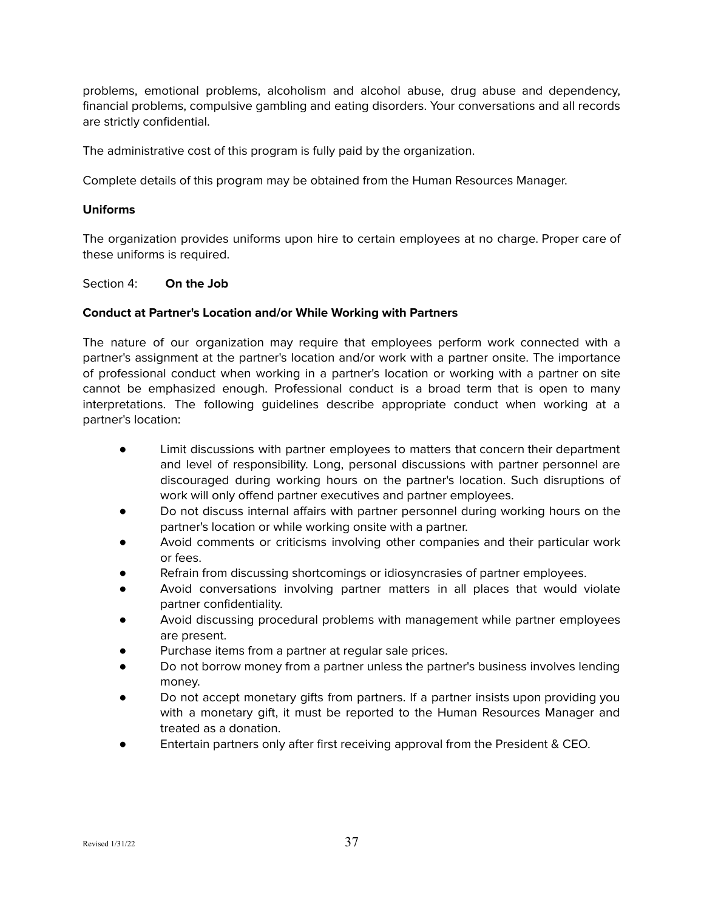problems, emotional problems, alcoholism and alcohol abuse, drug abuse and dependency, financial problems, compulsive gambling and eating disorders. Your conversations and all records are strictly confidential.

The administrative cost of this program is fully paid by the organization.

Complete details of this program may be obtained from the Human Resources Manager.

## <span id="page-36-0"></span>**Uniforms**

The organization provides uniforms upon hire to certain employees at no charge. Proper care of these uniforms is required.

<span id="page-36-1"></span>Section 4: **On the Job**

## <span id="page-36-2"></span>**Conduct at Partner's Location and/or While Working with Partners**

The nature of our organization may require that employees perform work connected with a partner's assignment at the partner's location and/or work with a partner onsite. The importance of professional conduct when working in a partner's location or working with a partner on site cannot be emphasized enough. Professional conduct is a broad term that is open to many interpretations. The following guidelines describe appropriate conduct when working at a partner's location:

- Limit discussions with partner employees to matters that concern their department and level of responsibility. Long, personal discussions with partner personnel are discouraged during working hours on the partner's location. Such disruptions of work will only offend partner executives and partner employees.
- Do not discuss internal affairs with partner personnel during working hours on the partner's location or while working onsite with a partner.
- Avoid comments or criticisms involving other companies and their particular work or fees.
- Refrain from discussing shortcomings or idiosyncrasies of partner employees.
- Avoid conversations involving partner matters in all places that would violate partner confidentiality.
- Avoid discussing procedural problems with management while partner employees are present.
- Purchase items from a partner at regular sale prices.
- Do not borrow money from a partner unless the partner's business involves lending money.
- Do not accept monetary gifts from partners. If a partner insists upon providing you with a monetary gift, it must be reported to the Human Resources Manager and treated as a donation.
- Entertain partners only after first receiving approval from the President & CEO.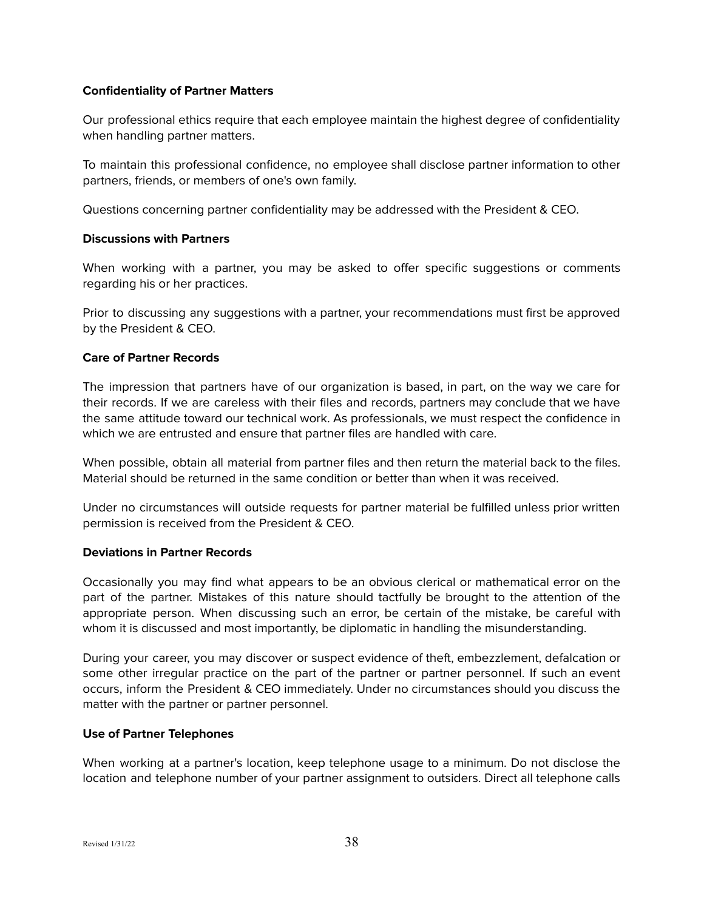## <span id="page-37-0"></span>**Confidentiality of Partner Matters**

Our professional ethics require that each employee maintain the highest degree of confidentiality when handling partner matters.

To maintain this professional confidence, no employee shall disclose partner information to other partners, friends, or members of one's own family.

Questions concerning partner confidentiality may be addressed with the President & CEO.

## <span id="page-37-1"></span>**Discussions with Partners**

When working with a partner, you may be asked to offer specific suggestions or comments regarding his or her practices.

Prior to discussing any suggestions with a partner, your recommendations must first be approved by the President & CEO.

## <span id="page-37-2"></span>**Care of Partner Records**

The impression that partners have of our organization is based, in part, on the way we care for their records. If we are careless with their files and records, partners may conclude that we have the same attitude toward our technical work. As professionals, we must respect the confidence in which we are entrusted and ensure that partner files are handled with care.

When possible, obtain all material from partner files and then return the material back to the files. Material should be returned in the same condition or better than when it was received.

Under no circumstances will outside requests for partner material be fulfilled unless prior written permission is received from the President & CEO.

## <span id="page-37-3"></span>**Deviations in Partner Records**

Occasionally you may find what appears to be an obvious clerical or mathematical error on the part of the partner. Mistakes of this nature should tactfully be brought to the attention of the appropriate person. When discussing such an error, be certain of the mistake, be careful with whom it is discussed and most importantly, be diplomatic in handling the misunderstanding.

During your career, you may discover or suspect evidence of theft, embezzlement, defalcation or some other irregular practice on the part of the partner or partner personnel. If such an event occurs, inform the President & CEO immediately. Under no circumstances should you discuss the matter with the partner or partner personnel.

# <span id="page-37-4"></span>**Use of Partner Telephones**

When working at a partner's location, keep telephone usage to a minimum. Do not disclose the location and telephone number of your partner assignment to outsiders. Direct all telephone calls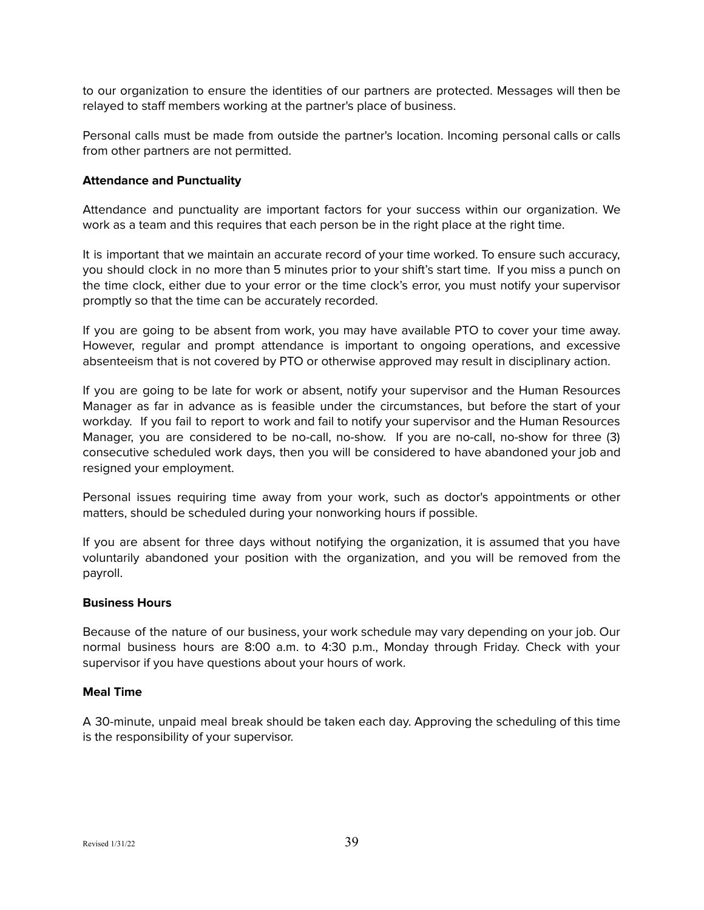to our organization to ensure the identities of our partners are protected. Messages will then be relayed to staff members working at the partner's place of business.

Personal calls must be made from outside the partner's location. Incoming personal calls or calls from other partners are not permitted.

#### <span id="page-38-0"></span>**Attendance and Punctuality**

Attendance and punctuality are important factors for your success within our organization. We work as a team and this requires that each person be in the right place at the right time.

It is important that we maintain an accurate record of your time worked. To ensure such accuracy, you should clock in no more than 5 minutes prior to your shift's start time. If you miss a punch on the time clock, either due to your error or the time clock's error, you must notify your supervisor promptly so that the time can be accurately recorded.

If you are going to be absent from work, you may have available PTO to cover your time away. However, regular and prompt attendance is important to ongoing operations, and excessive absenteeism that is not covered by PTO or otherwise approved may result in disciplinary action.

If you are going to be late for work or absent, notify your supervisor and the Human Resources Manager as far in advance as is feasible under the circumstances, but before the start of your workday. If you fail to report to work and fail to notify your supervisor and the Human Resources Manager, you are considered to be no-call, no-show. If you are no-call, no-show for three (3) consecutive scheduled work days, then you will be considered to have abandoned your job and resigned your employment.

Personal issues requiring time away from your work, such as doctor's appointments or other matters, should be scheduled during your nonworking hours if possible.

If you are absent for three days without notifying the organization, it is assumed that you have voluntarily abandoned your position with the organization, and you will be removed from the payroll.

#### <span id="page-38-1"></span>**Business Hours**

Because of the nature of our business, your work schedule may vary depending on your job. Our normal business hours are 8:00 a.m. to 4:30 p.m., Monday through Friday. Check with your supervisor if you have questions about your hours of work.

#### <span id="page-38-2"></span>**Meal Time**

A 30-minute, unpaid meal break should be taken each day. Approving the scheduling of this time is the responsibility of your supervisor.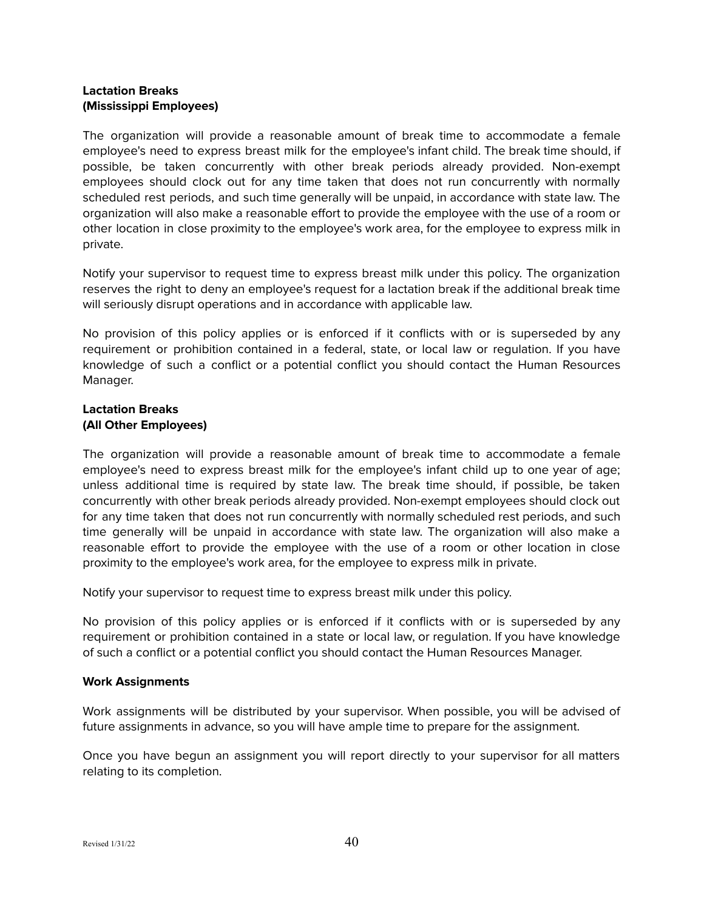## <span id="page-39-0"></span>**Lactation Breaks (Mississippi Employees)**

The organization will provide a reasonable amount of break time to accommodate a female employee's need to express breast milk for the employee's infant child. The break time should, if possible, be taken concurrently with other break periods already provided. Non-exempt employees should clock out for any time taken that does not run concurrently with normally scheduled rest periods, and such time generally will be unpaid, in accordance with state law. The organization will also make a reasonable effort to provide the employee with the use of a room or other location in close proximity to the employee's work area, for the employee to express milk in private.

Notify your supervisor to request time to express breast milk under this policy. The organization reserves the right to deny an employee's request for a lactation break if the additional break time will seriously disrupt operations and in accordance with applicable law.

No provision of this policy applies or is enforced if it conflicts with or is superseded by any requirement or prohibition contained in a federal, state, or local law or regulation. If you have knowledge of such a conflict or a potential conflict you should contact the Human Resources Manager.

## <span id="page-39-1"></span>**Lactation Breaks (All Other Employees)**

The organization will provide a reasonable amount of break time to accommodate a female employee's need to express breast milk for the employee's infant child up to one year of age; unless additional time is required by state law. The break time should, if possible, be taken concurrently with other break periods already provided. Non-exempt employees should clock out for any time taken that does not run concurrently with normally scheduled rest periods, and such time generally will be unpaid in accordance with state law. The organization will also make a reasonable effort to provide the employee with the use of a room or other location in close proximity to the employee's work area, for the employee to express milk in private.

Notify your supervisor to request time to express breast milk under this policy.

No provision of this policy applies or is enforced if it conflicts with or is superseded by any requirement or prohibition contained in a state or local law, or regulation. If you have knowledge of such a conflict or a potential conflict you should contact the Human Resources Manager.

# <span id="page-39-2"></span>**Work Assignments**

Work assignments will be distributed by your supervisor. When possible, you will be advised of future assignments in advance, so you will have ample time to prepare for the assignment.

Once you have begun an assignment you will report directly to your supervisor for all matters relating to its completion.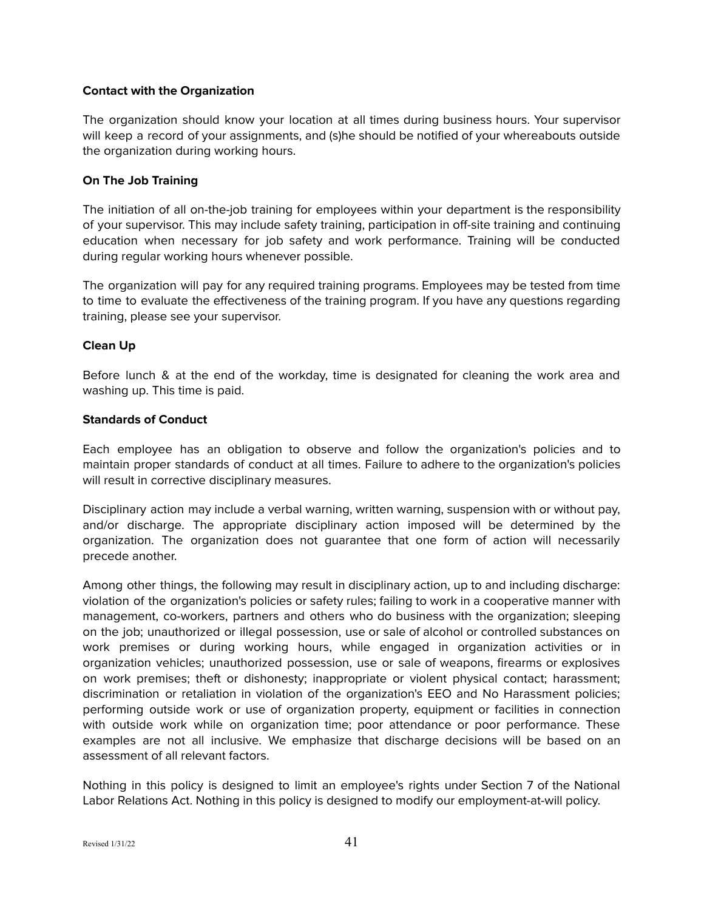## <span id="page-40-0"></span>**Contact with the Organization**

The organization should know your location at all times during business hours. Your supervisor will keep a record of your assignments, and (s)he should be notified of your whereabouts outside the organization during working hours.

## <span id="page-40-1"></span>**On The Job Training**

The initiation of all on-the-job training for employees within your department is the responsibility of your supervisor. This may include safety training, participation in off-site training and continuing education when necessary for job safety and work performance. Training will be conducted during regular working hours whenever possible.

The organization will pay for any required training programs. Employees may be tested from time to time to evaluate the effectiveness of the training program. If you have any questions regarding training, please see your supervisor.

## <span id="page-40-2"></span>**Clean Up**

Before lunch & at the end of the workday, time is designated for cleaning the work area and washing up. This time is paid.

## <span id="page-40-3"></span>**Standards of Conduct**

Each employee has an obligation to observe and follow the organization's policies and to maintain proper standards of conduct at all times. Failure to adhere to the organization's policies will result in corrective disciplinary measures.

Disciplinary action may include a verbal warning, written warning, suspension with or without pay, and/or discharge. The appropriate disciplinary action imposed will be determined by the organization. The organization does not guarantee that one form of action will necessarily precede another.

Among other things, the following may result in disciplinary action, up to and including discharge: violation of the organization's policies or safety rules; failing to work in a cooperative manner with management, co-workers, partners and others who do business with the organization; sleeping on the job; unauthorized or illegal possession, use or sale of alcohol or controlled substances on work premises or during working hours, while engaged in organization activities or in organization vehicles; unauthorized possession, use or sale of weapons, firearms or explosives on work premises; theft or dishonesty; inappropriate or violent physical contact; harassment; discrimination or retaliation in violation of the organization's EEO and No Harassment policies; performing outside work or use of organization property, equipment or facilities in connection with outside work while on organization time; poor attendance or poor performance. These examples are not all inclusive. We emphasize that discharge decisions will be based on an assessment of all relevant factors.

Nothing in this policy is designed to limit an employee's rights under Section 7 of the National Labor Relations Act. Nothing in this policy is designed to modify our employment-at-will policy.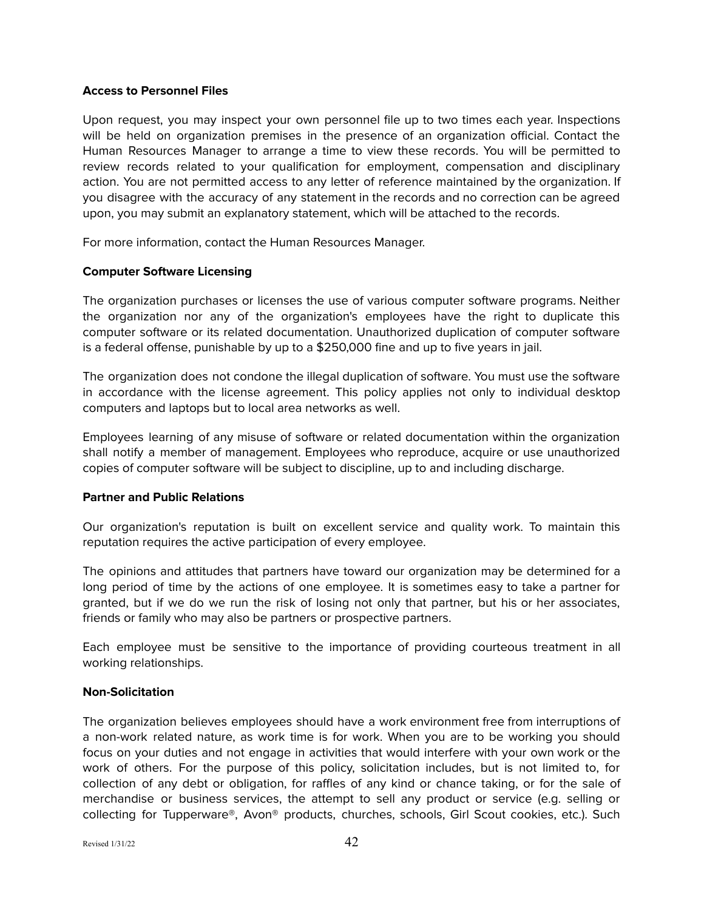#### <span id="page-41-0"></span>**Access to Personnel Files**

Upon request, you may inspect your own personnel file up to two times each year. Inspections will be held on organization premises in the presence of an organization official. Contact the Human Resources Manager to arrange a time to view these records. You will be permitted to review records related to your qualification for employment, compensation and disciplinary action. You are not permitted access to any letter of reference maintained by the organization. If you disagree with the accuracy of any statement in the records and no correction can be agreed upon, you may submit an explanatory statement, which will be attached to the records.

For more information, contact the Human Resources Manager.

#### <span id="page-41-1"></span>**Computer Software Licensing**

The organization purchases or licenses the use of various computer software programs. Neither the organization nor any of the organization's employees have the right to duplicate this computer software or its related documentation. Unauthorized duplication of computer software is a federal offense, punishable by up to a \$250,000 fine and up to five years in jail.

The organization does not condone the illegal duplication of software. You must use the software in accordance with the license agreement. This policy applies not only to individual desktop computers and laptops but to local area networks as well.

Employees learning of any misuse of software or related documentation within the organization shall notify a member of management. Employees who reproduce, acquire or use unauthorized copies of computer software will be subject to discipline, up to and including discharge.

#### <span id="page-41-2"></span>**Partner and Public Relations**

Our organization's reputation is built on excellent service and quality work. To maintain this reputation requires the active participation of every employee.

The opinions and attitudes that partners have toward our organization may be determined for a long period of time by the actions of one employee. It is sometimes easy to take a partner for granted, but if we do we run the risk of losing not only that partner, but his or her associates, friends or family who may also be partners or prospective partners.

Each employee must be sensitive to the importance of providing courteous treatment in all working relationships.

## <span id="page-41-3"></span>**Non-Solicitation**

The organization believes employees should have a work environment free from interruptions of a non-work related nature, as work time is for work. When you are to be working you should focus on your duties and not engage in activities that would interfere with your own work or the work of others. For the purpose of this policy, solicitation includes, but is not limited to, for collection of any debt or obligation, for raffles of any kind or chance taking, or for the sale of merchandise or business services, the attempt to sell any product or service (e.g. selling or collecting for Tupperware®, Avon® products, churches, schools, Girl Scout cookies, etc.). Such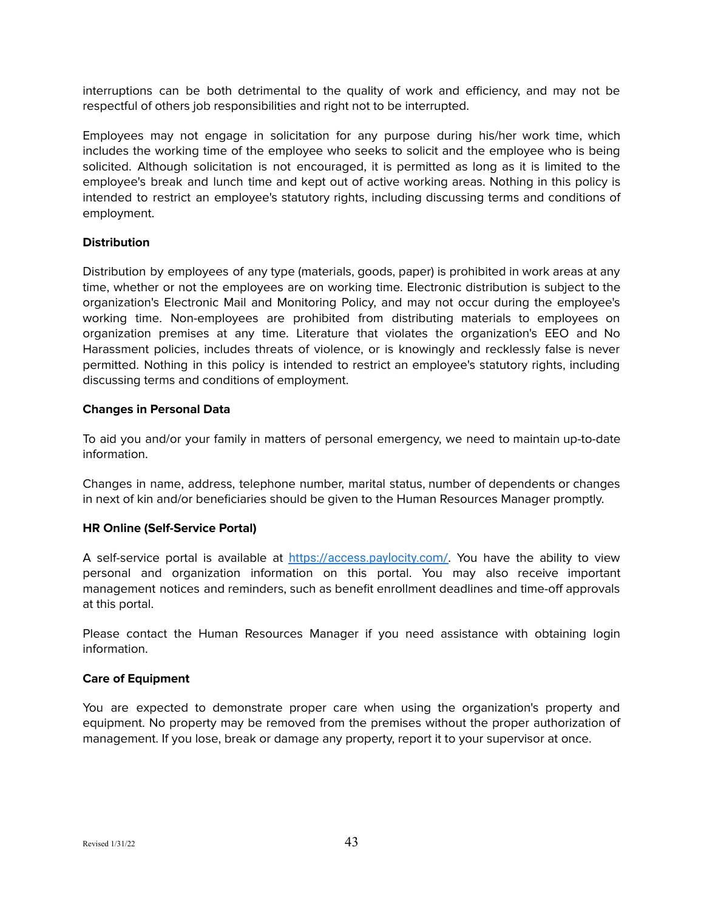interruptions can be both detrimental to the quality of work and efficiency, and may not be respectful of others job responsibilities and right not to be interrupted.

Employees may not engage in solicitation for any purpose during his/her work time, which includes the working time of the employee who seeks to solicit and the employee who is being solicited. Although solicitation is not encouraged, it is permitted as long as it is limited to the employee's break and lunch time and kept out of active working areas. Nothing in this policy is intended to restrict an employee's statutory rights, including discussing terms and conditions of employment.

## <span id="page-42-0"></span>**Distribution**

Distribution by employees of any type (materials, goods, paper) is prohibited in work areas at any time, whether or not the employees are on working time. Electronic distribution is subject to the organization's Electronic Mail and Monitoring Policy, and may not occur during the employee's working time. Non-employees are prohibited from distributing materials to employees on organization premises at any time. Literature that violates the organization's EEO and No Harassment policies, includes threats of violence, or is knowingly and recklessly false is never permitted. Nothing in this policy is intended to restrict an employee's statutory rights, including discussing terms and conditions of employment.

## <span id="page-42-1"></span>**Changes in Personal Data**

To aid you and/or your family in matters of personal emergency, we need to maintain up-to-date information.

Changes in name, address, telephone number, marital status, number of dependents or changes in next of kin and/or beneficiaries should be given to the Human Resources Manager promptly.

## <span id="page-42-2"></span>**HR Online (Self-Service Portal)**

A self-service portal is available at <https://access.paylocity.com/>. You have the ability to view personal and organization information on this portal. You may also receive important management notices and reminders, such as benefit enrollment deadlines and time-off approvals at this portal.

Please contact the Human Resources Manager if you need assistance with obtaining login information.

#### <span id="page-42-3"></span>**Care of Equipment**

You are expected to demonstrate proper care when using the organization's property and equipment. No property may be removed from the premises without the proper authorization of management. If you lose, break or damage any property, report it to your supervisor at once.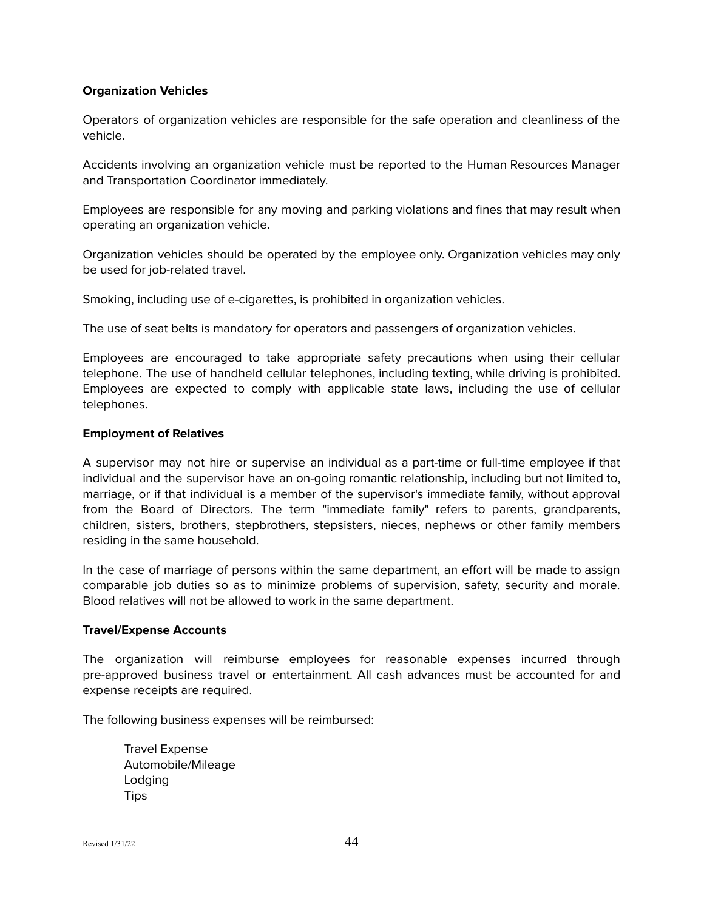#### <span id="page-43-0"></span>**Organization Vehicles**

Operators of organization vehicles are responsible for the safe operation and cleanliness of the vehicle.

Accidents involving an organization vehicle must be reported to the Human Resources Manager and Transportation Coordinator immediately.

Employees are responsible for any moving and parking violations and fines that may result when operating an organization vehicle.

Organization vehicles should be operated by the employee only. Organization vehicles may only be used for job-related travel.

Smoking, including use of e-cigarettes, is prohibited in organization vehicles.

The use of seat belts is mandatory for operators and passengers of organization vehicles.

Employees are encouraged to take appropriate safety precautions when using their cellular telephone. The use of handheld cellular telephones, including texting, while driving is prohibited. Employees are expected to comply with applicable state laws, including the use of cellular telephones.

#### <span id="page-43-1"></span>**Employment of Relatives**

A supervisor may not hire or supervise an individual as a part-time or full-time employee if that individual and the supervisor have an on-going romantic relationship, including but not limited to, marriage, or if that individual is a member of the supervisor's immediate family, without approval from the Board of Directors. The term "immediate family" refers to parents, grandparents, children, sisters, brothers, stepbrothers, stepsisters, nieces, nephews or other family members residing in the same household.

In the case of marriage of persons within the same department, an effort will be made to assign comparable job duties so as to minimize problems of supervision, safety, security and morale. Blood relatives will not be allowed to work in the same department.

#### <span id="page-43-2"></span>**Travel/Expense Accounts**

The organization will reimburse employees for reasonable expenses incurred through pre-approved business travel or entertainment. All cash advances must be accounted for and expense receipts are required.

The following business expenses will be reimbursed:

Travel Expense Automobile/Mileage Lodging **Tips**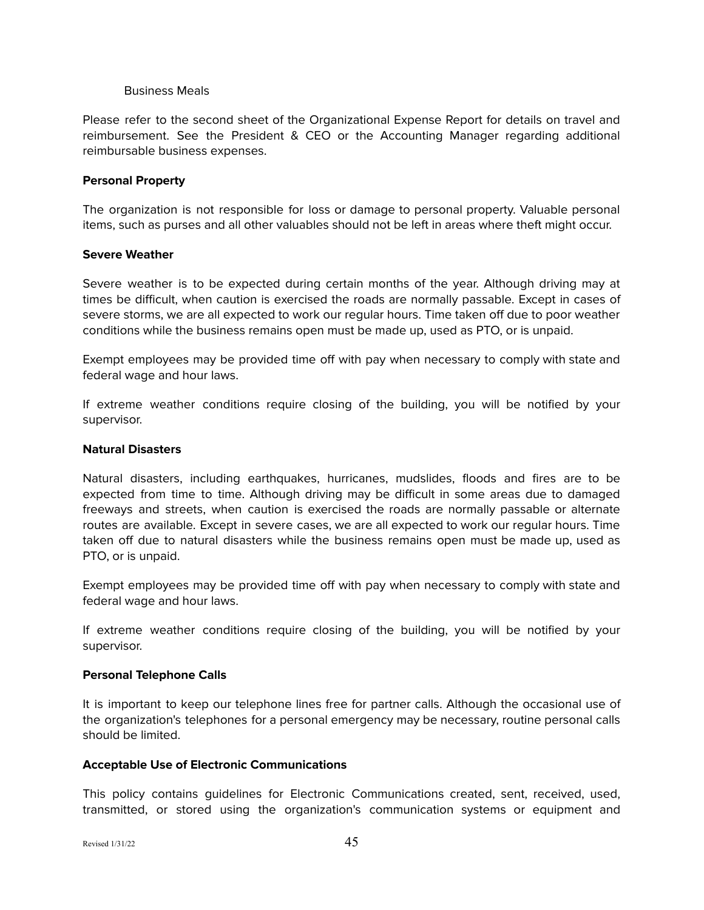#### Business Meals

Please refer to the second sheet of the Organizational Expense Report for details on travel and reimbursement. See the President & CEO or the Accounting Manager regarding additional reimbursable business expenses.

#### <span id="page-44-0"></span>**Personal Property**

The organization is not responsible for loss or damage to personal property. Valuable personal items, such as purses and all other valuables should not be left in areas where theft might occur.

#### <span id="page-44-1"></span>**Severe Weather**

Severe weather is to be expected during certain months of the year. Although driving may at times be difficult, when caution is exercised the roads are normally passable. Except in cases of severe storms, we are all expected to work our regular hours. Time taken off due to poor weather conditions while the business remains open must be made up, used as PTO, or is unpaid.

Exempt employees may be provided time off with pay when necessary to comply with state and federal wage and hour laws.

If extreme weather conditions require closing of the building, you will be notified by your supervisor.

#### <span id="page-44-2"></span>**Natural Disasters**

Natural disasters, including earthquakes, hurricanes, mudslides, floods and fires are to be expected from time to time. Although driving may be difficult in some areas due to damaged freeways and streets, when caution is exercised the roads are normally passable or alternate routes are available. Except in severe cases, we are all expected to work our regular hours. Time taken off due to natural disasters while the business remains open must be made up, used as PTO, or is unpaid.

Exempt employees may be provided time off with pay when necessary to comply with state and federal wage and hour laws.

If extreme weather conditions require closing of the building, you will be notified by your supervisor.

#### <span id="page-44-3"></span>**Personal Telephone Calls**

It is important to keep our telephone lines free for partner calls. Although the occasional use of the organization's telephones for a personal emergency may be necessary, routine personal calls should be limited.

## <span id="page-44-4"></span>**Acceptable Use of Electronic Communications**

This policy contains guidelines for Electronic Communications created, sent, received, used, transmitted, or stored using the organization's communication systems or equipment and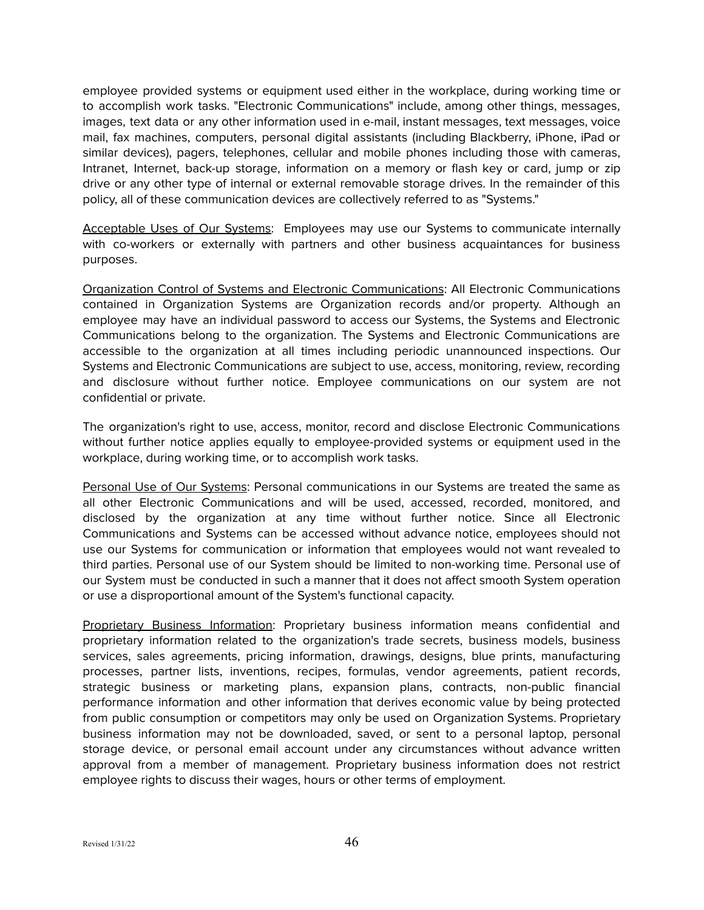employee provided systems or equipment used either in the workplace, during working time or to accomplish work tasks. "Electronic Communications" include, among other things, messages, images, text data or any other information used in e-mail, instant messages, text messages, voice mail, fax machines, computers, personal digital assistants (including Blackberry, iPhone, iPad or similar devices), pagers, telephones, cellular and mobile phones including those with cameras, Intranet, Internet, back-up storage, information on a memory or flash key or card, jump or zip drive or any other type of internal or external removable storage drives. In the remainder of this policy, all of these communication devices are collectively referred to as "Systems."

Acceptable Uses of Our Systems: Employees may use our Systems to communicate internally with co-workers or externally with partners and other business acquaintances for business purposes.

Organization Control of Systems and Electronic Communications: All Electronic Communications contained in Organization Systems are Organization records and/or property. Although an employee may have an individual password to access our Systems, the Systems and Electronic Communications belong to the organization. The Systems and Electronic Communications are accessible to the organization at all times including periodic unannounced inspections. Our Systems and Electronic Communications are subject to use, access, monitoring, review, recording and disclosure without further notice. Employee communications on our system are not confidential or private.

The organization's right to use, access, monitor, record and disclose Electronic Communications without further notice applies equally to employee-provided systems or equipment used in the workplace, during working time, or to accomplish work tasks.

Personal Use of Our Systems: Personal communications in our Systems are treated the same as all other Electronic Communications and will be used, accessed, recorded, monitored, and disclosed by the organization at any time without further notice. Since all Electronic Communications and Systems can be accessed without advance notice, employees should not use our Systems for communication or information that employees would not want revealed to third parties. Personal use of our System should be limited to non-working time. Personal use of our System must be conducted in such a manner that it does not affect smooth System operation or use a disproportional amount of the System's functional capacity.

Proprietary Business Information: Proprietary business information means confidential and proprietary information related to the organization's trade secrets, business models, business services, sales agreements, pricing information, drawings, designs, blue prints, manufacturing processes, partner lists, inventions, recipes, formulas, vendor agreements, patient records, strategic business or marketing plans, expansion plans, contracts, non-public financial performance information and other information that derives economic value by being protected from public consumption or competitors may only be used on Organization Systems. Proprietary business information may not be downloaded, saved, or sent to a personal laptop, personal storage device, or personal email account under any circumstances without advance written approval from a member of management. Proprietary business information does not restrict employee rights to discuss their wages, hours or other terms of employment.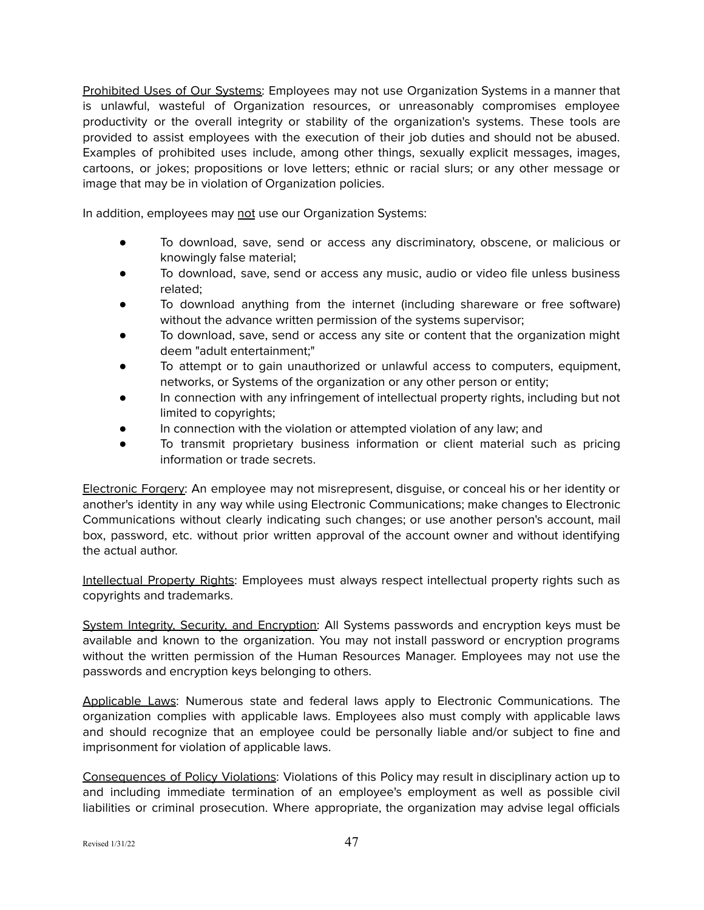Prohibited Uses of Our Systems: Employees may not use Organization Systems in a manner that is unlawful, wasteful of Organization resources, or unreasonably compromises employee productivity or the overall integrity or stability of the organization's systems. These tools are provided to assist employees with the execution of their job duties and should not be abused. Examples of prohibited uses include, among other things, sexually explicit messages, images, cartoons, or jokes; propositions or love letters; ethnic or racial slurs; or any other message or image that may be in violation of Organization policies.

In addition, employees may not use our Organization Systems:

- To download, save, send or access any discriminatory, obscene, or malicious or knowingly false material;
- To download, save, send or access any music, audio or video file unless business related;
- To download anything from the internet (including shareware or free software) without the advance written permission of the systems supervisor;
- To download, save, send or access any site or content that the organization might deem "adult entertainment;"
- To attempt or to gain unauthorized or unlawful access to computers, equipment, networks, or Systems of the organization or any other person or entity;
- In connection with any infringement of intellectual property rights, including but not limited to copyrights;
- In connection with the violation or attempted violation of any law; and
- To transmit proprietary business information or client material such as pricing information or trade secrets.

Electronic Forgery: An employee may not misrepresent, disguise, or conceal his or her identity or another's identity in any way while using Electronic Communications; make changes to Electronic Communications without clearly indicating such changes; or use another person's account, mail box, password, etc. without prior written approval of the account owner and without identifying the actual author.

Intellectual Property Rights: Employees must always respect intellectual property rights such as copyrights and trademarks.

System Integrity, Security, and Encryption: All Systems passwords and encryption keys must be available and known to the organization. You may not install password or encryption programs without the written permission of the Human Resources Manager. Employees may not use the passwords and encryption keys belonging to others.

Applicable Laws: Numerous state and federal laws apply to Electronic Communications. The organization complies with applicable laws. Employees also must comply with applicable laws and should recognize that an employee could be personally liable and/or subject to fine and imprisonment for violation of applicable laws.

Consequences of Policy Violations: Violations of this Policy may result in disciplinary action up to and including immediate termination of an employee's employment as well as possible civil liabilities or criminal prosecution. Where appropriate, the organization may advise legal officials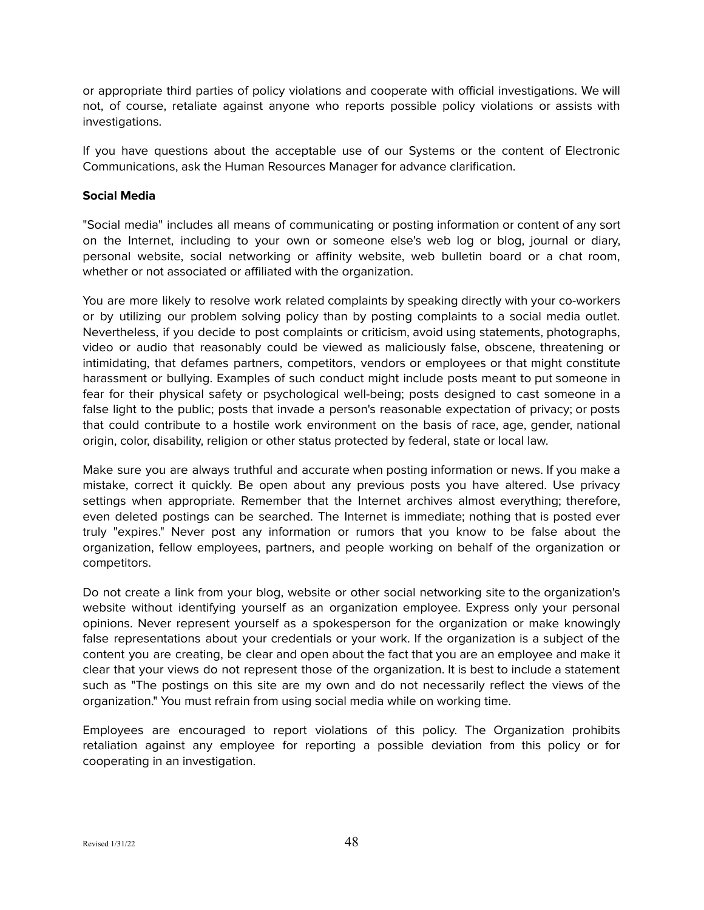or appropriate third parties of policy violations and cooperate with official investigations. We will not, of course, retaliate against anyone who reports possible policy violations or assists with investigations.

If you have questions about the acceptable use of our Systems or the content of Electronic Communications, ask the Human Resources Manager for advance clarification.

## <span id="page-47-0"></span>**Social Media**

"Social media" includes all means of communicating or posting information or content of any sort on the Internet, including to your own or someone else's web log or blog, journal or diary, personal website, social networking or affinity website, web bulletin board or a chat room, whether or not associated or affiliated with the organization.

You are more likely to resolve work related complaints by speaking directly with your co-workers or by utilizing our problem solving policy than by posting complaints to a social media outlet. Nevertheless, if you decide to post complaints or criticism, avoid using statements, photographs, video or audio that reasonably could be viewed as maliciously false, obscene, threatening or intimidating, that defames partners, competitors, vendors or employees or that might constitute harassment or bullying. Examples of such conduct might include posts meant to put someone in fear for their physical safety or psychological well-being; posts designed to cast someone in a false light to the public; posts that invade a person's reasonable expectation of privacy; or posts that could contribute to a hostile work environment on the basis of race, age, gender, national origin, color, disability, religion or other status protected by federal, state or local law.

Make sure you are always truthful and accurate when posting information or news. If you make a mistake, correct it quickly. Be open about any previous posts you have altered. Use privacy settings when appropriate. Remember that the Internet archives almost everything; therefore, even deleted postings can be searched. The Internet is immediate; nothing that is posted ever truly "expires." Never post any information or rumors that you know to be false about the organization, fellow employees, partners, and people working on behalf of the organization or competitors.

Do not create a link from your blog, website or other social networking site to the organization's website without identifying yourself as an organization employee. Express only your personal opinions. Never represent yourself as a spokesperson for the organization or make knowingly false representations about your credentials or your work. If the organization is a subject of the content you are creating, be clear and open about the fact that you are an employee and make it clear that your views do not represent those of the organization. It is best to include a statement such as "The postings on this site are my own and do not necessarily reflect the views of the organization." You must refrain from using social media while on working time.

Employees are encouraged to report violations of this policy. The Organization prohibits retaliation against any employee for reporting a possible deviation from this policy or for cooperating in an investigation.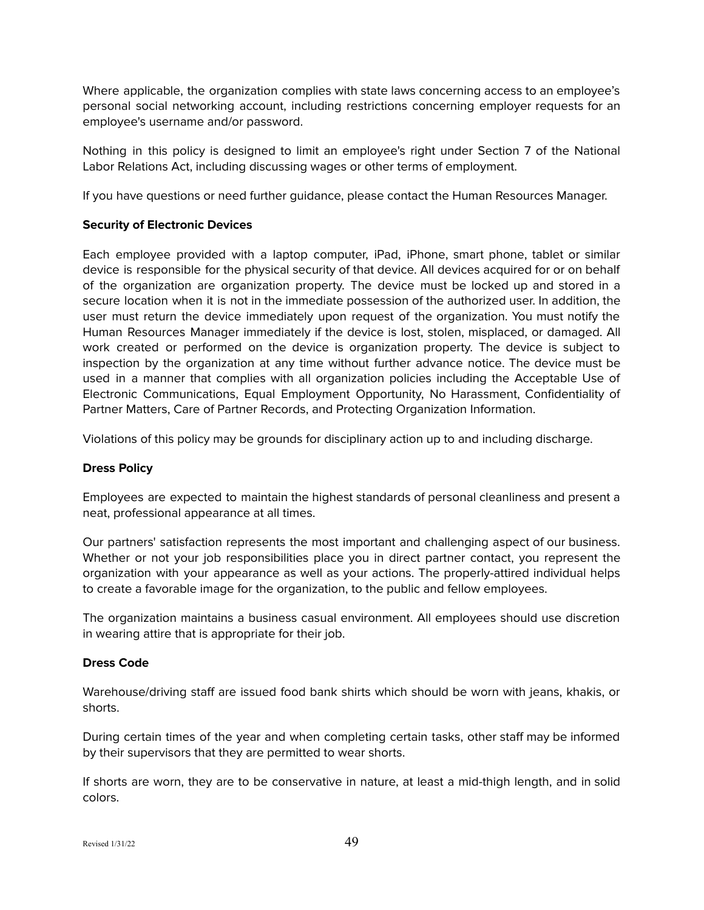Where applicable, the organization complies with state laws concerning access to an employee's personal social networking account, including restrictions concerning employer requests for an employee's username and/or password.

Nothing in this policy is designed to limit an employee's right under Section 7 of the National Labor Relations Act, including discussing wages or other terms of employment.

If you have questions or need further guidance, please contact the Human Resources Manager.

## <span id="page-48-0"></span>**Security of Electronic Devices**

Each employee provided with a laptop computer, iPad, iPhone, smart phone, tablet or similar device is responsible for the physical security of that device. All devices acquired for or on behalf of the organization are organization property. The device must be locked up and stored in a secure location when it is not in the immediate possession of the authorized user. In addition, the user must return the device immediately upon request of the organization. You must notify the Human Resources Manager immediately if the device is lost, stolen, misplaced, or damaged. All work created or performed on the device is organization property. The device is subject to inspection by the organization at any time without further advance notice. The device must be used in a manner that complies with all organization policies including the Acceptable Use of Electronic Communications, Equal Employment Opportunity, No Harassment, Confidentiality of Partner Matters, Care of Partner Records, and Protecting Organization Information.

Violations of this policy may be grounds for disciplinary action up to and including discharge.

## <span id="page-48-1"></span>**Dress Policy**

Employees are expected to maintain the highest standards of personal cleanliness and present a neat, professional appearance at all times.

Our partners' satisfaction represents the most important and challenging aspect of our business. Whether or not your job responsibilities place you in direct partner contact, you represent the organization with your appearance as well as your actions. The properly-attired individual helps to create a favorable image for the organization, to the public and fellow employees.

The organization maintains a business casual environment. All employees should use discretion in wearing attire that is appropriate for their job.

## <span id="page-48-2"></span>**Dress Code**

Warehouse/driving staff are issued food bank shirts which should be worn with jeans, khakis, or shorts.

During certain times of the year and when completing certain tasks, other staff may be informed by their supervisors that they are permitted to wear shorts.

If shorts are worn, they are to be conservative in nature, at least a mid-thigh length, and in solid colors.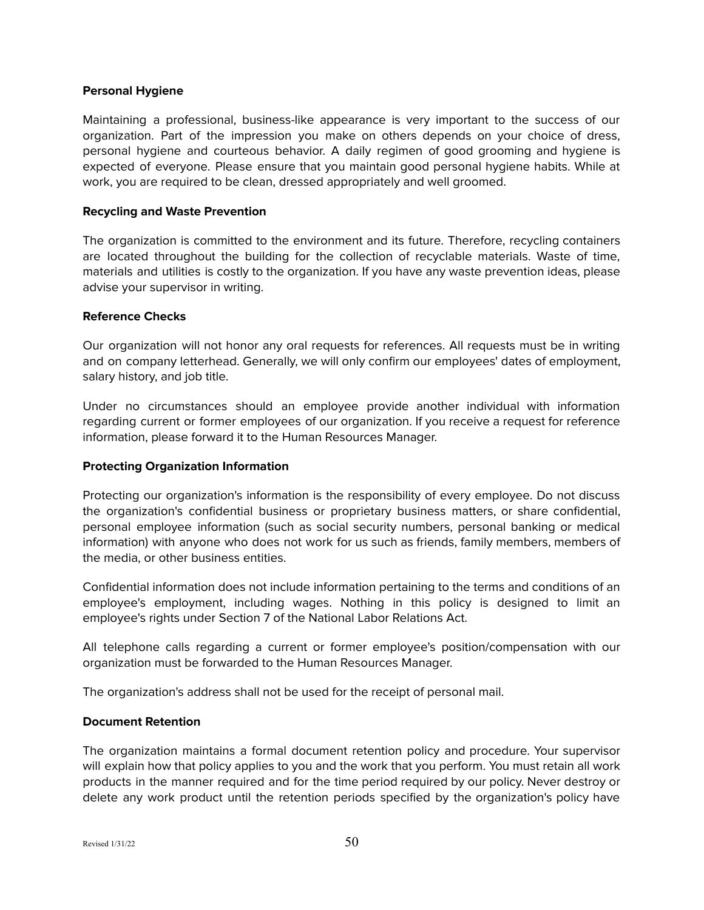#### <span id="page-49-0"></span>**Personal Hygiene**

Maintaining a professional, business-like appearance is very important to the success of our organization. Part of the impression you make on others depends on your choice of dress, personal hygiene and courteous behavior. A daily regimen of good grooming and hygiene is expected of everyone. Please ensure that you maintain good personal hygiene habits. While at work, you are required to be clean, dressed appropriately and well groomed.

#### <span id="page-49-1"></span>**Recycling and Waste Prevention**

The organization is committed to the environment and its future. Therefore, recycling containers are located throughout the building for the collection of recyclable materials. Waste of time, materials and utilities is costly to the organization. If you have any waste prevention ideas, please advise your supervisor in writing.

#### <span id="page-49-2"></span>**Reference Checks**

Our organization will not honor any oral requests for references. All requests must be in writing and on company letterhead. Generally, we will only confirm our employees' dates of employment, salary history, and job title.

Under no circumstances should an employee provide another individual with information regarding current or former employees of our organization. If you receive a request for reference information, please forward it to the Human Resources Manager.

## <span id="page-49-3"></span>**Protecting Organization Information**

Protecting our organization's information is the responsibility of every employee. Do not discuss the organization's confidential business or proprietary business matters, or share confidential, personal employee information (such as social security numbers, personal banking or medical information) with anyone who does not work for us such as friends, family members, members of the media, or other business entities.

Confidential information does not include information pertaining to the terms and conditions of an employee's employment, including wages. Nothing in this policy is designed to limit an employee's rights under Section 7 of the National Labor Relations Act.

All telephone calls regarding a current or former employee's position/compensation with our organization must be forwarded to the Human Resources Manager.

The organization's address shall not be used for the receipt of personal mail.

#### <span id="page-49-4"></span>**Document Retention**

The organization maintains a formal document retention policy and procedure. Your supervisor will explain how that policy applies to you and the work that you perform. You must retain all work products in the manner required and for the time period required by our policy. Never destroy or delete any work product until the retention periods specified by the organization's policy have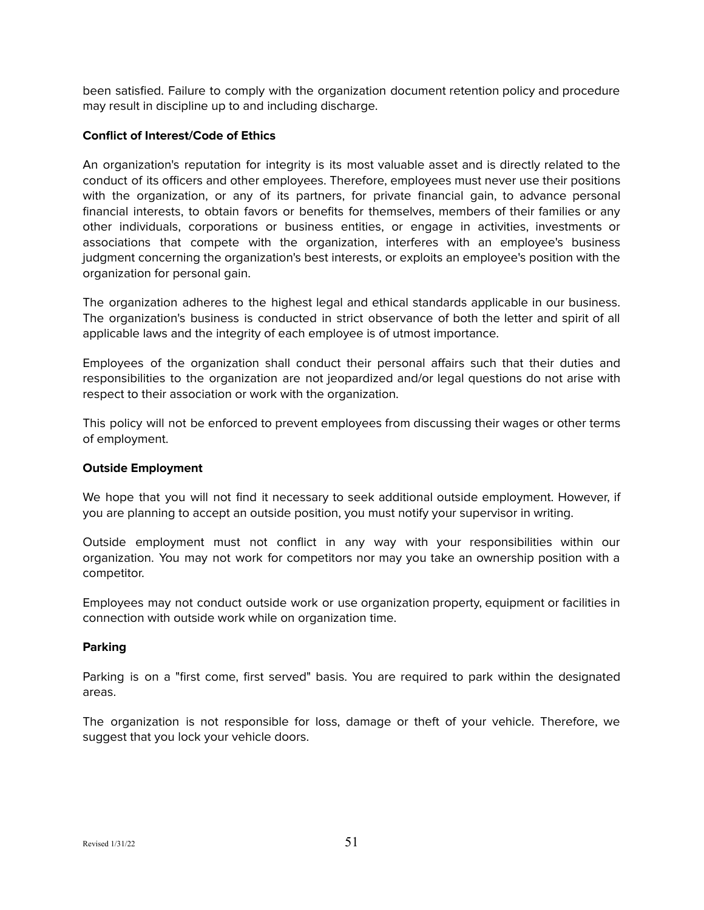been satisfied. Failure to comply with the organization document retention policy and procedure may result in discipline up to and including discharge.

## <span id="page-50-0"></span>**Conflict of Interest/Code of Ethics**

An organization's reputation for integrity is its most valuable asset and is directly related to the conduct of its officers and other employees. Therefore, employees must never use their positions with the organization, or any of its partners, for private financial gain, to advance personal financial interests, to obtain favors or benefits for themselves, members of their families or any other individuals, corporations or business entities, or engage in activities, investments or associations that compete with the organization, interferes with an employee's business judgment concerning the organization's best interests, or exploits an employee's position with the organization for personal gain.

The organization adheres to the highest legal and ethical standards applicable in our business. The organization's business is conducted in strict observance of both the letter and spirit of all applicable laws and the integrity of each employee is of utmost importance.

Employees of the organization shall conduct their personal affairs such that their duties and responsibilities to the organization are not jeopardized and/or legal questions do not arise with respect to their association or work with the organization.

This policy will not be enforced to prevent employees from discussing their wages or other terms of employment.

## <span id="page-50-1"></span>**Outside Employment**

We hope that you will not find it necessary to seek additional outside employment. However, if you are planning to accept an outside position, you must notify your supervisor in writing.

Outside employment must not conflict in any way with your responsibilities within our organization. You may not work for competitors nor may you take an ownership position with a competitor.

Employees may not conduct outside work or use organization property, equipment or facilities in connection with outside work while on organization time.

## <span id="page-50-2"></span>**Parking**

Parking is on a "first come, first served" basis. You are required to park within the designated areas.

The organization is not responsible for loss, damage or theft of your vehicle. Therefore, we suggest that you lock your vehicle doors.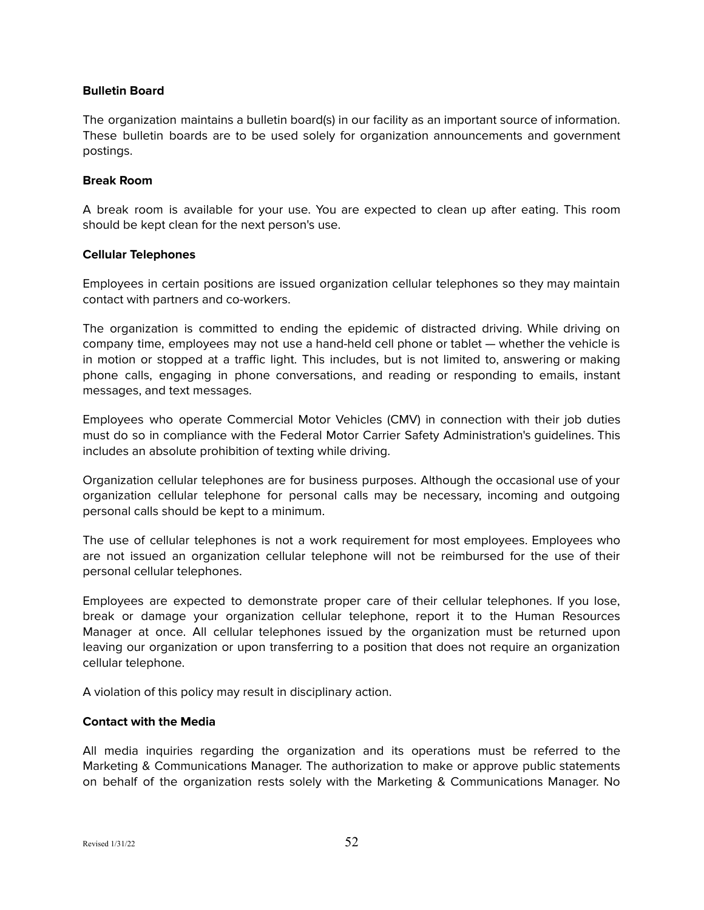#### <span id="page-51-0"></span>**Bulletin Board**

The organization maintains a bulletin board(s) in our facility as an important source of information. These bulletin boards are to be used solely for organization announcements and government postings.

#### <span id="page-51-1"></span>**Break Room**

A break room is available for your use. You are expected to clean up after eating. This room should be kept clean for the next person's use.

#### <span id="page-51-2"></span>**Cellular Telephones**

Employees in certain positions are issued organization cellular telephones so they may maintain contact with partners and co-workers.

The organization is committed to ending the epidemic of distracted driving. While driving on company time, employees may not use a hand-held cell phone or tablet — whether the vehicle is in motion or stopped at a traffic light. This includes, but is not limited to, answering or making phone calls, engaging in phone conversations, and reading or responding to emails, instant messages, and text messages.

Employees who operate Commercial Motor Vehicles (CMV) in connection with their job duties must do so in compliance with the Federal Motor Carrier Safety Administration's guidelines. This includes an absolute prohibition of texting while driving.

Organization cellular telephones are for business purposes. Although the occasional use of your organization cellular telephone for personal calls may be necessary, incoming and outgoing personal calls should be kept to a minimum.

The use of cellular telephones is not a work requirement for most employees. Employees who are not issued an organization cellular telephone will not be reimbursed for the use of their personal cellular telephones.

Employees are expected to demonstrate proper care of their cellular telephones. If you lose, break or damage your organization cellular telephone, report it to the Human Resources Manager at once. All cellular telephones issued by the organization must be returned upon leaving our organization or upon transferring to a position that does not require an organization cellular telephone.

A violation of this policy may result in disciplinary action.

## <span id="page-51-3"></span>**Contact with the Media**

All media inquiries regarding the organization and its operations must be referred to the Marketing & Communications Manager. The authorization to make or approve public statements on behalf of the organization rests solely with the Marketing & Communications Manager. No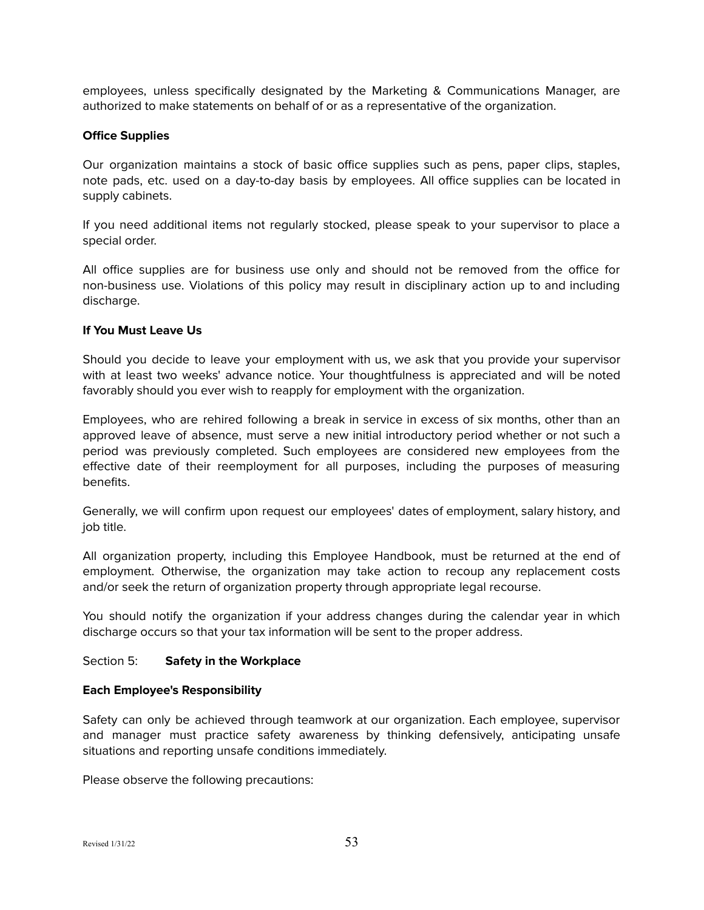employees, unless specifically designated by the Marketing & Communications Manager, are authorized to make statements on behalf of or as a representative of the organization.

## <span id="page-52-0"></span>**Office Supplies**

Our organization maintains a stock of basic office supplies such as pens, paper clips, staples, note pads, etc. used on a day-to-day basis by employees. All office supplies can be located in supply cabinets.

If you need additional items not regularly stocked, please speak to your supervisor to place a special order.

All office supplies are for business use only and should not be removed from the office for non-business use. Violations of this policy may result in disciplinary action up to and including discharge.

#### <span id="page-52-1"></span>**If You Must Leave Us**

Should you decide to leave your employment with us, we ask that you provide your supervisor with at least two weeks' advance notice. Your thoughtfulness is appreciated and will be noted favorably should you ever wish to reapply for employment with the organization.

Employees, who are rehired following a break in service in excess of six months, other than an approved leave of absence, must serve a new initial introductory period whether or not such a period was previously completed. Such employees are considered new employees from the effective date of their reemployment for all purposes, including the purposes of measuring benefits.

Generally, we will confirm upon request our employees' dates of employment, salary history, and job title.

All organization property, including this Employee Handbook, must be returned at the end of employment. Otherwise, the organization may take action to recoup any replacement costs and/or seek the return of organization property through appropriate legal recourse.

You should notify the organization if your address changes during the calendar year in which discharge occurs so that your tax information will be sent to the proper address.

## <span id="page-52-2"></span>Section 5: **Safety in the Workplace**

#### <span id="page-52-3"></span>**Each Employee's Responsibility**

Safety can only be achieved through teamwork at our organization. Each employee, supervisor and manager must practice safety awareness by thinking defensively, anticipating unsafe situations and reporting unsafe conditions immediately.

Please observe the following precautions: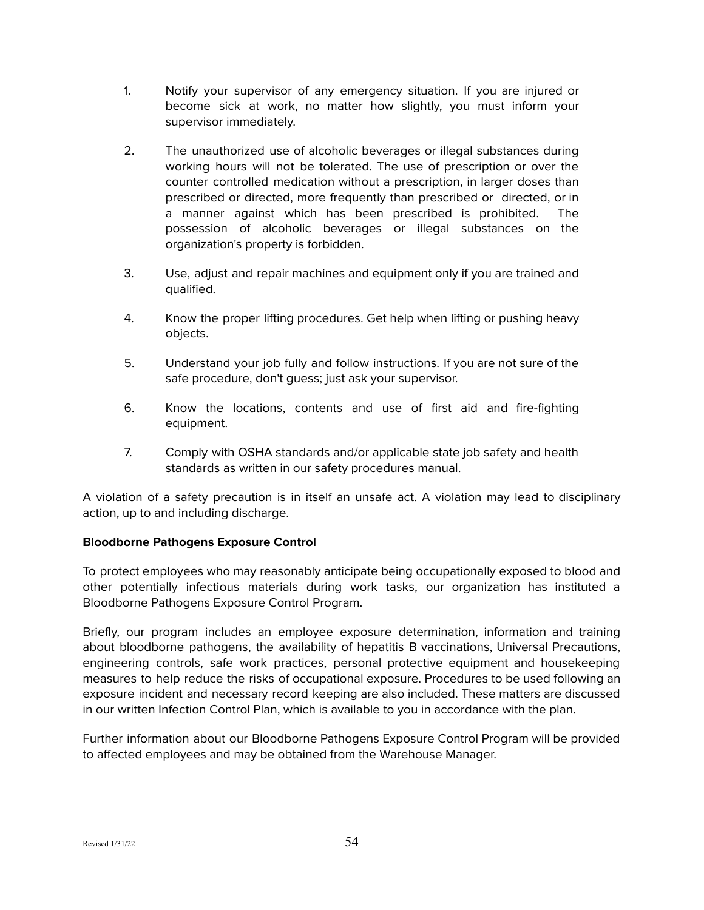- 1. Notify your supervisor of any emergency situation. If you are injured or become sick at work, no matter how slightly, you must inform your supervisor immediately.
- 2. The unauthorized use of alcoholic beverages or illegal substances during working hours will not be tolerated. The use of prescription or over the counter controlled medication without a prescription, in larger doses than prescribed or directed, more frequently than prescribed or directed, or in a manner against which has been prescribed is prohibited. The possession of alcoholic beverages or illegal substances on the organization's property is forbidden.
- 3. Use, adjust and repair machines and equipment only if you are trained and qualified.
- 4. Know the proper lifting procedures. Get help when lifting or pushing heavy objects.
- 5. Understand your job fully and follow instructions. If you are not sure of the safe procedure, don't guess; just ask your supervisor.
- 6. Know the locations, contents and use of first aid and fire-fighting equipment.
- 7. Comply with OSHA standards and/or applicable state job safety and health standards as written in our safety procedures manual.

A violation of a safety precaution is in itself an unsafe act. A violation may lead to disciplinary action, up to and including discharge.

# <span id="page-53-0"></span>**Bloodborne Pathogens Exposure Control**

To protect employees who may reasonably anticipate being occupationally exposed to blood and other potentially infectious materials during work tasks, our organization has instituted a Bloodborne Pathogens Exposure Control Program.

Briefly, our program includes an employee exposure determination, information and training about bloodborne pathogens, the availability of hepatitis B vaccinations, Universal Precautions, engineering controls, safe work practices, personal protective equipment and housekeeping measures to help reduce the risks of occupational exposure. Procedures to be used following an exposure incident and necessary record keeping are also included. These matters are discussed in our written Infection Control Plan, which is available to you in accordance with the plan.

Further information about our Bloodborne Pathogens Exposure Control Program will be provided to affected employees and may be obtained from the Warehouse Manager.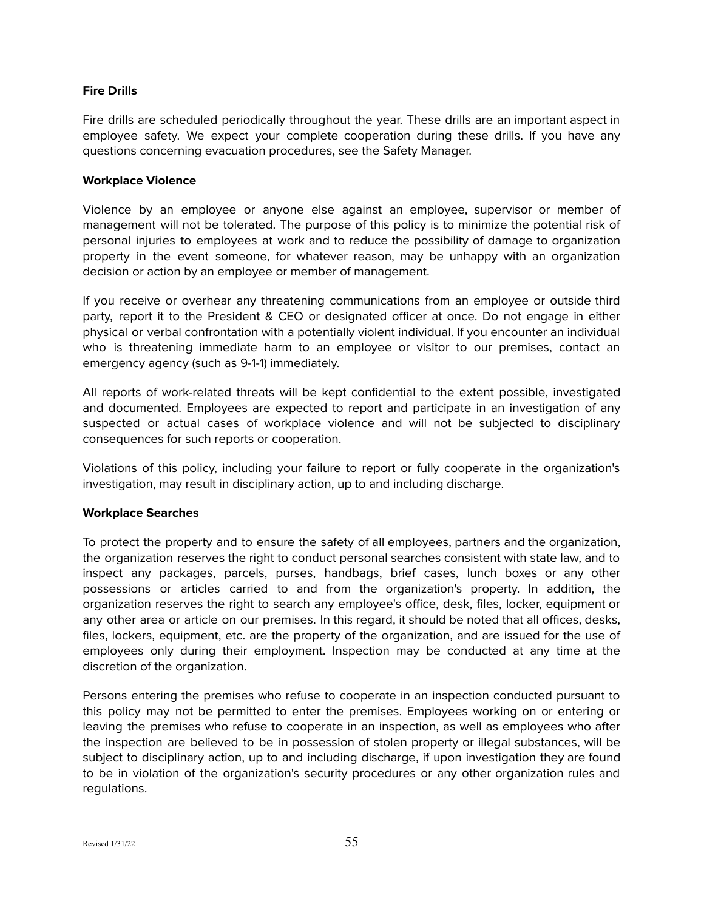## <span id="page-54-0"></span>**Fire Drills**

Fire drills are scheduled periodically throughout the year. These drills are an important aspect in employee safety. We expect your complete cooperation during these drills. If you have any questions concerning evacuation procedures, see the Safety Manager.

## <span id="page-54-1"></span>**Workplace Violence**

Violence by an employee or anyone else against an employee, supervisor or member of management will not be tolerated. The purpose of this policy is to minimize the potential risk of personal injuries to employees at work and to reduce the possibility of damage to organization property in the event someone, for whatever reason, may be unhappy with an organization decision or action by an employee or member of management.

If you receive or overhear any threatening communications from an employee or outside third party, report it to the President & CEO or designated officer at once. Do not engage in either physical or verbal confrontation with a potentially violent individual. If you encounter an individual who is threatening immediate harm to an employee or visitor to our premises, contact an emergency agency (such as 9-1-1) immediately.

All reports of work-related threats will be kept confidential to the extent possible, investigated and documented. Employees are expected to report and participate in an investigation of any suspected or actual cases of workplace violence and will not be subjected to disciplinary consequences for such reports or cooperation.

Violations of this policy, including your failure to report or fully cooperate in the organization's investigation, may result in disciplinary action, up to and including discharge.

## <span id="page-54-2"></span>**Workplace Searches**

To protect the property and to ensure the safety of all employees, partners and the organization, the organization reserves the right to conduct personal searches consistent with state law, and to inspect any packages, parcels, purses, handbags, brief cases, lunch boxes or any other possessions or articles carried to and from the organization's property. In addition, the organization reserves the right to search any employee's office, desk, files, locker, equipment or any other area or article on our premises. In this regard, it should be noted that all offices, desks, files, lockers, equipment, etc. are the property of the organization, and are issued for the use of employees only during their employment. Inspection may be conducted at any time at the discretion of the organization.

Persons entering the premises who refuse to cooperate in an inspection conducted pursuant to this policy may not be permitted to enter the premises. Employees working on or entering or leaving the premises who refuse to cooperate in an inspection, as well as employees who after the inspection are believed to be in possession of stolen property or illegal substances, will be subject to disciplinary action, up to and including discharge, if upon investigation they are found to be in violation of the organization's security procedures or any other organization rules and regulations.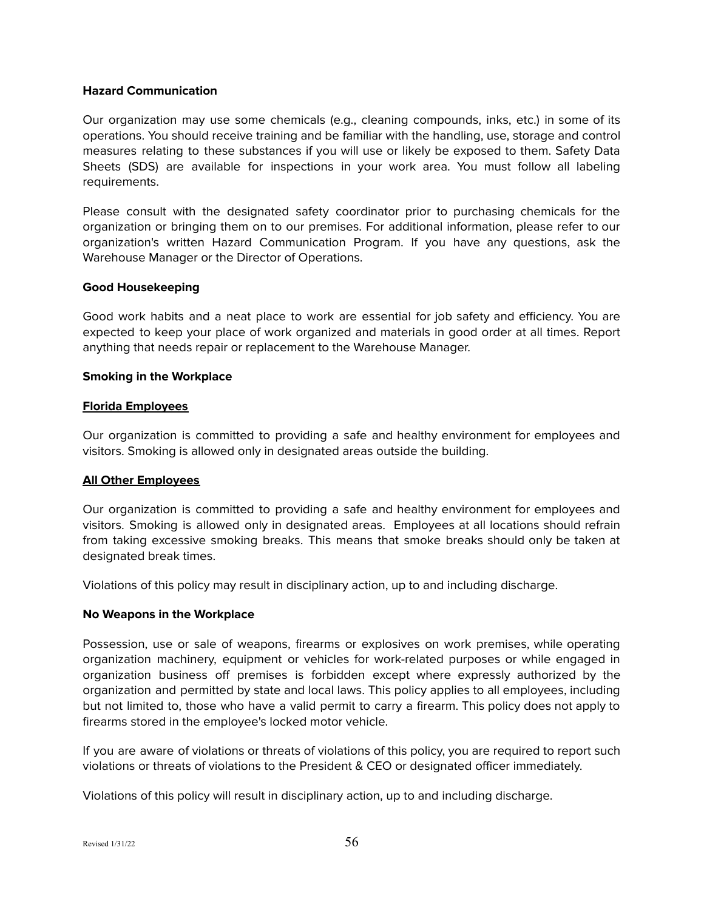#### <span id="page-55-0"></span>**Hazard Communication**

Our organization may use some chemicals (e.g., cleaning compounds, inks, etc.) in some of its operations. You should receive training and be familiar with the handling, use, storage and control measures relating to these substances if you will use or likely be exposed to them. Safety Data Sheets (SDS) are available for inspections in your work area. You must follow all labeling requirements.

Please consult with the designated safety coordinator prior to purchasing chemicals for the organization or bringing them on to our premises. For additional information, please refer to our organization's written Hazard Communication Program. If you have any questions, ask the Warehouse Manager or the Director of Operations.

## <span id="page-55-1"></span>**Good Housekeeping**

Good work habits and a neat place to work are essential for job safety and efficiency. You are expected to keep your place of work organized and materials in good order at all times. Report anything that needs repair or replacement to the Warehouse Manager.

#### <span id="page-55-2"></span>**Smoking in the Workplace**

#### **Florida Employees**

Our organization is committed to providing a safe and healthy environment for employees and visitors. Smoking is allowed only in designated areas outside the building.

## **All Other Employees**

Our organization is committed to providing a safe and healthy environment for employees and visitors. Smoking is allowed only in designated areas. Employees at all locations should refrain from taking excessive smoking breaks. This means that smoke breaks should only be taken at designated break times.

Violations of this policy may result in disciplinary action, up to and including discharge.

#### <span id="page-55-3"></span>**No Weapons in the Workplace**

Possession, use or sale of weapons, firearms or explosives on work premises, while operating organization machinery, equipment or vehicles for work-related purposes or while engaged in organization business off premises is forbidden except where expressly authorized by the organization and permitted by state and local laws. This policy applies to all employees, including but not limited to, those who have a valid permit to carry a firearm. This policy does not apply to firearms stored in the employee's locked motor vehicle.

If you are aware of violations or threats of violations of this policy, you are required to report such violations or threats of violations to the President & CEO or designated officer immediately.

Violations of this policy will result in disciplinary action, up to and including discharge.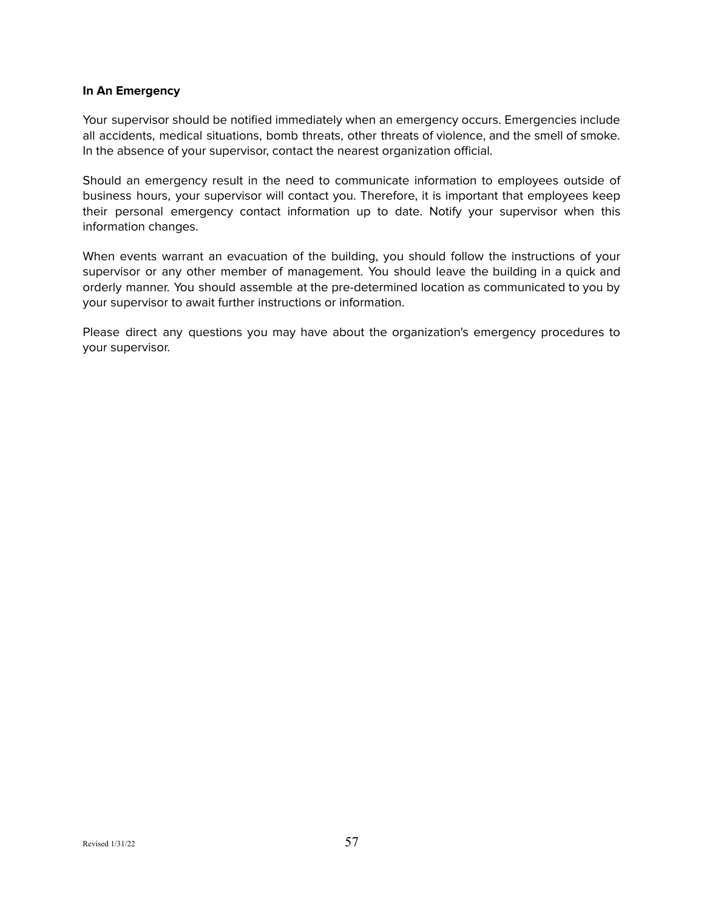#### <span id="page-56-0"></span>**In An Emergency**

Your supervisor should be notified immediately when an emergency occurs. Emergencies include all accidents, medical situations, bomb threats, other threats of violence, and the smell of smoke. In the absence of your supervisor, contact the nearest organization official.

Should an emergency result in the need to communicate information to employees outside of business hours, your supervisor will contact you. Therefore, it is important that employees keep their personal emergency contact information up to date. Notify your supervisor when this information changes.

When events warrant an evacuation of the building, you should follow the instructions of your supervisor or any other member of management. You should leave the building in a quick and orderly manner. You should assemble at the pre-determined location as communicated to you by your supervisor to await further instructions or information.

Please direct any questions you may have about the organization's emergency procedures to your supervisor.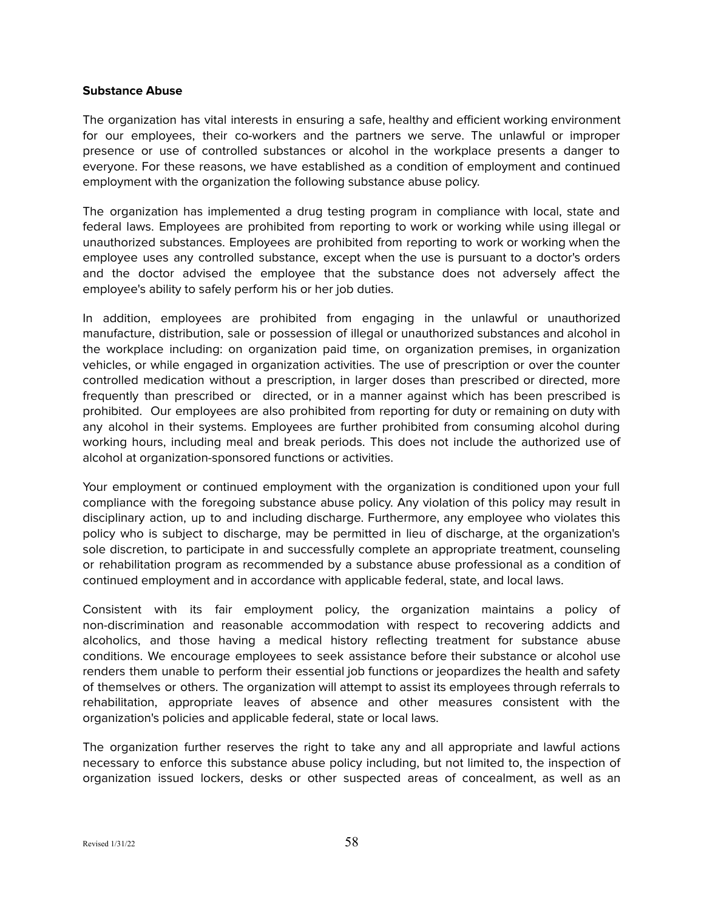#### **Substance Abuse**

The organization has vital interests in ensuring a safe, healthy and efficient working environment for our employees, their co-workers and the partners we serve. The unlawful or improper presence or use of controlled substances or alcohol in the workplace presents a danger to everyone. For these reasons, we have established as a condition of employment and continued employment with the organization the following substance abuse policy.

The organization has implemented a drug testing program in compliance with local, state and federal laws. Employees are prohibited from reporting to work or working while using illegal or unauthorized substances. Employees are prohibited from reporting to work or working when the employee uses any controlled substance, except when the use is pursuant to a doctor's orders and the doctor advised the employee that the substance does not adversely affect the employee's ability to safely perform his or her job duties.

In addition, employees are prohibited from engaging in the unlawful or unauthorized manufacture, distribution, sale or possession of illegal or unauthorized substances and alcohol in the workplace including: on organization paid time, on organization premises, in organization vehicles, or while engaged in organization activities. The use of prescription or over the counter controlled medication without a prescription, in larger doses than prescribed or directed, more frequently than prescribed or directed, or in a manner against which has been prescribed is prohibited. Our employees are also prohibited from reporting for duty or remaining on duty with any alcohol in their systems. Employees are further prohibited from consuming alcohol during working hours, including meal and break periods. This does not include the authorized use of alcohol at organization-sponsored functions or activities.

Your employment or continued employment with the organization is conditioned upon your full compliance with the foregoing substance abuse policy. Any violation of this policy may result in disciplinary action, up to and including discharge. Furthermore, any employee who violates this policy who is subject to discharge, may be permitted in lieu of discharge, at the organization's sole discretion, to participate in and successfully complete an appropriate treatment, counseling or rehabilitation program as recommended by a substance abuse professional as a condition of continued employment and in accordance with applicable federal, state, and local laws.

Consistent with its fair employment policy, the organization maintains a policy of non-discrimination and reasonable accommodation with respect to recovering addicts and alcoholics, and those having a medical history reflecting treatment for substance abuse conditions. We encourage employees to seek assistance before their substance or alcohol use renders them unable to perform their essential job functions or jeopardizes the health and safety of themselves or others. The organization will attempt to assist its employees through referrals to rehabilitation, appropriate leaves of absence and other measures consistent with the organization's policies and applicable federal, state or local laws.

The organization further reserves the right to take any and all appropriate and lawful actions necessary to enforce this substance abuse policy including, but not limited to, the inspection of organization issued lockers, desks or other suspected areas of concealment, as well as an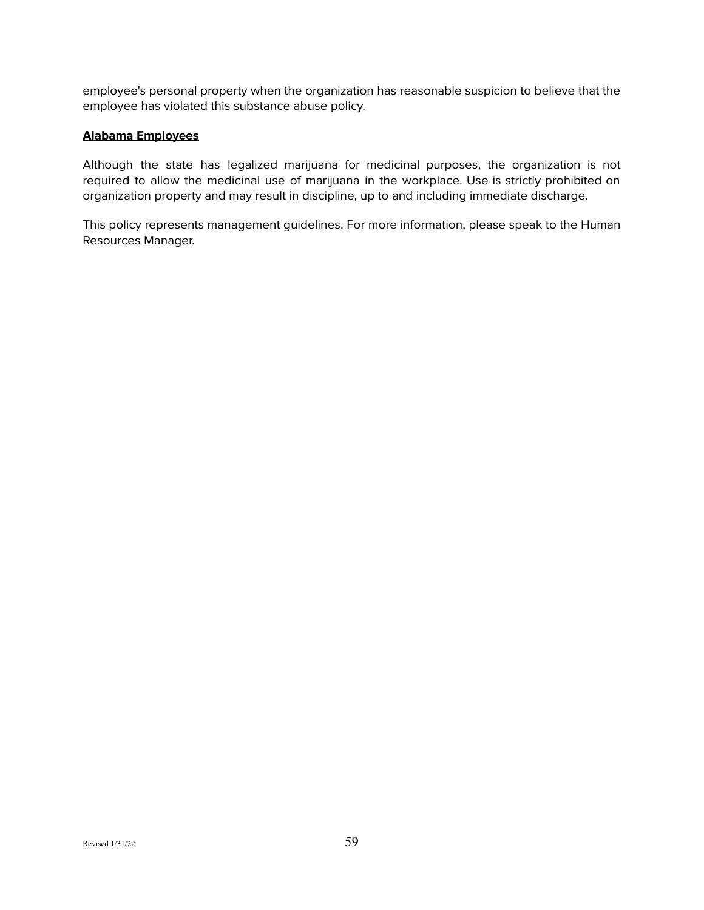employee's personal property when the organization has reasonable suspicion to believe that the employee has violated this substance abuse policy.

## **Alabama Employees**

Although the state has legalized marijuana for medicinal purposes, the organization is not required to allow the medicinal use of marijuana in the workplace. Use is strictly prohibited on organization property and may result in discipline, up to and including immediate discharge.

This policy represents management guidelines. For more information, please speak to the Human Resources Manager.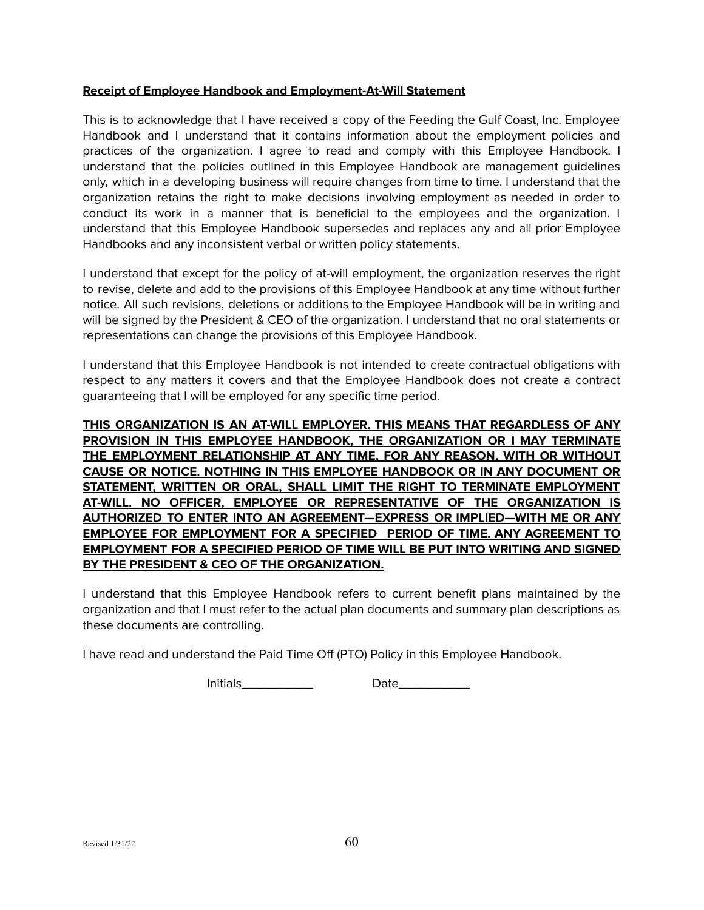#### **Receipt of Employee Handbook and Employment-At-Will Statement**

This is to acknowledge that I have received a copy of the Feeding the Gulf Coast, Inc. Employee Handbook and I understand that it contains information about the employment policies and practices of the organization. I agree to read and comply with this Employee Handbook. I understand that the policies outlined in this Employee Handbook are management guidelines only, which in a developing business will require changes from time to time. I understand that the organization retains the right to make decisions involving employment as needed in order to conduct its work in a manner that is beneficial to the employees and the organization. I understand that this Employee Handbook supersedes and replaces any and all prior Employee Handbooks and any inconsistent verbal or written policy statements.

I understand that except for the policy of at-will employment, the organization reserves the right to revise, delete and add to the provisions of this Employee Handbook at any time without further notice. All such revisions, deletions or additions to the Employee Handbook will be in writing and will be signed by the President & CEO of the organization. I understand that no oral statements or representations can change the provisions of this Employee Handbook.

I understand that this Employee Handbook is not intended to create contractual obligations with respect to any matters it covers and that the Employee Handbook does not create a contract guaranteeing that I will be employed for any specific time period.

**THIS ORGANIZATION IS AN AT-WILL EMPLOYER. THIS MEANS THAT REGARDLESS OF ANY PROVISION IN THIS EMPLOYEE HANDBOOK, THE ORGANIZATION OR I MAY TERMINATE THE EMPLOYMENT RELATIONSHIP AT ANY TIME, FOR ANY REASON, WITH OR WITHOUT CAUSE OR NOTICE. NOTHING IN THIS EMPLOYEE HANDBOOK OR IN ANY DOCUMENT OR STATEMENT, WRITTEN OR ORAL, SHALL LIMIT THE RIGHT TO TERMINATE EMPLOYMENT AT-WILL. NO OFFICER, EMPLOYEE OR REPRESENTATIVE OF THE ORGANIZATION IS AUTHORIZED TO ENTER INTO AN AGREEMENT—EXPRESS OR IMPLIED—WITH ME OR ANY EMPLOYEE FOR EMPLOYMENT FOR A SPECIFIED PERIOD OF TIME. ANY AGREEMENT TO EMPLOYMENT FOR A SPECIFIED PERIOD OF TIME WILL BE PUT INTO WRITING AND SIGNED BY THE PRESIDENT & CEO OF THE ORGANIZATION.**

I understand that this Employee Handbook refers to current benefit plans maintained by the organization and that I must refer to the actual plan documents and summary plan descriptions as these documents are controlling.

I have read and understand the Paid Time Off (PTO) Policy in this Employee Handbook.

Initials\_\_\_\_\_\_\_\_\_\_ Date\_\_\_\_\_\_\_\_\_\_